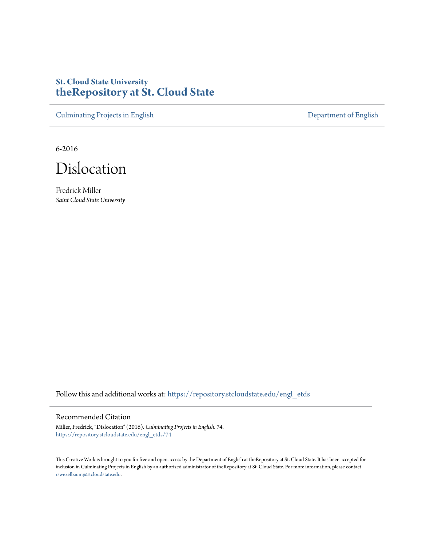# **St. Cloud State University [theRepository at St. Cloud State](https://repository.stcloudstate.edu?utm_source=repository.stcloudstate.edu%2Fengl_etds%2F74&utm_medium=PDF&utm_campaign=PDFCoverPages)**

[Culminating Projects in English](https://repository.stcloudstate.edu/engl_etds?utm_source=repository.stcloudstate.edu%2Fengl_etds%2F74&utm_medium=PDF&utm_campaign=PDFCoverPages) [Department of English](https://repository.stcloudstate.edu/engl?utm_source=repository.stcloudstate.edu%2Fengl_etds%2F74&utm_medium=PDF&utm_campaign=PDFCoverPages)

6-2016



Fredrick Miller *Saint Cloud State University*

Follow this and additional works at: [https://repository.stcloudstate.edu/engl\\_etds](https://repository.stcloudstate.edu/engl_etds?utm_source=repository.stcloudstate.edu%2Fengl_etds%2F74&utm_medium=PDF&utm_campaign=PDFCoverPages)

#### Recommended Citation

Miller, Fredrick, "Dislocation" (2016). *Culminating Projects in English*. 74. [https://repository.stcloudstate.edu/engl\\_etds/74](https://repository.stcloudstate.edu/engl_etds/74?utm_source=repository.stcloudstate.edu%2Fengl_etds%2F74&utm_medium=PDF&utm_campaign=PDFCoverPages)

This Creative Work is brought to you for free and open access by the Department of English at theRepository at St. Cloud State. It has been accepted for inclusion in Culminating Projects in English by an authorized administrator of theRepository at St. Cloud State. For more information, please contact [rswexelbaum@stcloudstate.edu](mailto:rswexelbaum@stcloudstate.edu).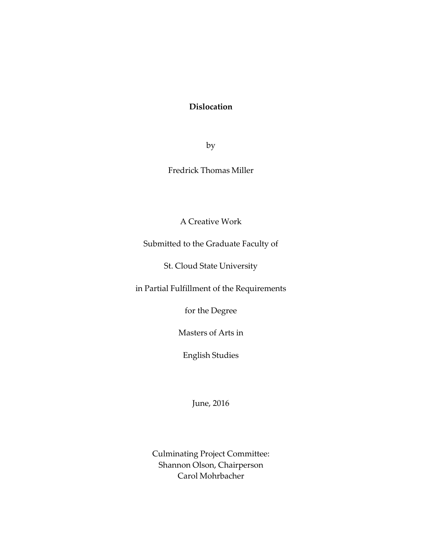## **Dislocation**

by

Fredrick Thomas Miller

A Creative Work

Submitted to the Graduate Faculty of

St. Cloud State University

in Partial Fulfillment of the Requirements

for the Degree

Masters of Arts in

English Studies

June, 2016

Culminating Project Committee: Shannon Olson, Chairperson Carol Mohrbacher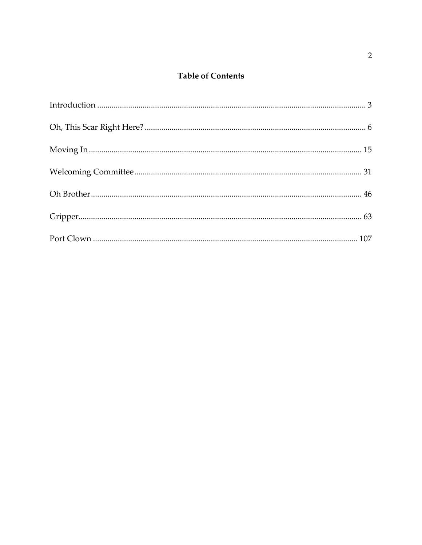## **Table of Contents**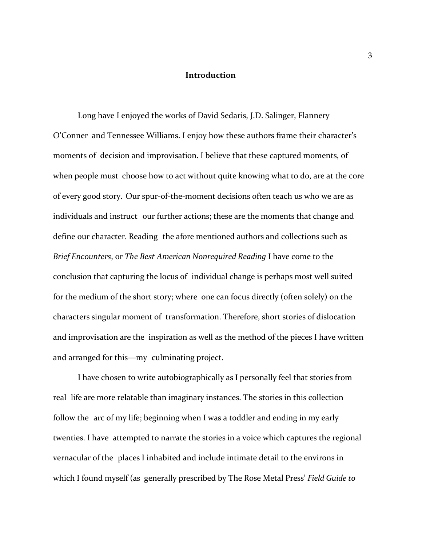## **Introduction**

<span id="page-3-0"></span>Long have I enjoyed the works of David Sedaris, J.D. Salinger, Flannery O'Conner and Tennessee Williams. I enjoy how these authors frame their character's moments of decision and improvisation. I believe that these captured moments, of when people must choose how to act without quite knowing what to do, are at the core of every good story. Our spur-of-the-moment decisions often teach us who we are as individuals and instruct our further actions; these are the moments that change and define our character. Reading the afore mentioned authors and collections such as *Brief Encounters*, or *The Best American Nonrequired Reading* I have come to the conclusion that capturing the locus of individual change is perhaps most well suited for the medium of the short story; where one can focus directly (often solely) on the characters singular moment of transformation. Therefore, short stories of dislocation and improvisation are the inspiration as well as the method of the pieces I have written and arranged for this—my culminating project.

I have chosen to write autobiographically as I personally feel that stories from real life are more relatable than imaginary instances. The stories in this collection follow the arc of my life; beginning when I was a toddler and ending in my early twenties. I have attempted to narrate the stories in a voice which captures the regional vernacular of the places I inhabited and include intimate detail to the environs in which I found myself (as generally prescribed by The Rose Metal Press' *Field Guide to*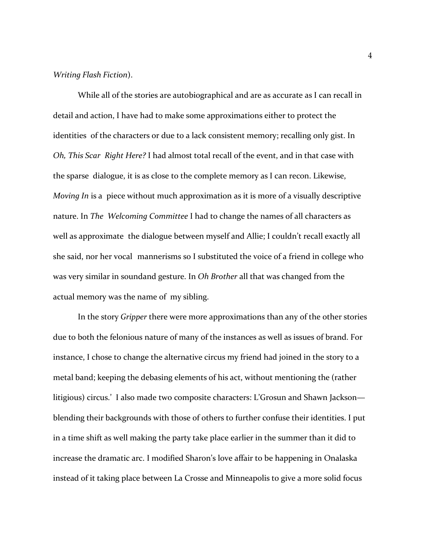#### *Writing Flash Fiction*).

While all of the stories are autobiographical and are as accurate as I can recall in detail and action, I have had to make some approximations either to protect the identities of the characters or due to a lack consistent memory; recalling only gist. In *Oh, This Scar Right Here?* I had almost total recall of the event, and in that case with the sparse dialogue, it is as close to the complete memory as I can recon. Likewise, *Moving In* is a piece without much approximation as it is more of a visually descriptive nature. In *The Welcoming Committee* I had to change the names of all characters as well as approximate the dialogue between myself and Allie; I couldn't recall exactly all she said, nor her vocal mannerisms so I substituted the voice of a friend in college who was very similar in soundand gesture. In *Oh Brother* all that was changed from the actual memory was the name of my sibling.

In the story *Gripper* there were more approximations than any of the other stories due to both the felonious nature of many of the instances as well as issues of brand. For instance, I chose to change the alternative circus my friend had joined in the story to a metal band; keeping the debasing elements of his act, without mentioning the (rather litigious) circus.' I also made two composite characters: L'Grosun and Shawn Jackson blending their backgrounds with those of others to further confuse their identities. I put in a time shift as well making the party take place earlier in the summer than it did to increase the dramatic arc. I modified Sharon's love affair to be happening in Onalaska instead of it taking place between La Crosse and Minneapolis to give a more solid focus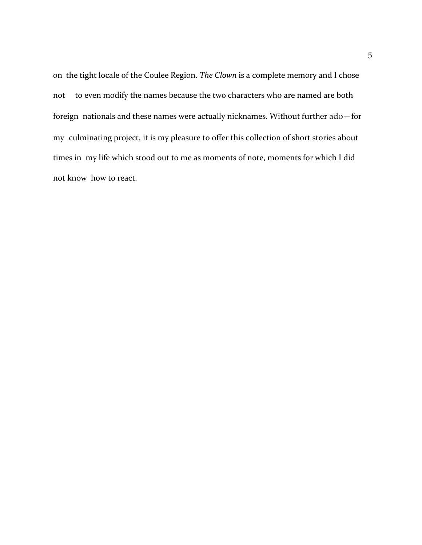on the tight locale of the Coulee Region. *The Clown* is a complete memory and I chose not to even modify the names because the two characters who are named are both foreign nationals and these names were actually nicknames. Without further ado—for my culminating project, it is my pleasure to offer this collection of short stories about times in my life which stood out to me as moments of note, moments for which I did not know how to react.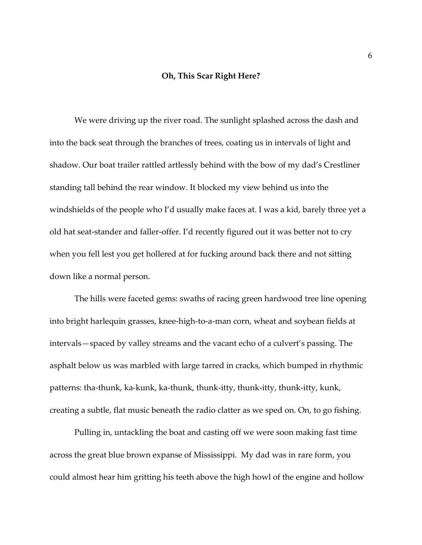## **Oh, This Scar Right Here?**

We were driving up the river road. The sunlight splashed across the dash and into the back seat through the branches of trees, coating us in intervals of light and shadow. Our boat trailer rattled artlessly behind with the bow of my dad's Crestliner standing tall behind the rear window. It blocked my view behind us into the windshields of the people who I'd usually make faces at. I was a kid, barely three yet a old hat seat-stander and faller-offer. I'd recently figured out it was better not to cry when you fell lest you get hollered at for fucking around back there and not sitting down like a normal person.

The hills were faceted gems: swaths of racing green hardwood tree line opening into bright harlequin grasses, knee-high-to-a-man corn, wheat and soybean fields at intervals—spaced by valley streams and the vacant echo of a culvert's passing. The asphalt below us was marbled with large tarred in cracks, which bumped in rhythmic patterns: tha-thunk, ka-kunk, ka-thunk, thunk-itty, thunk-itty, thunk-itty, kunk, creating a subtle, flat music beneath the radio clatter as we sped on. On, to go fishing.

Pulling in, untackling the boat and casting off we were soon making fast time across the great blue brown expanse of Mississippi. My dad was in rare form, you could almost hear him gritting his teeth above the high howl of the engine and hollow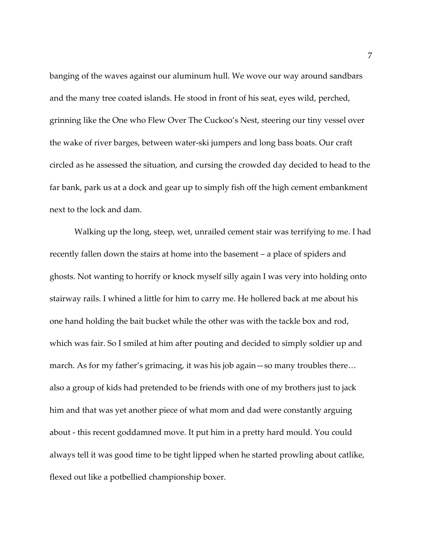banging of the waves against our aluminum hull. We wove our way around sandbars and the many tree coated islands. He stood in front of his seat, eyes wild, perched, grinning like the One who Flew Over The Cuckoo's Nest, steering our tiny vessel over the wake of river barges, between water-ski jumpers and long bass boats. Our craft circled as he assessed the situation, and cursing the crowded day decided to head to the far bank, park us at a dock and gear up to simply fish off the high cement embankment next to the lock and dam.

Walking up the long, steep, wet, unrailed cement stair was terrifying to me. I had recently fallen down the stairs at home into the basement – a place of spiders and ghosts. Not wanting to horrify or knock myself silly again I was very into holding onto stairway rails. I whined a little for him to carry me. He hollered back at me about his one hand holding the bait bucket while the other was with the tackle box and rod, which was fair. So I smiled at him after pouting and decided to simply soldier up and march. As for my father's grimacing, it was his job again—so many troubles there… also a group of kids had pretended to be friends with one of my brothers just to jack him and that was yet another piece of what mom and dad were constantly arguing about - this recent goddamned move. It put him in a pretty hard mould. You could always tell it was good time to be tight lipped when he started prowling about catlike, flexed out like a potbellied championship boxer.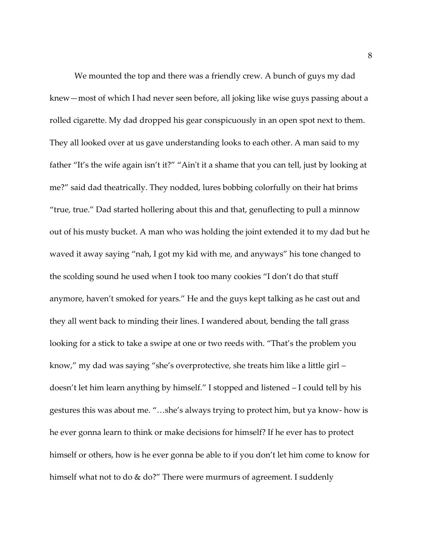We mounted the top and there was a friendly crew. A bunch of guys my dad knew—most of which I had never seen before, all joking like wise guys passing about a rolled cigarette. My dad dropped his gear conspicuously in an open spot next to them. They all looked over at us gave understanding looks to each other. A man said to my father "It's the wife again isn't it?" "Ain't it a shame that you can tell, just by looking at me?" said dad theatrically. They nodded, lures bobbing colorfully on their hat brims "true, true." Dad started hollering about this and that, genuflecting to pull a minnow out of his musty bucket. A man who was holding the joint extended it to my dad but he waved it away saying "nah, I got my kid with me, and anyways" his tone changed to the scolding sound he used when I took too many cookies "I don't do that stuff anymore, haven't smoked for years." He and the guys kept talking as he cast out and they all went back to minding their lines. I wandered about, bending the tall grass looking for a stick to take a swipe at one or two reeds with. "That's the problem you know," my dad was saying "she's overprotective, she treats him like a little girl – doesn't let him learn anything by himself." I stopped and listened – I could tell by his gestures this was about me. "…she's always trying to protect him, but ya know- how is he ever gonna learn to think or make decisions for himself? If he ever has to protect himself or others, how is he ever gonna be able to if you don't let him come to know for himself what not to do & do?" There were murmurs of agreement. I suddenly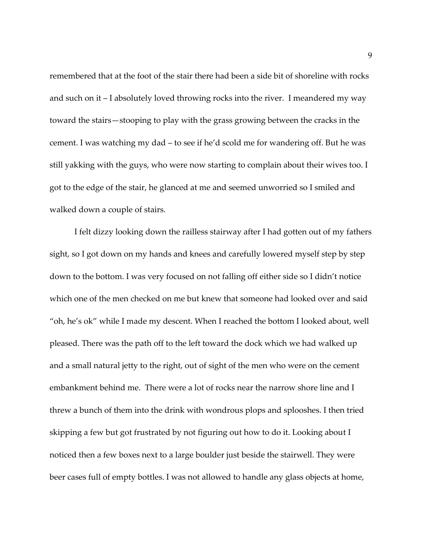remembered that at the foot of the stair there had been a side bit of shoreline with rocks and such on it – I absolutely loved throwing rocks into the river. I meandered my way toward the stairs—stooping to play with the grass growing between the cracks in the cement. I was watching my dad – to see if he'd scold me for wandering off. But he was still yakking with the guys, who were now starting to complain about their wives too. I got to the edge of the stair, he glanced at me and seemed unworried so I smiled and walked down a couple of stairs.

I felt dizzy looking down the railless stairway after I had gotten out of my fathers sight, so I got down on my hands and knees and carefully lowered myself step by step down to the bottom. I was very focused on not falling off either side so I didn't notice which one of the men checked on me but knew that someone had looked over and said "oh, he's ok" while I made my descent. When I reached the bottom I looked about, well pleased. There was the path off to the left toward the dock which we had walked up and a small natural jetty to the right, out of sight of the men who were on the cement embankment behind me. There were a lot of rocks near the narrow shore line and I threw a bunch of them into the drink with wondrous plops and splooshes. I then tried skipping a few but got frustrated by not figuring out how to do it. Looking about I noticed then a few boxes next to a large boulder just beside the stairwell. They were beer cases full of empty bottles. I was not allowed to handle any glass objects at home,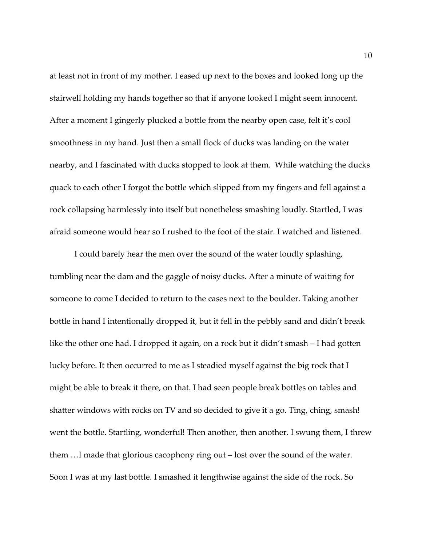at least not in front of my mother. I eased up next to the boxes and looked long up the stairwell holding my hands together so that if anyone looked I might seem innocent. After a moment I gingerly plucked a bottle from the nearby open case, felt it's cool smoothness in my hand. Just then a small flock of ducks was landing on the water nearby, and I fascinated with ducks stopped to look at them. While watching the ducks quack to each other I forgot the bottle which slipped from my fingers and fell against a rock collapsing harmlessly into itself but nonetheless smashing loudly. Startled, I was afraid someone would hear so I rushed to the foot of the stair. I watched and listened.

I could barely hear the men over the sound of the water loudly splashing, tumbling near the dam and the gaggle of noisy ducks. After a minute of waiting for someone to come I decided to return to the cases next to the boulder. Taking another bottle in hand I intentionally dropped it, but it fell in the pebbly sand and didn't break like the other one had. I dropped it again, on a rock but it didn't smash – I had gotten lucky before. It then occurred to me as I steadied myself against the big rock that I might be able to break it there, on that. I had seen people break bottles on tables and shatter windows with rocks on TV and so decided to give it a go. Ting, ching, smash! went the bottle. Startling, wonderful! Then another, then another. I swung them, I threw them …I made that glorious cacophony ring out – lost over the sound of the water. Soon I was at my last bottle. I smashed it lengthwise against the side of the rock. So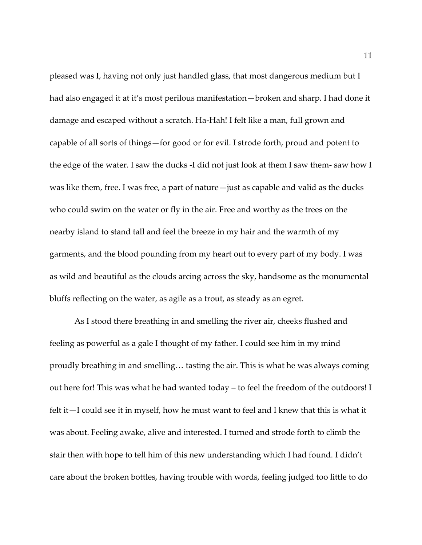pleased was I, having not only just handled glass, that most dangerous medium but I had also engaged it at it's most perilous manifestation—broken and sharp. I had done it damage and escaped without a scratch. Ha-Hah! I felt like a man, full grown and capable of all sorts of things—for good or for evil. I strode forth, proud and potent to the edge of the water. I saw the ducks -I did not just look at them I saw them- saw how I was like them, free. I was free, a part of nature—just as capable and valid as the ducks who could swim on the water or fly in the air. Free and worthy as the trees on the nearby island to stand tall and feel the breeze in my hair and the warmth of my garments, and the blood pounding from my heart out to every part of my body. I was as wild and beautiful as the clouds arcing across the sky, handsome as the monumental bluffs reflecting on the water, as agile as a trout, as steady as an egret.

As I stood there breathing in and smelling the river air, cheeks flushed and feeling as powerful as a gale I thought of my father. I could see him in my mind proudly breathing in and smelling… tasting the air. This is what he was always coming out here for! This was what he had wanted today – to feel the freedom of the outdoors! I felt it—I could see it in myself, how he must want to feel and I knew that this is what it was about. Feeling awake, alive and interested. I turned and strode forth to climb the stair then with hope to tell him of this new understanding which I had found. I didn't care about the broken bottles, having trouble with words, feeling judged too little to do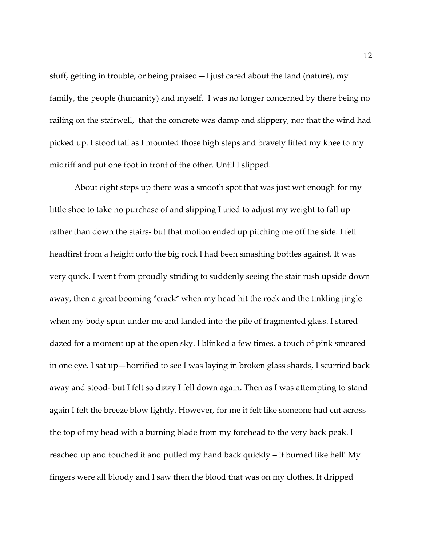stuff, getting in trouble, or being praised—I just cared about the land (nature), my family, the people (humanity) and myself. I was no longer concerned by there being no railing on the stairwell, that the concrete was damp and slippery, nor that the wind had picked up. I stood tall as I mounted those high steps and bravely lifted my knee to my midriff and put one foot in front of the other. Until I slipped.

About eight steps up there was a smooth spot that was just wet enough for my little shoe to take no purchase of and slipping I tried to adjust my weight to fall up rather than down the stairs- but that motion ended up pitching me off the side. I fell headfirst from a height onto the big rock I had been smashing bottles against. It was very quick. I went from proudly striding to suddenly seeing the stair rush upside down away, then a great booming \*crack\* when my head hit the rock and the tinkling jingle when my body spun under me and landed into the pile of fragmented glass. I stared dazed for a moment up at the open sky. I blinked a few times, a touch of pink smeared in one eye. I sat up—horrified to see I was laying in broken glass shards, I scurried back away and stood- but I felt so dizzy I fell down again. Then as I was attempting to stand again I felt the breeze blow lightly. However, for me it felt like someone had cut across the top of my head with a burning blade from my forehead to the very back peak. I reached up and touched it and pulled my hand back quickly – it burned like hell! My fingers were all bloody and I saw then the blood that was on my clothes. It dripped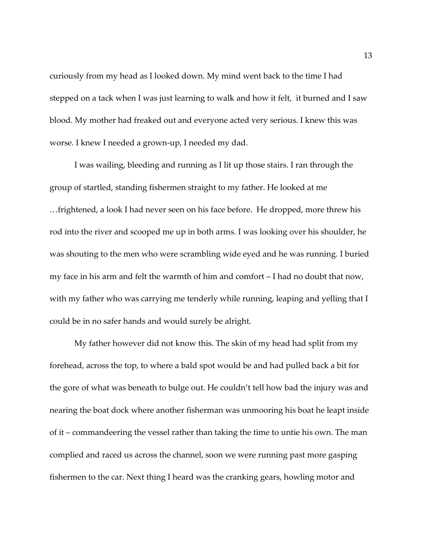curiously from my head as I looked down. My mind went back to the time I had stepped on a tack when I was just learning to walk and how it felt, it burned and I saw blood. My mother had freaked out and everyone acted very serious. I knew this was worse. I knew I needed a grown-up, I needed my dad.

I was wailing, bleeding and running as I lit up those stairs. I ran through the group of startled, standing fishermen straight to my father. He looked at me …frightened, a look I had never seen on his face before. He dropped, more threw his rod into the river and scooped me up in both arms. I was looking over his shoulder, he was shouting to the men who were scrambling wide eyed and he was running. I buried my face in his arm and felt the warmth of him and comfort – I had no doubt that now, with my father who was carrying me tenderly while running, leaping and yelling that I could be in no safer hands and would surely be alright.

My father however did not know this. The skin of my head had split from my forehead, across the top, to where a bald spot would be and had pulled back a bit for the gore of what was beneath to bulge out. He couldn't tell how bad the injury was and nearing the boat dock where another fisherman was unmooring his boat he leapt inside of it – commandeering the vessel rather than taking the time to untie his own. The man complied and raced us across the channel, soon we were running past more gasping fishermen to the car. Next thing I heard was the cranking gears, howling motor and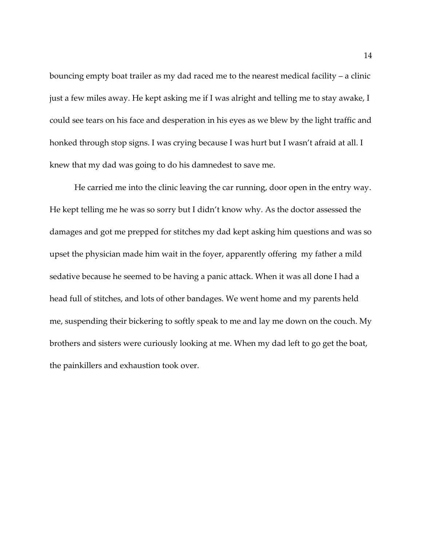bouncing empty boat trailer as my dad raced me to the nearest medical facility – a clinic just a few miles away. He kept asking me if I was alright and telling me to stay awake, I could see tears on his face and desperation in his eyes as we blew by the light traffic and honked through stop signs. I was crying because I was hurt but I wasn't afraid at all. I knew that my dad was going to do his damnedest to save me.

He carried me into the clinic leaving the car running, door open in the entry way. He kept telling me he was so sorry but I didn't know why. As the doctor assessed the damages and got me prepped for stitches my dad kept asking him questions and was so upset the physician made him wait in the foyer, apparently offering my father a mild sedative because he seemed to be having a panic attack. When it was all done I had a head full of stitches, and lots of other bandages. We went home and my parents held me, suspending their bickering to softly speak to me and lay me down on the couch. My brothers and sisters were curiously looking at me. When my dad left to go get the boat, the painkillers and exhaustion took over.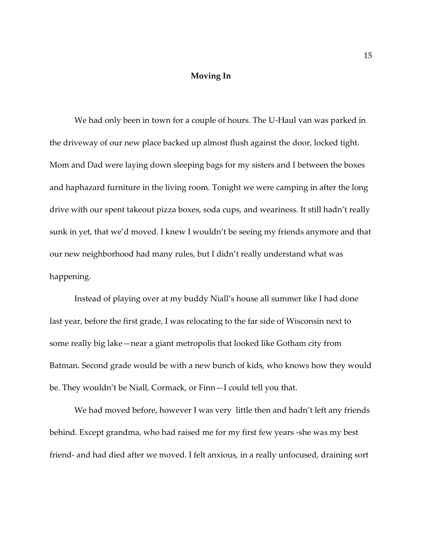## **Moving In**

We had only been in town for a couple of hours. The U-Haul van was parked in the driveway of our new place backed up almost flush against the door, locked tight. Mom and Dad were laying down sleeping bags for my sisters and I between the boxes and haphazard furniture in the living room. Tonight we were camping in after the long drive with our spent takeout pizza boxes, soda cups, and weariness. It still hadn't really sunk in yet, that we'd moved. I knew I wouldn't be seeing my friends anymore and that our new neighborhood had many rules, but I didn't really understand what was happening.

Instead of playing over at my buddy Niall's house all summer like I had done last year, before the first grade, I was relocating to the far side of Wisconsin next to some really big lake—near a giant metropolis that looked like Gotham city from Batman. Second grade would be with a new bunch of kids, who knows how they would be. They wouldn't be Niall, Cormack, or Finn—I could tell you that.

We had moved before, however I was very little then and hadn't left any friends behind. Except grandma, who had raised me for my first few years -she was my best friend- and had died after we moved. I felt anxious, in a really unfocused, draining sort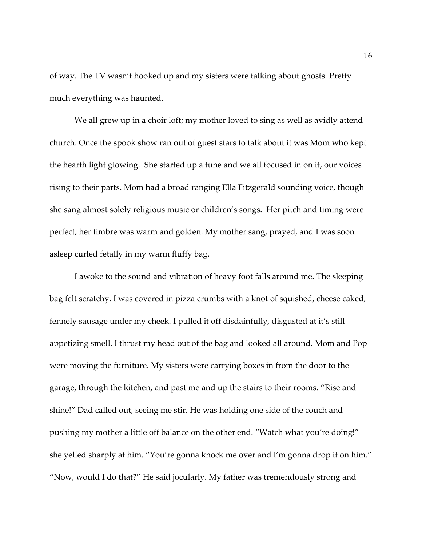of way. The TV wasn't hooked up and my sisters were talking about ghosts. Pretty much everything was haunted.

We all grew up in a choir loft; my mother loved to sing as well as avidly attend church. Once the spook show ran out of guest stars to talk about it was Mom who kept the hearth light glowing. She started up a tune and we all focused in on it, our voices rising to their parts. Mom had a broad ranging Ella Fitzgerald sounding voice, though she sang almost solely religious music or children's songs. Her pitch and timing were perfect, her timbre was warm and golden. My mother sang, prayed, and I was soon asleep curled fetally in my warm fluffy bag.

I awoke to the sound and vibration of heavy foot falls around me. The sleeping bag felt scratchy. I was covered in pizza crumbs with a knot of squished, cheese caked, fennely sausage under my cheek. I pulled it off disdainfully, disgusted at it's still appetizing smell. I thrust my head out of the bag and looked all around. Mom and Pop were moving the furniture. My sisters were carrying boxes in from the door to the garage, through the kitchen, and past me and up the stairs to their rooms. "Rise and shine!" Dad called out, seeing me stir. He was holding one side of the couch and pushing my mother a little off balance on the other end. "Watch what you're doing!" she yelled sharply at him. "You're gonna knock me over and I'm gonna drop it on him." "Now, would I do that?" He said jocularly. My father was tremendously strong and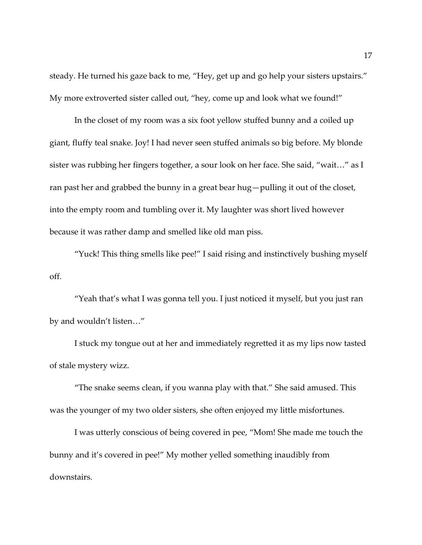steady. He turned his gaze back to me, "Hey, get up and go help your sisters upstairs." My more extroverted sister called out, "hey, come up and look what we found!"

In the closet of my room was a six foot yellow stuffed bunny and a coiled up giant, fluffy teal snake. Joy! I had never seen stuffed animals so big before. My blonde sister was rubbing her fingers together, a sour look on her face. She said, "wait…" as I ran past her and grabbed the bunny in a great bear hug—pulling it out of the closet, into the empty room and tumbling over it. My laughter was short lived however because it was rather damp and smelled like old man piss.

"Yuck! This thing smells like pee!" I said rising and instinctively bushing myself off.

"Yeah that's what I was gonna tell you. I just noticed it myself, but you just ran by and wouldn't listen…"

I stuck my tongue out at her and immediately regretted it as my lips now tasted of stale mystery wizz.

"The snake seems clean, if you wanna play with that." She said amused. This was the younger of my two older sisters, she often enjoyed my little misfortunes.

I was utterly conscious of being covered in pee, "Mom! She made me touch the bunny and it's covered in pee!" My mother yelled something inaudibly from downstairs.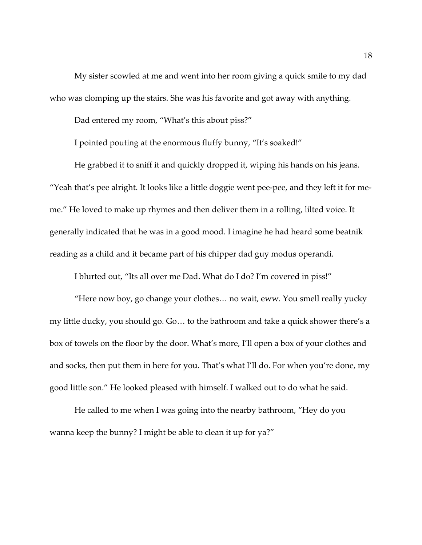My sister scowled at me and went into her room giving a quick smile to my dad who was clomping up the stairs. She was his favorite and got away with anything.

Dad entered my room, "What's this about piss?"

I pointed pouting at the enormous fluffy bunny, "It's soaked!"

He grabbed it to sniff it and quickly dropped it, wiping his hands on his jeans. "Yeah that's pee alright. It looks like a little doggie went pee-pee, and they left it for meme." He loved to make up rhymes and then deliver them in a rolling, lilted voice. It generally indicated that he was in a good mood. I imagine he had heard some beatnik reading as a child and it became part of his chipper dad guy modus operandi.

I blurted out, "Its all over me Dad. What do I do? I'm covered in piss!"

"Here now boy, go change your clothes… no wait, eww. You smell really yucky my little ducky, you should go. Go… to the bathroom and take a quick shower there's a box of towels on the floor by the door. What's more, I'll open a box of your clothes and and socks, then put them in here for you. That's what I'll do. For when you're done, my good little son." He looked pleased with himself. I walked out to do what he said.

He called to me when I was going into the nearby bathroom, "Hey do you wanna keep the bunny? I might be able to clean it up for ya?"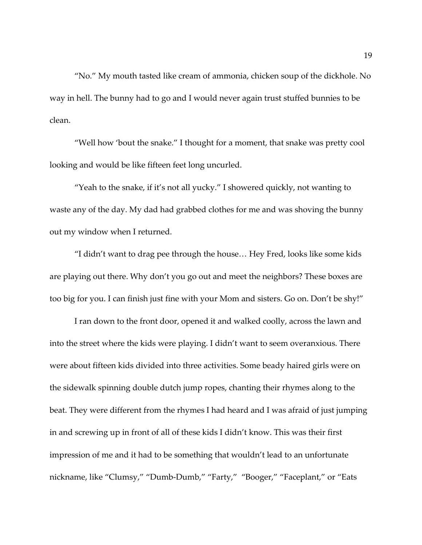"No." My mouth tasted like cream of ammonia, chicken soup of the dickhole. No way in hell. The bunny had to go and I would never again trust stuffed bunnies to be clean.

"Well how 'bout the snake." I thought for a moment, that snake was pretty cool looking and would be like fifteen feet long uncurled.

"Yeah to the snake, if it's not all yucky." I showered quickly, not wanting to waste any of the day. My dad had grabbed clothes for me and was shoving the bunny out my window when I returned.

"I didn't want to drag pee through the house… Hey Fred, looks like some kids are playing out there. Why don't you go out and meet the neighbors? These boxes are too big for you. I can finish just fine with your Mom and sisters. Go on. Don't be shy!"

I ran down to the front door, opened it and walked coolly, across the lawn and into the street where the kids were playing. I didn't want to seem overanxious. There were about fifteen kids divided into three activities. Some beady haired girls were on the sidewalk spinning double dutch jump ropes, chanting their rhymes along to the beat. They were different from the rhymes I had heard and I was afraid of just jumping in and screwing up in front of all of these kids I didn't know. This was their first impression of me and it had to be something that wouldn't lead to an unfortunate nickname, like "Clumsy," "Dumb-Dumb," "Farty," "Booger," "Faceplant," or "Eats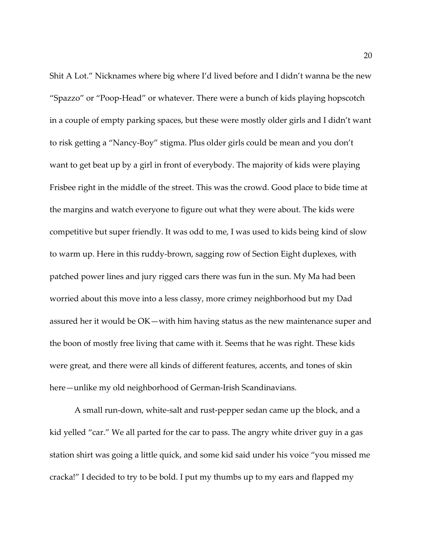Shit A Lot." Nicknames where big where I'd lived before and I didn't wanna be the new "Spazzo" or "Poop-Head" or whatever. There were a bunch of kids playing hopscotch in a couple of empty parking spaces, but these were mostly older girls and I didn't want to risk getting a "Nancy-Boy" stigma. Plus older girls could be mean and you don't want to get beat up by a girl in front of everybody. The majority of kids were playing Frisbee right in the middle of the street. This was the crowd. Good place to bide time at the margins and watch everyone to figure out what they were about. The kids were competitive but super friendly. It was odd to me, I was used to kids being kind of slow to warm up. Here in this ruddy-brown, sagging row of Section Eight duplexes, with patched power lines and jury rigged cars there was fun in the sun. My Ma had been worried about this move into a less classy, more crimey neighborhood but my Dad assured her it would be OK—with him having status as the new maintenance super and the boon of mostly free living that came with it. Seems that he was right. These kids were great, and there were all kinds of different features, accents, and tones of skin here—unlike my old neighborhood of German-Irish Scandinavians.

A small run-down, white-salt and rust-pepper sedan came up the block, and a kid yelled "car." We all parted for the car to pass. The angry white driver guy in a gas station shirt was going a little quick, and some kid said under his voice "you missed me cracka!" I decided to try to be bold. I put my thumbs up to my ears and flapped my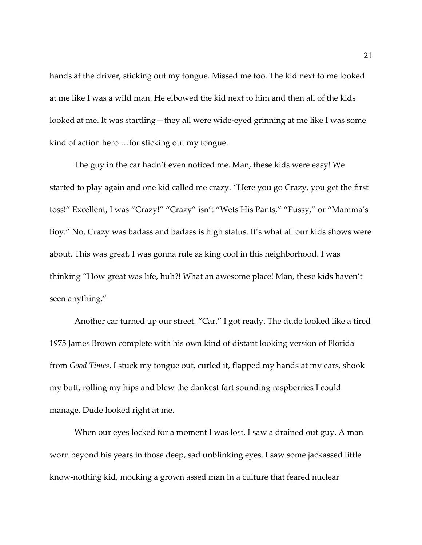hands at the driver, sticking out my tongue. Missed me too. The kid next to me looked at me like I was a wild man. He elbowed the kid next to him and then all of the kids looked at me. It was startling—they all were wide-eyed grinning at me like I was some kind of action hero …for sticking out my tongue.

The guy in the car hadn't even noticed me. Man, these kids were easy! We started to play again and one kid called me crazy. "Here you go Crazy, you get the first toss!" Excellent, I was "Crazy!" "Crazy" isn't "Wets His Pants," "Pussy," or "Mamma's Boy." No, Crazy was badass and badass is high status. It's what all our kids shows were about. This was great, I was gonna rule as king cool in this neighborhood. I was thinking "How great was life, huh?! What an awesome place! Man, these kids haven't seen anything."

Another car turned up our street. "Car." I got ready. The dude looked like a tired 1975 James Brown complete with his own kind of distant looking version of Florida from *Good Times*. I stuck my tongue out, curled it, flapped my hands at my ears, shook my butt, rolling my hips and blew the dankest fart sounding raspberries I could manage. Dude looked right at me.

When our eyes locked for a moment I was lost. I saw a drained out guy. A man worn beyond his years in those deep, sad unblinking eyes. I saw some jackassed little know-nothing kid, mocking a grown assed man in a culture that feared nuclear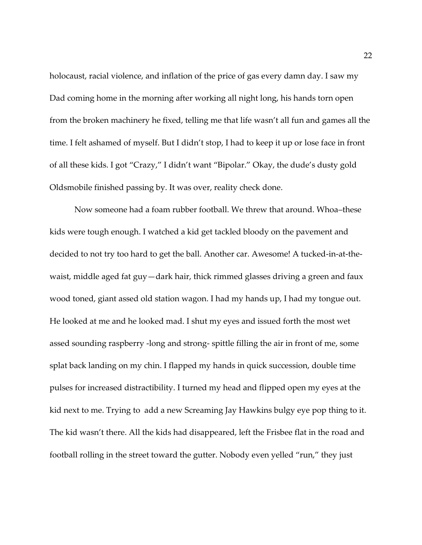holocaust, racial violence, and inflation of the price of gas every damn day. I saw my Dad coming home in the morning after working all night long, his hands torn open from the broken machinery he fixed, telling me that life wasn't all fun and games all the time. I felt ashamed of myself. But I didn't stop, I had to keep it up or lose face in front of all these kids. I got "Crazy," I didn't want "Bipolar." Okay, the dude's dusty gold Oldsmobile finished passing by. It was over, reality check done.

Now someone had a foam rubber football. We threw that around. Whoa–these kids were tough enough. I watched a kid get tackled bloody on the pavement and decided to not try too hard to get the ball. Another car. Awesome! A tucked-in-at-thewaist, middle aged fat guy—dark hair, thick rimmed glasses driving a green and faux wood toned, giant assed old station wagon. I had my hands up, I had my tongue out. He looked at me and he looked mad. I shut my eyes and issued forth the most wet assed sounding raspberry -long and strong- spittle filling the air in front of me, some splat back landing on my chin. I flapped my hands in quick succession, double time pulses for increased distractibility. I turned my head and flipped open my eyes at the kid next to me. Trying to add a new Screaming Jay Hawkins bulgy eye pop thing to it. The kid wasn't there. All the kids had disappeared, left the Frisbee flat in the road and football rolling in the street toward the gutter. Nobody even yelled "run," they just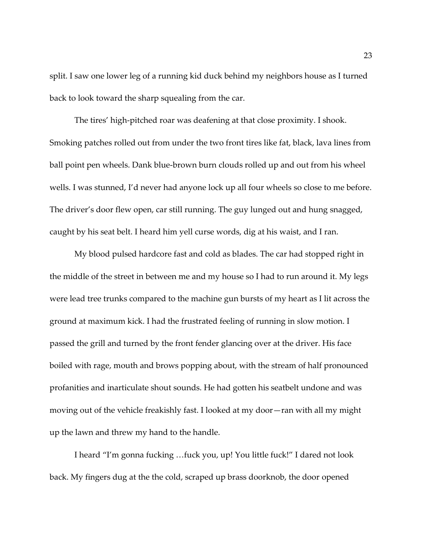split. I saw one lower leg of a running kid duck behind my neighbors house as I turned back to look toward the sharp squealing from the car.

The tires' high-pitched roar was deafening at that close proximity. I shook. Smoking patches rolled out from under the two front tires like fat, black, lava lines from ball point pen wheels. Dank blue-brown burn clouds rolled up and out from his wheel wells. I was stunned, I'd never had anyone lock up all four wheels so close to me before. The driver's door flew open, car still running. The guy lunged out and hung snagged, caught by his seat belt. I heard him yell curse words, dig at his waist, and I ran.

My blood pulsed hardcore fast and cold as blades. The car had stopped right in the middle of the street in between me and my house so I had to run around it. My legs were lead tree trunks compared to the machine gun bursts of my heart as I lit across the ground at maximum kick. I had the frustrated feeling of running in slow motion. I passed the grill and turned by the front fender glancing over at the driver. His face boiled with rage, mouth and brows popping about, with the stream of half pronounced profanities and inarticulate shout sounds. He had gotten his seatbelt undone and was moving out of the vehicle freakishly fast. I looked at my door—ran with all my might up the lawn and threw my hand to the handle.

I heard "I'm gonna fucking …fuck you, up! You little fuck!" I dared not look back. My fingers dug at the the cold, scraped up brass doorknob, the door opened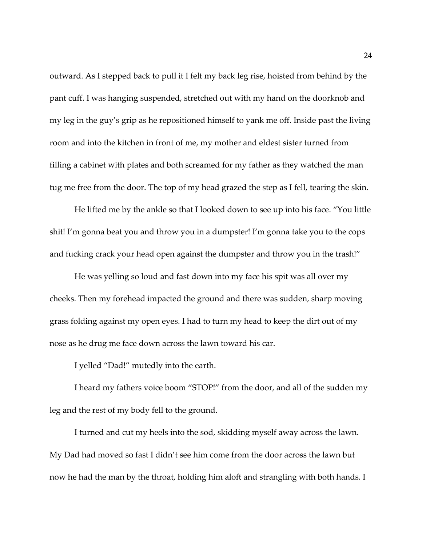outward. As I stepped back to pull it I felt my back leg rise, hoisted from behind by the pant cuff. I was hanging suspended, stretched out with my hand on the doorknob and my leg in the guy's grip as he repositioned himself to yank me off. Inside past the living room and into the kitchen in front of me, my mother and eldest sister turned from filling a cabinet with plates and both screamed for my father as they watched the man tug me free from the door. The top of my head grazed the step as I fell, tearing the skin.

He lifted me by the ankle so that I looked down to see up into his face. "You little shit! I'm gonna beat you and throw you in a dumpster! I'm gonna take you to the cops and fucking crack your head open against the dumpster and throw you in the trash!"

He was yelling so loud and fast down into my face his spit was all over my cheeks. Then my forehead impacted the ground and there was sudden, sharp moving grass folding against my open eyes. I had to turn my head to keep the dirt out of my nose as he drug me face down across the lawn toward his car.

I yelled "Dad!" mutedly into the earth.

I heard my fathers voice boom "STOP!" from the door, and all of the sudden my leg and the rest of my body fell to the ground.

I turned and cut my heels into the sod, skidding myself away across the lawn. My Dad had moved so fast I didn't see him come from the door across the lawn but now he had the man by the throat, holding him aloft and strangling with both hands. I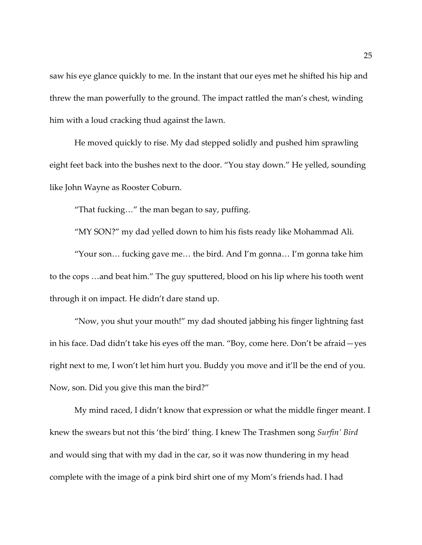saw his eye glance quickly to me. In the instant that our eyes met he shifted his hip and threw the man powerfully to the ground. The impact rattled the man's chest, winding him with a loud cracking thud against the lawn.

He moved quickly to rise. My dad stepped solidly and pushed him sprawling eight feet back into the bushes next to the door. "You stay down." He yelled, sounding like John Wayne as Rooster Coburn.

"That fucking…" the man began to say, puffing.

"MY SON?" my dad yelled down to him his fists ready like Mohammad Ali.

"Your son… fucking gave me… the bird. And I'm gonna… I'm gonna take him to the cops …and beat him." The guy sputtered, blood on his lip where his tooth went through it on impact. He didn't dare stand up.

"Now, you shut your mouth!" my dad shouted jabbing his finger lightning fast in his face. Dad didn't take his eyes off the man. "Boy, come here. Don't be afraid—yes right next to me, I won't let him hurt you. Buddy you move and it'll be the end of you. Now, son. Did you give this man the bird?"

My mind raced, I didn't know that expression or what the middle finger meant. I knew the swears but not this 'the bird' thing. I knew The Trashmen song *Surfin' Bird* and would sing that with my dad in the car, so it was now thundering in my head complete with the image of a pink bird shirt one of my Mom's friends had. I had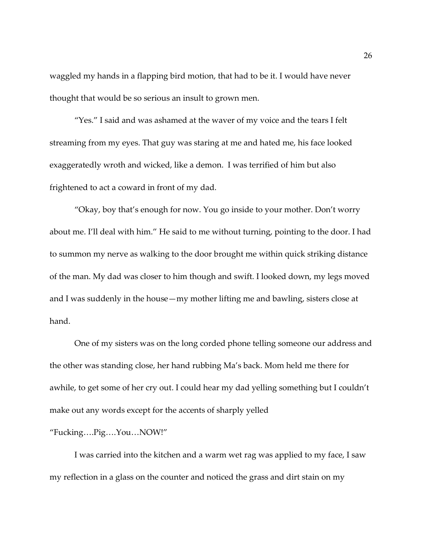waggled my hands in a flapping bird motion, that had to be it. I would have never thought that would be so serious an insult to grown men.

"Yes." I said and was ashamed at the waver of my voice and the tears I felt streaming from my eyes. That guy was staring at me and hated me, his face looked exaggeratedly wroth and wicked, like a demon. I was terrified of him but also frightened to act a coward in front of my dad.

"Okay, boy that's enough for now. You go inside to your mother. Don't worry about me. I'll deal with him." He said to me without turning, pointing to the door. I had to summon my nerve as walking to the door brought me within quick striking distance of the man. My dad was closer to him though and swift. I looked down, my legs moved and I was suddenly in the house—my mother lifting me and bawling, sisters close at hand.

One of my sisters was on the long corded phone telling someone our address and the other was standing close, her hand rubbing Ma's back. Mom held me there for awhile, to get some of her cry out. I could hear my dad yelling something but I couldn't make out any words except for the accents of sharply yelled

## "Fucking….Pig….You…NOW!"

I was carried into the kitchen and a warm wet rag was applied to my face, I saw my reflection in a glass on the counter and noticed the grass and dirt stain on my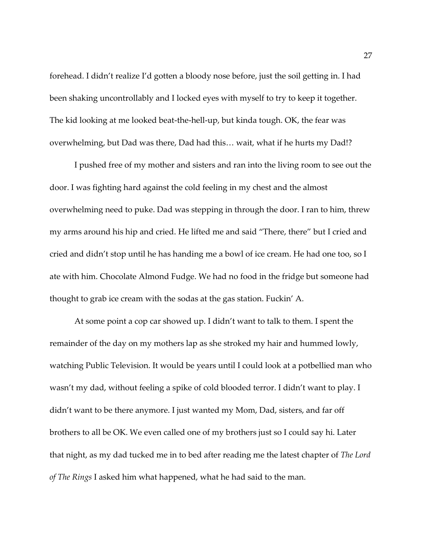forehead. I didn't realize I'd gotten a bloody nose before, just the soil getting in. I had been shaking uncontrollably and I locked eyes with myself to try to keep it together. The kid looking at me looked beat-the-hell-up, but kinda tough. OK, the fear was overwhelming, but Dad was there, Dad had this… wait, what if he hurts my Dad!?

I pushed free of my mother and sisters and ran into the living room to see out the door. I was fighting hard against the cold feeling in my chest and the almost overwhelming need to puke. Dad was stepping in through the door. I ran to him, threw my arms around his hip and cried. He lifted me and said "There, there" but I cried and cried and didn't stop until he has handing me a bowl of ice cream. He had one too, so I ate with him. Chocolate Almond Fudge. We had no food in the fridge but someone had thought to grab ice cream with the sodas at the gas station. Fuckin' A.

At some point a cop car showed up. I didn't want to talk to them. I spent the remainder of the day on my mothers lap as she stroked my hair and hummed lowly, watching Public Television. It would be years until I could look at a potbellied man who wasn't my dad, without feeling a spike of cold blooded terror. I didn't want to play. I didn't want to be there anymore. I just wanted my Mom, Dad, sisters, and far off brothers to all be OK. We even called one of my brothers just so I could say hi. Later that night, as my dad tucked me in to bed after reading me the latest chapter of *The Lord of The Rings* I asked him what happened, what he had said to the man.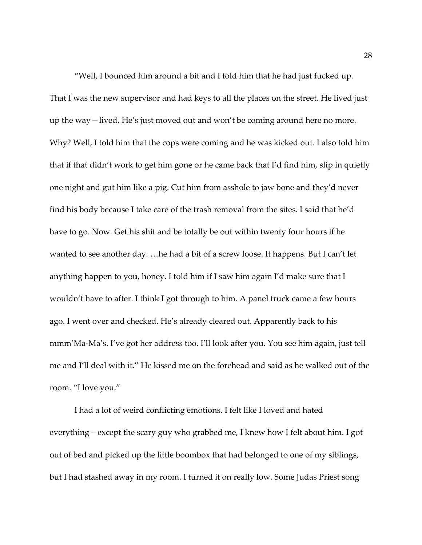"Well, I bounced him around a bit and I told him that he had just fucked up. That I was the new supervisor and had keys to all the places on the street. He lived just up the way—lived. He's just moved out and won't be coming around here no more. Why? Well, I told him that the cops were coming and he was kicked out. I also told him that if that didn't work to get him gone or he came back that I'd find him, slip in quietly one night and gut him like a pig. Cut him from asshole to jaw bone and they'd never find his body because I take care of the trash removal from the sites. I said that he'd have to go. Now. Get his shit and be totally be out within twenty four hours if he wanted to see another day. …he had a bit of a screw loose. It happens. But I can't let anything happen to you, honey. I told him if I saw him again I'd make sure that I wouldn't have to after. I think I got through to him. A panel truck came a few hours ago. I went over and checked. He's already cleared out. Apparently back to his mmm'Ma-Ma's. I've got her address too. I'll look after you. You see him again, just tell me and I'll deal with it." He kissed me on the forehead and said as he walked out of the room. "I love you."

I had a lot of weird conflicting emotions. I felt like I loved and hated everything—except the scary guy who grabbed me, I knew how I felt about him. I got out of bed and picked up the little boombox that had belonged to one of my siblings, but I had stashed away in my room. I turned it on really low. Some Judas Priest song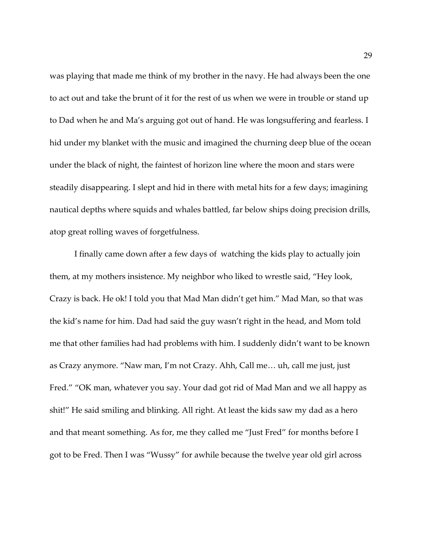was playing that made me think of my brother in the navy. He had always been the one to act out and take the brunt of it for the rest of us when we were in trouble or stand up to Dad when he and Ma's arguing got out of hand. He was longsuffering and fearless. I hid under my blanket with the music and imagined the churning deep blue of the ocean under the black of night, the faintest of horizon line where the moon and stars were steadily disappearing. I slept and hid in there with metal hits for a few days; imagining nautical depths where squids and whales battled, far below ships doing precision drills, atop great rolling waves of forgetfulness.

I finally came down after a few days of watching the kids play to actually join them, at my mothers insistence. My neighbor who liked to wrestle said, "Hey look, Crazy is back. He ok! I told you that Mad Man didn't get him." Mad Man, so that was the kid's name for him. Dad had said the guy wasn't right in the head, and Mom told me that other families had had problems with him. I suddenly didn't want to be known as Crazy anymore. "Naw man, I'm not Crazy. Ahh, Call me… uh, call me just, just Fred." "OK man, whatever you say. Your dad got rid of Mad Man and we all happy as shit!" He said smiling and blinking. All right. At least the kids saw my dad as a hero and that meant something. As for, me they called me "Just Fred" for months before I got to be Fred. Then I was "Wussy" for awhile because the twelve year old girl across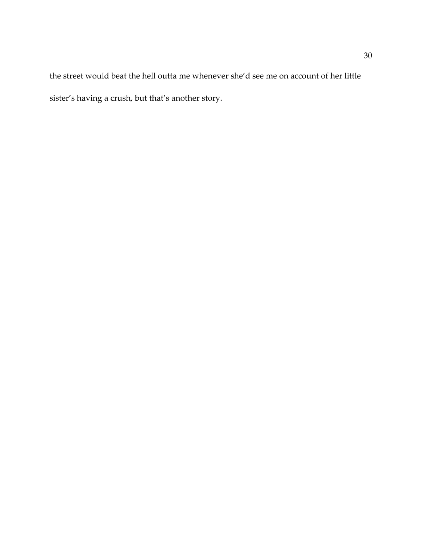the street would beat the hell outta me whenever she'd see me on account of her little sister's having a crush, but that's another story.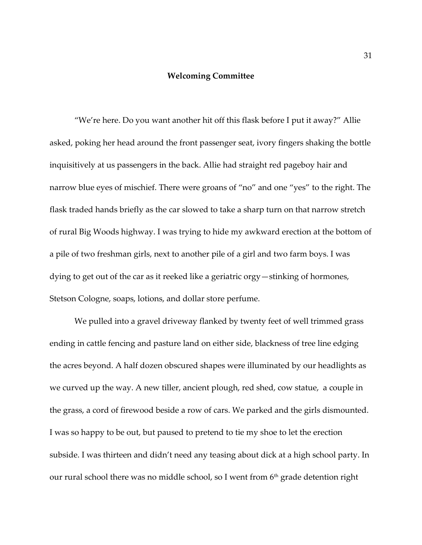### **Welcoming Committee**

"We're here. Do you want another hit off this flask before I put it away?" Allie asked, poking her head around the front passenger seat, ivory fingers shaking the bottle inquisitively at us passengers in the back. Allie had straight red pageboy hair and narrow blue eyes of mischief. There were groans of "no" and one "yes" to the right. The flask traded hands briefly as the car slowed to take a sharp turn on that narrow stretch of rural Big Woods highway. I was trying to hide my awkward erection at the bottom of a pile of two freshman girls, next to another pile of a girl and two farm boys. I was dying to get out of the car as it reeked like a geriatric orgy—stinking of hormones, Stetson Cologne, soaps, lotions, and dollar store perfume.

We pulled into a gravel driveway flanked by twenty feet of well trimmed grass ending in cattle fencing and pasture land on either side, blackness of tree line edging the acres beyond. A half dozen obscured shapes were illuminated by our headlights as we curved up the way. A new tiller, ancient plough, red shed, cow statue, a couple in the grass, a cord of firewood beside a row of cars. We parked and the girls dismounted. I was so happy to be out, but paused to pretend to tie my shoe to let the erection subside. I was thirteen and didn't need any teasing about dick at a high school party. In our rural school there was no middle school, so I went from 6<sup>th</sup> grade detention right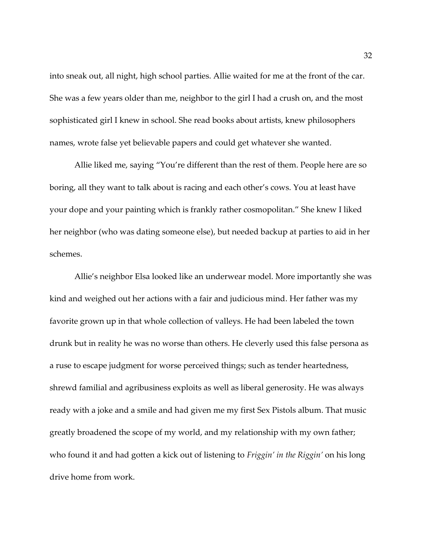into sneak out, all night, high school parties. Allie waited for me at the front of the car. She was a few years older than me, neighbor to the girl I had a crush on, and the most sophisticated girl I knew in school. She read books about artists, knew philosophers names, wrote false yet believable papers and could get whatever she wanted.

Allie liked me, saying "You're different than the rest of them. People here are so boring, all they want to talk about is racing and each other's cows. You at least have your dope and your painting which is frankly rather cosmopolitan." She knew I liked her neighbor (who was dating someone else), but needed backup at parties to aid in her schemes.

Allie's neighbor Elsa looked like an underwear model. More importantly she was kind and weighed out her actions with a fair and judicious mind. Her father was my favorite grown up in that whole collection of valleys. He had been labeled the town drunk but in reality he was no worse than others. He cleverly used this false persona as a ruse to escape judgment for worse perceived things; such as tender heartedness, shrewd familial and agribusiness exploits as well as liberal generosity. He was always ready with a joke and a smile and had given me my first Sex Pistols album. That music greatly broadened the scope of my world, and my relationship with my own father; who found it and had gotten a kick out of listening to *Friggin' in the Riggin'* on his long drive home from work.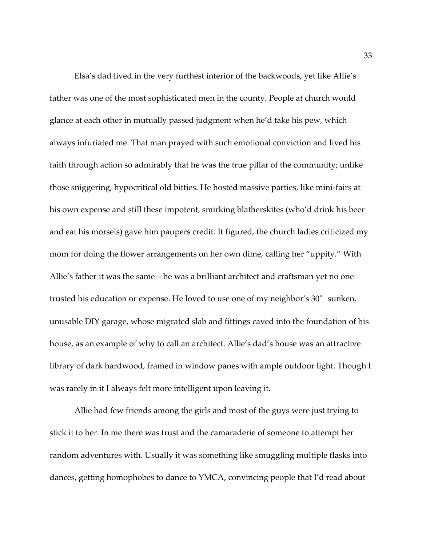Elsa's dad lived in the very furthest interior of the backwoods, yet like Allie's father was one of the most sophisticated men in the county. People at church would glance at each other in mutually passed judgment when he'd take his pew, which always infuriated me. That man prayed with such emotional conviction and lived his faith through action so admirably that he was the true pillar of the community; unlike those sniggering, hypocritical old bitties. He hosted massive parties, like mini-fairs at his own expense and still these impotent, smirking blatherskites (who'd drink his beer and eat his morsels) gave him paupers credit. It figured, the church ladies criticized my mom for doing the flower arrangements on her own dime, calling her "uppity." With Allie's father it was the same—he was a brilliant architect and craftsman yet no one trusted his education or expense. He loved to use one of my neighbor's 30° sunken, unusable DIY garage, whose migrated slab and fittings caved into the foundation of his house, as an example of why to call an architect. Allie's dad's house was an attractive library of dark hardwood, framed in window panes with ample outdoor light. Though I was rarely in it I always felt more intelligent upon leaving it.

Allie had few friends among the girls and most of the guys were just trying to stick it to her. In me there was trust and the camaraderie of someone to attempt her random adventures with. Usually it was something like smuggling multiple flasks into dances, getting homophobes to dance to YMCA, convincing people that I'd read about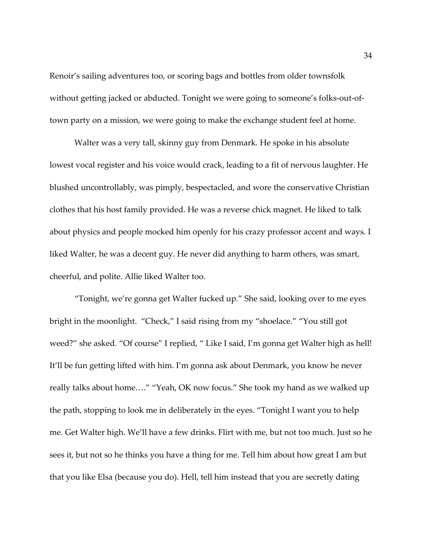Renoir's sailing adventures too, or scoring bags and bottles from older townsfolk without getting jacked or abducted. Tonight we were going to someone's folks-out-oftown party on a mission, we were going to make the exchange student feel at home.

Walter was a very tall, skinny guy from Denmark. He spoke in his absolute lowest vocal register and his voice would crack, leading to a fit of nervous laughter. He blushed uncontrollably, was pimply, bespectacled, and wore the conservative Christian clothes that his host family provided. He was a reverse chick magnet. He liked to talk about physics and people mocked him openly for his crazy professor accent and ways. I liked Walter, he was a decent guy. He never did anything to harm others, was smart, cheerful, and polite. Allie liked Walter too.

"Tonight, we're gonna get Walter fucked up." She said, looking over to me eyes bright in the moonlight. "Check," I said rising from my "shoelace." "You still got weed?" she asked. "Of course" I replied, " Like I said, I'm gonna get Walter high as hell! It'll be fun getting lifted with him. I'm gonna ask about Denmark, you know he never really talks about home…." "Yeah, OK now focus." She took my hand as we walked up the path, stopping to look me in deliberately in the eyes. "Tonight I want you to help me. Get Walter high. We'll have a few drinks. Flirt with me, but not too much. Just so he sees it, but not so he thinks you have a thing for me. Tell him about how great I am but that you like Elsa (because you do). Hell, tell him instead that you are secretly dating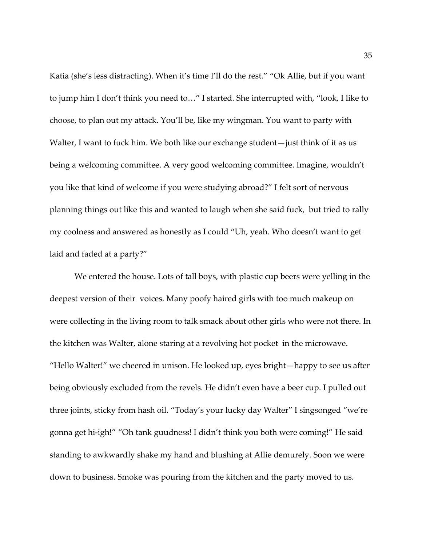Katia (she's less distracting). When it's time I'll do the rest." "Ok Allie, but if you want to jump him I don't think you need to…" I started. She interrupted with, "look, I like to choose, to plan out my attack. You'll be, like my wingman. You want to party with Walter, I want to fuck him. We both like our exchange student—just think of it as us being a welcoming committee. A very good welcoming committee. Imagine, wouldn't you like that kind of welcome if you were studying abroad?" I felt sort of nervous planning things out like this and wanted to laugh when she said fuck, but tried to rally my coolness and answered as honestly as I could "Uh, yeah. Who doesn't want to get laid and faded at a party?"

We entered the house. Lots of tall boys, with plastic cup beers were yelling in the deepest version of their voices. Many poofy haired girls with too much makeup on were collecting in the living room to talk smack about other girls who were not there. In the kitchen was Walter, alone staring at a revolving hot pocket in the microwave. "Hello Walter!" we cheered in unison. He looked up, eyes bright—happy to see us after being obviously excluded from the revels. He didn't even have a beer cup. I pulled out three joints, sticky from hash oil. "Today's your lucky day Walter" I singsonged "we're gonna get hi-igh!" "Oh tank guudness! I didn't think you both were coming!" He said standing to awkwardly shake my hand and blushing at Allie demurely. Soon we were down to business. Smoke was pouring from the kitchen and the party moved to us.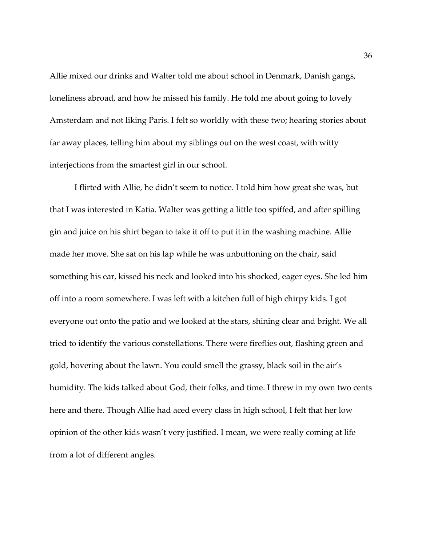Allie mixed our drinks and Walter told me about school in Denmark, Danish gangs, loneliness abroad, and how he missed his family. He told me about going to lovely Amsterdam and not liking Paris. I felt so worldly with these two; hearing stories about far away places, telling him about my siblings out on the west coast, with witty interjections from the smartest girl in our school.

I flirted with Allie, he didn't seem to notice. I told him how great she was, but that I was interested in Katia. Walter was getting a little too spiffed, and after spilling gin and juice on his shirt began to take it off to put it in the washing machine. Allie made her move. She sat on his lap while he was unbuttoning on the chair, said something his ear, kissed his neck and looked into his shocked, eager eyes. She led him off into a room somewhere. I was left with a kitchen full of high chirpy kids. I got everyone out onto the patio and we looked at the stars, shining clear and bright. We all tried to identify the various constellations. There were fireflies out, flashing green and gold, hovering about the lawn. You could smell the grassy, black soil in the air's humidity. The kids talked about God, their folks, and time. I threw in my own two cents here and there. Though Allie had aced every class in high school, I felt that her low opinion of the other kids wasn't very justified. I mean, we were really coming at life from a lot of different angles.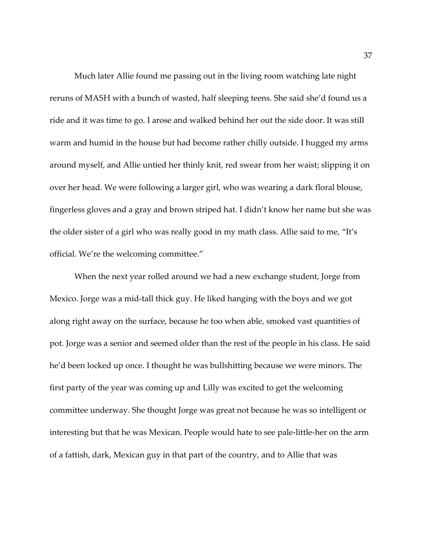Much later Allie found me passing out in the living room watching late night reruns of MASH with a bunch of wasted, half sleeping teens. She said she'd found us a ride and it was time to go. I arose and walked behind her out the side door. It was still warm and humid in the house but had become rather chilly outside. I hugged my arms around myself, and Allie untied her thinly knit, red swear from her waist; slipping it on over her head. We were following a larger girl, who was wearing a dark floral blouse, fingerless gloves and a gray and brown striped hat. I didn't know her name but she was the older sister of a girl who was really good in my math class. Allie said to me, "It's official. We're the welcoming committee."

When the next year rolled around we had a new exchange student, Jorge from Mexico. Jorge was a mid-tall thick guy. He liked hanging with the boys and we got along right away on the surface, because he too when able, smoked vast quantities of pot. Jorge was a senior and seemed older than the rest of the people in his class. He said he'd been locked up once. I thought he was bullshitting because we were minors. The first party of the year was coming up and Lilly was excited to get the welcoming committee underway. She thought Jorge was great not because he was so intelligent or interesting but that he was Mexican. People would hate to see pale-little-her on the arm of a fattish, dark, Mexican guy in that part of the country, and to Allie that was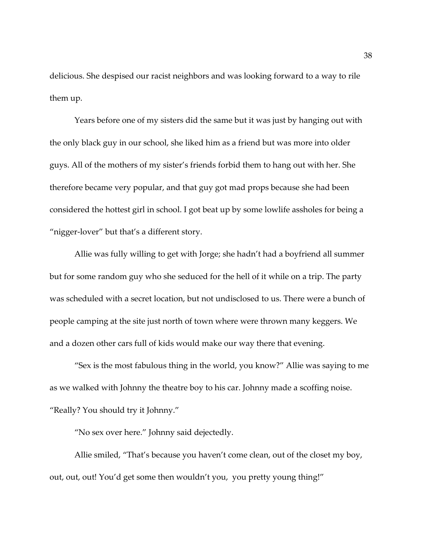delicious. She despised our racist neighbors and was looking forward to a way to rile them up.

Years before one of my sisters did the same but it was just by hanging out with the only black guy in our school, she liked him as a friend but was more into older guys. All of the mothers of my sister's friends forbid them to hang out with her. She therefore became very popular, and that guy got mad props because she had been considered the hottest girl in school. I got beat up by some lowlife assholes for being a "nigger-lover" but that's a different story.

Allie was fully willing to get with Jorge; she hadn't had a boyfriend all summer but for some random guy who she seduced for the hell of it while on a trip. The party was scheduled with a secret location, but not undisclosed to us. There were a bunch of people camping at the site just north of town where were thrown many keggers. We and a dozen other cars full of kids would make our way there that evening.

"Sex is the most fabulous thing in the world, you know?" Allie was saying to me as we walked with Johnny the theatre boy to his car. Johnny made a scoffing noise. "Really? You should try it Johnny."

"No sex over here." Johnny said dejectedly.

Allie smiled, "That's because you haven't come clean, out of the closet my boy, out, out, out! You'd get some then wouldn't you, you pretty young thing!"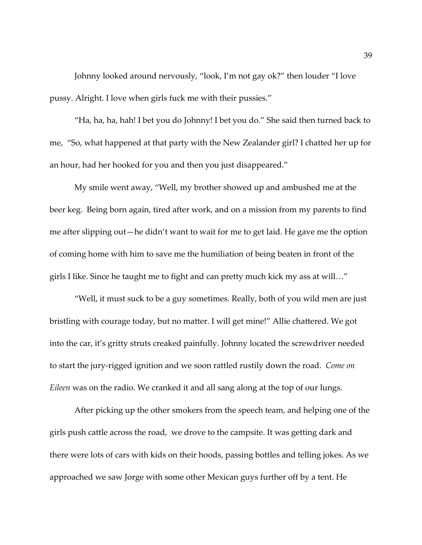Johnny looked around nervously, "look, I'm not gay ok?" then louder "I love pussy. Alright. I love when girls fuck me with their pussies."

"Ha, ha, ha, hah! I bet you do Johnny! I bet you do." She said then turned back to me, "So, what happened at that party with the New Zealander girl? I chatted her up for an hour, had her hooked for you and then you just disappeared."

My smile went away, "Well, my brother showed up and ambushed me at the beer keg. Being born again, tired after work, and on a mission from my parents to find me after slipping out—he didn't want to wait for me to get laid. He gave me the option of coming home with him to save me the humiliation of being beaten in front of the girls I like. Since he taught me to fight and can pretty much kick my ass at will…"

"Well, it must suck to be a guy sometimes. Really, both of you wild men are just bristling with courage today, but no matter. I will get mine!" Allie chattered. We got into the car, it's gritty struts creaked painfully. Johnny located the screwdriver needed to start the jury-rigged ignition and we soon rattled rustily down the road. *Come on Eileen* was on the radio. We cranked it and all sang along at the top of our lungs.

After picking up the other smokers from the speech team, and helping one of the girls push cattle across the road, we drove to the campsite. It was getting dark and there were lots of cars with kids on their hoods, passing bottles and telling jokes. As we approached we saw Jorge with some other Mexican guys further off by a tent. He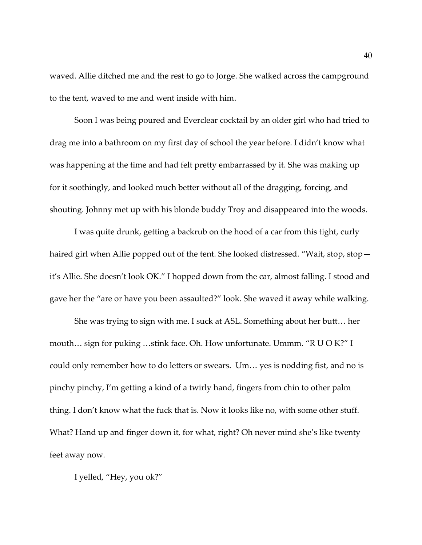waved. Allie ditched me and the rest to go to Jorge. She walked across the campground to the tent, waved to me and went inside with him.

Soon I was being poured and Everclear cocktail by an older girl who had tried to drag me into a bathroom on my first day of school the year before. I didn't know what was happening at the time and had felt pretty embarrassed by it. She was making up for it soothingly, and looked much better without all of the dragging, forcing, and shouting. Johnny met up with his blonde buddy Troy and disappeared into the woods.

I was quite drunk, getting a backrub on the hood of a car from this tight, curly haired girl when Allie popped out of the tent. She looked distressed. "Wait, stop, stop it's Allie. She doesn't look OK." I hopped down from the car, almost falling. I stood and gave her the "are or have you been assaulted?" look. She waved it away while walking.

She was trying to sign with me. I suck at ASL. Something about her butt… her mouth… sign for puking …stink face. Oh. How unfortunate. Ummm. "R U O K?" I could only remember how to do letters or swears. Um… yes is nodding fist, and no is pinchy pinchy, I'm getting a kind of a twirly hand, fingers from chin to other palm thing. I don't know what the fuck that is. Now it looks like no, with some other stuff. What? Hand up and finger down it, for what, right? Oh never mind she's like twenty feet away now.

I yelled, "Hey, you ok?"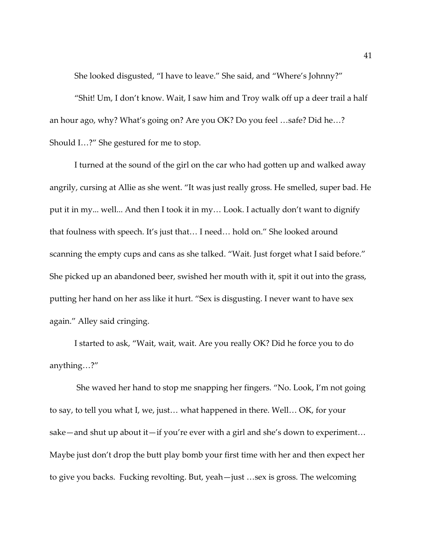She looked disgusted, "I have to leave." She said, and "Where's Johnny?"

"Shit! Um, I don't know. Wait, I saw him and Troy walk off up a deer trail a half an hour ago, why? What's going on? Are you OK? Do you feel …safe? Did he…? Should I…?" She gestured for me to stop.

I turned at the sound of the girl on the car who had gotten up and walked away angrily, cursing at Allie as she went. "It was just really gross. He smelled, super bad. He put it in my... well... And then I took it in my… Look. I actually don't want to dignify that foulness with speech. It's just that… I need… hold on." She looked around scanning the empty cups and cans as she talked. "Wait. Just forget what I said before." She picked up an abandoned beer, swished her mouth with it, spit it out into the grass, putting her hand on her ass like it hurt. "Sex is disgusting. I never want to have sex again." Alley said cringing.

I started to ask, "Wait, wait, wait. Are you really OK? Did he force you to do anything…?"

She waved her hand to stop me snapping her fingers. "No. Look, I'm not going to say, to tell you what I, we, just… what happened in there. Well… OK, for your sake—and shut up about it—if you're ever with a girl and she's down to experiment… Maybe just don't drop the butt play bomb your first time with her and then expect her to give you backs. Fucking revolting. But, yeah—just …sex is gross. The welcoming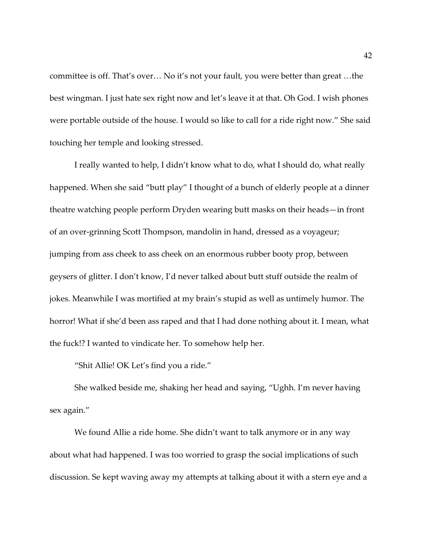committee is off. That's over… No it's not your fault, you were better than great …the best wingman. I just hate sex right now and let's leave it at that. Oh God. I wish phones were portable outside of the house. I would so like to call for a ride right now." She said touching her temple and looking stressed.

I really wanted to help, I didn't know what to do, what I should do, what really happened. When she said "butt play" I thought of a bunch of elderly people at a dinner theatre watching people perform Dryden wearing butt masks on their heads—in front of an over-grinning Scott Thompson, mandolin in hand, dressed as a voyageur; jumping from ass cheek to ass cheek on an enormous rubber booty prop, between geysers of glitter. I don't know, I'd never talked about butt stuff outside the realm of jokes. Meanwhile I was mortified at my brain's stupid as well as untimely humor. The horror! What if she'd been ass raped and that I had done nothing about it. I mean, what the fuck!? I wanted to vindicate her. To somehow help her.

"Shit Allie! OK Let's find you a ride."

She walked beside me, shaking her head and saying, "Ughh. I'm never having sex again."

We found Allie a ride home. She didn't want to talk anymore or in any way about what had happened. I was too worried to grasp the social implications of such discussion. Se kept waving away my attempts at talking about it with a stern eye and a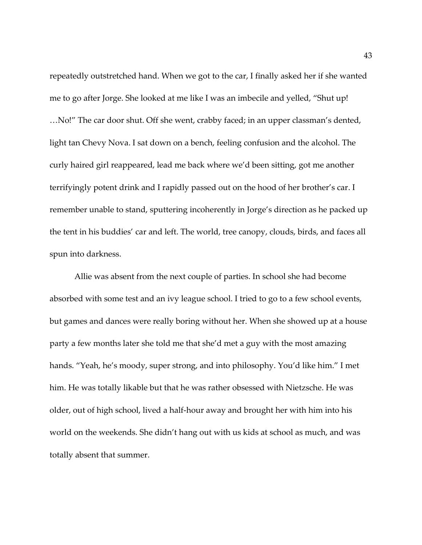repeatedly outstretched hand. When we got to the car, I finally asked her if she wanted me to go after Jorge. She looked at me like I was an imbecile and yelled, "Shut up! …No!" The car door shut. Off she went, crabby faced; in an upper classman's dented, light tan Chevy Nova. I sat down on a bench, feeling confusion and the alcohol. The curly haired girl reappeared, lead me back where we'd been sitting, got me another terrifyingly potent drink and I rapidly passed out on the hood of her brother's car. I remember unable to stand, sputtering incoherently in Jorge's direction as he packed up the tent in his buddies' car and left. The world, tree canopy, clouds, birds, and faces all spun into darkness.

Allie was absent from the next couple of parties. In school she had become absorbed with some test and an ivy league school. I tried to go to a few school events, but games and dances were really boring without her. When she showed up at a house party a few months later she told me that she'd met a guy with the most amazing hands. "Yeah, he's moody, super strong, and into philosophy. You'd like him." I met him. He was totally likable but that he was rather obsessed with Nietzsche. He was older, out of high school, lived a half-hour away and brought her with him into his world on the weekends. She didn't hang out with us kids at school as much, and was totally absent that summer.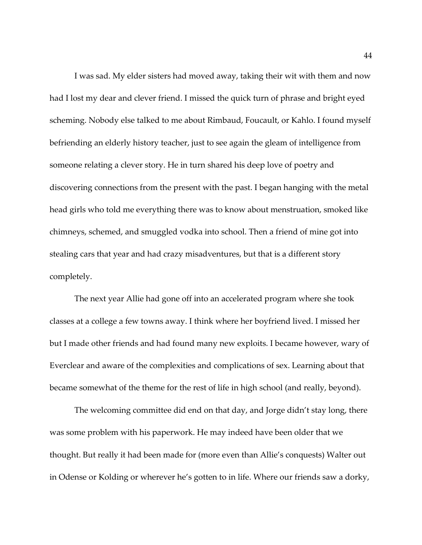I was sad. My elder sisters had moved away, taking their wit with them and now had I lost my dear and clever friend. I missed the quick turn of phrase and bright eyed scheming. Nobody else talked to me about Rimbaud, Foucault, or Kahlo. I found myself befriending an elderly history teacher, just to see again the gleam of intelligence from someone relating a clever story. He in turn shared his deep love of poetry and discovering connections from the present with the past. I began hanging with the metal head girls who told me everything there was to know about menstruation, smoked like chimneys, schemed, and smuggled vodka into school. Then a friend of mine got into stealing cars that year and had crazy misadventures, but that is a different story completely.

The next year Allie had gone off into an accelerated program where she took classes at a college a few towns away. I think where her boyfriend lived. I missed her but I made other friends and had found many new exploits. I became however, wary of Everclear and aware of the complexities and complications of sex. Learning about that became somewhat of the theme for the rest of life in high school (and really, beyond).

The welcoming committee did end on that day, and Jorge didn't stay long, there was some problem with his paperwork. He may indeed have been older that we thought. But really it had been made for (more even than Allie's conquests) Walter out in Odense or Kolding or wherever he's gotten to in life. Where our friends saw a dorky,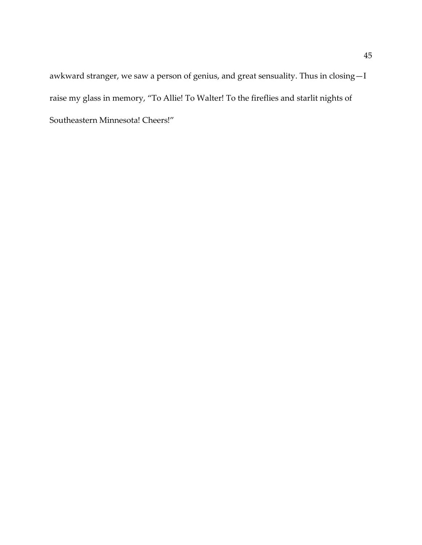awkward stranger, we saw a person of genius, and great sensuality. Thus in closing—I raise my glass in memory, "To Allie! To Walter! To the fireflies and starlit nights of Southeastern Minnesota! Cheers!"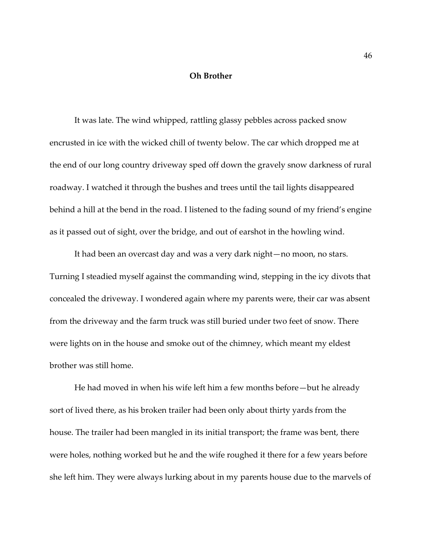## **Oh Brother**

It was late. The wind whipped, rattling glassy pebbles across packed snow encrusted in ice with the wicked chill of twenty below. The car which dropped me at the end of our long country driveway sped off down the gravely snow darkness of rural roadway. I watched it through the bushes and trees until the tail lights disappeared behind a hill at the bend in the road. I listened to the fading sound of my friend's engine as it passed out of sight, over the bridge, and out of earshot in the howling wind.

It had been an overcast day and was a very dark night—no moon, no stars. Turning I steadied myself against the commanding wind, stepping in the icy divots that concealed the driveway. I wondered again where my parents were, their car was absent from the driveway and the farm truck was still buried under two feet of snow. There were lights on in the house and smoke out of the chimney, which meant my eldest brother was still home.

He had moved in when his wife left him a few months before—but he already sort of lived there, as his broken trailer had been only about thirty yards from the house. The trailer had been mangled in its initial transport; the frame was bent, there were holes, nothing worked but he and the wife roughed it there for a few years before she left him. They were always lurking about in my parents house due to the marvels of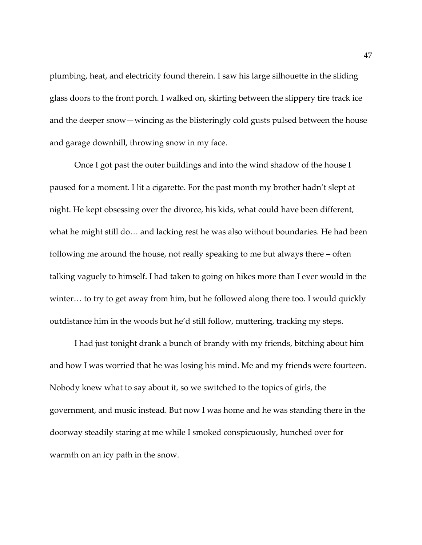plumbing, heat, and electricity found therein. I saw his large silhouette in the sliding glass doors to the front porch. I walked on, skirting between the slippery tire track ice and the deeper snow—wincing as the blisteringly cold gusts pulsed between the house and garage downhill, throwing snow in my face.

Once I got past the outer buildings and into the wind shadow of the house I paused for a moment. I lit a cigarette. For the past month my brother hadn't slept at night. He kept obsessing over the divorce, his kids, what could have been different, what he might still do… and lacking rest he was also without boundaries. He had been following me around the house, not really speaking to me but always there – often talking vaguely to himself. I had taken to going on hikes more than I ever would in the winter… to try to get away from him, but he followed along there too. I would quickly outdistance him in the woods but he'd still follow, muttering, tracking my steps.

I had just tonight drank a bunch of brandy with my friends, bitching about him and how I was worried that he was losing his mind. Me and my friends were fourteen. Nobody knew what to say about it, so we switched to the topics of girls, the government, and music instead. But now I was home and he was standing there in the doorway steadily staring at me while I smoked conspicuously, hunched over for warmth on an icy path in the snow.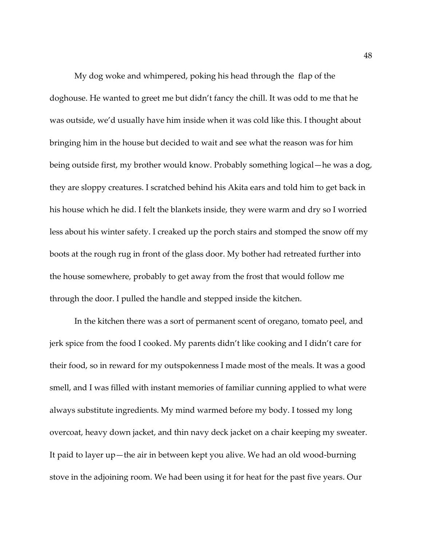My dog woke and whimpered, poking his head through the flap of the doghouse. He wanted to greet me but didn't fancy the chill. It was odd to me that he was outside, we'd usually have him inside when it was cold like this. I thought about bringing him in the house but decided to wait and see what the reason was for him being outside first, my brother would know. Probably something logical—he was a dog, they are sloppy creatures. I scratched behind his Akita ears and told him to get back in his house which he did. I felt the blankets inside, they were warm and dry so I worried less about his winter safety. I creaked up the porch stairs and stomped the snow off my boots at the rough rug in front of the glass door. My bother had retreated further into the house somewhere, probably to get away from the frost that would follow me through the door. I pulled the handle and stepped inside the kitchen.

In the kitchen there was a sort of permanent scent of oregano, tomato peel, and jerk spice from the food I cooked. My parents didn't like cooking and I didn't care for their food, so in reward for my outspokenness I made most of the meals. It was a good smell, and I was filled with instant memories of familiar cunning applied to what were always substitute ingredients. My mind warmed before my body. I tossed my long overcoat, heavy down jacket, and thin navy deck jacket on a chair keeping my sweater. It paid to layer up—the air in between kept you alive. We had an old wood-burning stove in the adjoining room. We had been using it for heat for the past five years. Our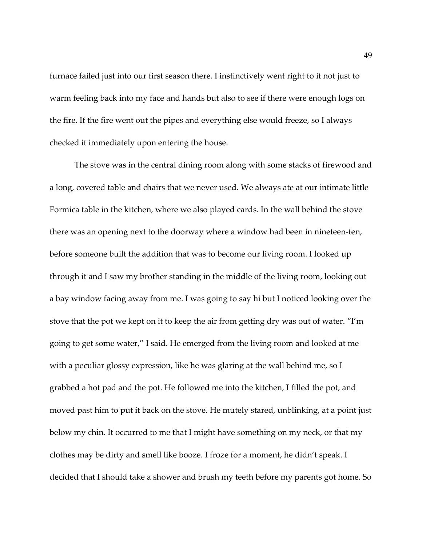furnace failed just into our first season there. I instinctively went right to it not just to warm feeling back into my face and hands but also to see if there were enough logs on the fire. If the fire went out the pipes and everything else would freeze, so I always checked it immediately upon entering the house.

The stove was in the central dining room along with some stacks of firewood and a long, covered table and chairs that we never used. We always ate at our intimate little Formica table in the kitchen, where we also played cards. In the wall behind the stove there was an opening next to the doorway where a window had been in nineteen-ten, before someone built the addition that was to become our living room. I looked up through it and I saw my brother standing in the middle of the living room, looking out a bay window facing away from me. I was going to say hi but I noticed looking over the stove that the pot we kept on it to keep the air from getting dry was out of water. "I'm going to get some water," I said. He emerged from the living room and looked at me with a peculiar glossy expression, like he was glaring at the wall behind me, so I grabbed a hot pad and the pot. He followed me into the kitchen, I filled the pot, and moved past him to put it back on the stove. He mutely stared, unblinking, at a point just below my chin. It occurred to me that I might have something on my neck, or that my clothes may be dirty and smell like booze. I froze for a moment, he didn't speak. I decided that I should take a shower and brush my teeth before my parents got home. So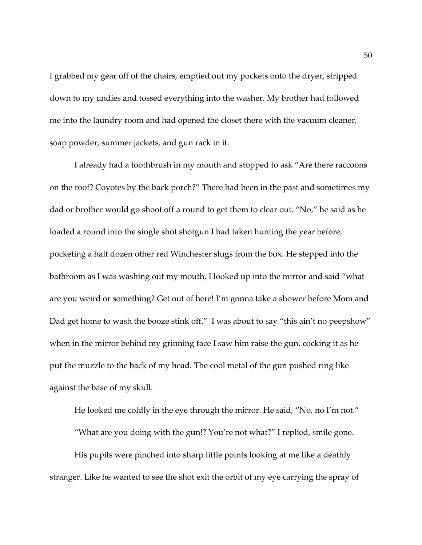I grabbed my gear off of the chairs, emptied out my pockets onto the dryer, stripped down to my undies and tossed everything into the washer. My brother had followed me into the laundry room and had opened the closet there with the vacuum cleaner, soap powder, summer jackets, and gun rack in it.

I already had a toothbrush in my mouth and stopped to ask "Are there raccoons on the roof? Coyotes by the back porch?" There had been in the past and sometimes my dad or brother would go shoot off a round to get them to clear out. "No," he said as he loaded a round into the single shot shotgun I had taken hunting the year before, pocketing a half dozen other red Winchester slugs from the box. He stepped into the bathroom as I was washing out my mouth, I looked up into the mirror and said "what are you weird or something? Get out of here! I'm gonna take a shower before Mom and Dad get home to wash the booze stink off." I was about to say "this ain't no peepshow" when in the mirror behind my grinning face I saw him raise the gun, cocking it as he put the muzzle to the back of my head. The cool metal of the gun pushed ring like against the base of my skull.

He looked me coldly in the eye through the mirror. He said, "No, no I'm not." "What are you doing with the gun!? You're not what?" I replied, smile gone. His pupils were pinched into sharp little points looking at me like a deathly stranger. Like he wanted to see the shot exit the orbit of my eye carrying the spray of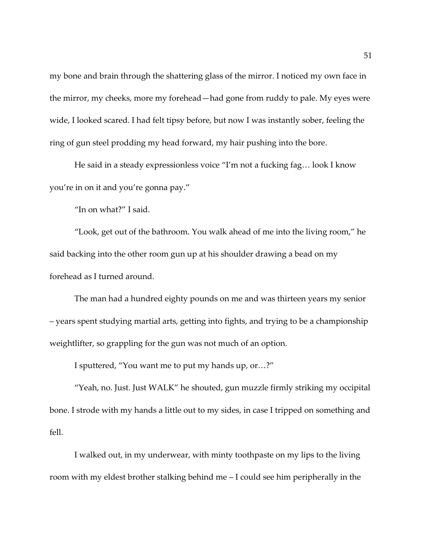my bone and brain through the shattering glass of the mirror. I noticed my own face in the mirror, my cheeks, more my forehead—had gone from ruddy to pale. My eyes were wide, I looked scared. I had felt tipsy before, but now I was instantly sober, feeling the ring of gun steel prodding my head forward, my hair pushing into the bore.

He said in a steady expressionless voice "I'm not a fucking fag… look I know you're in on it and you're gonna pay."

"In on what?" I said.

"Look, get out of the bathroom. You walk ahead of me into the living room," he said backing into the other room gun up at his shoulder drawing a bead on my forehead as I turned around.

The man had a hundred eighty pounds on me and was thirteen years my senior – years spent studying martial arts, getting into fights, and trying to be a championship weightlifter, so grappling for the gun was not much of an option.

I sputtered, "You want me to put my hands up, or…?"

"Yeah, no. Just. Just WALK" he shouted, gun muzzle firmly striking my occipital bone. I strode with my hands a little out to my sides, in case I tripped on something and fell.

I walked out, in my underwear, with minty toothpaste on my lips to the living room with my eldest brother stalking behind me – I could see him peripherally in the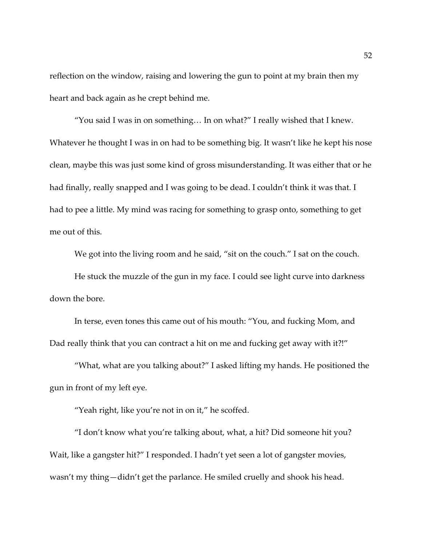reflection on the window, raising and lowering the gun to point at my brain then my heart and back again as he crept behind me.

"You said I was in on something… In on what?" I really wished that I knew. Whatever he thought I was in on had to be something big. It wasn't like he kept his nose clean, maybe this was just some kind of gross misunderstanding. It was either that or he had finally, really snapped and I was going to be dead. I couldn't think it was that. I had to pee a little. My mind was racing for something to grasp onto, something to get me out of this.

We got into the living room and he said, "sit on the couch." I sat on the couch.

He stuck the muzzle of the gun in my face. I could see light curve into darkness down the bore.

In terse, even tones this came out of his mouth: "You, and fucking Mom, and Dad really think that you can contract a hit on me and fucking get away with it?!"

"What, what are you talking about?" I asked lifting my hands. He positioned the gun in front of my left eye.

"Yeah right, like you're not in on it," he scoffed.

"I don't know what you're talking about, what, a hit? Did someone hit you? Wait, like a gangster hit?" I responded. I hadn't yet seen a lot of gangster movies, wasn't my thing—didn't get the parlance. He smiled cruelly and shook his head.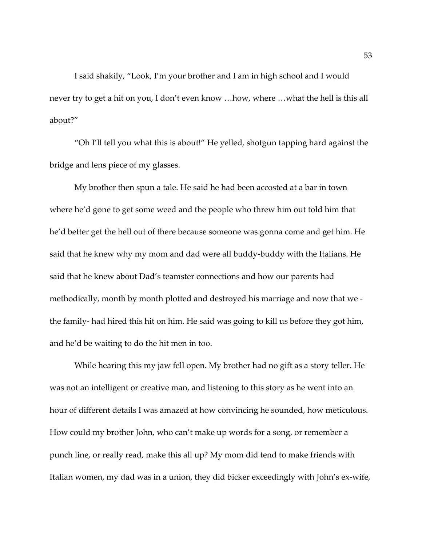I said shakily, "Look, I'm your brother and I am in high school and I would never try to get a hit on you, I don't even know …how, where …what the hell is this all about?"

"Oh I'll tell you what this is about!" He yelled, shotgun tapping hard against the bridge and lens piece of my glasses.

My brother then spun a tale. He said he had been accosted at a bar in town where he'd gone to get some weed and the people who threw him out told him that he'd better get the hell out of there because someone was gonna come and get him. He said that he knew why my mom and dad were all buddy-buddy with the Italians. He said that he knew about Dad's teamster connections and how our parents had methodically, month by month plotted and destroyed his marriage and now that we the family- had hired this hit on him. He said was going to kill us before they got him, and he'd be waiting to do the hit men in too.

While hearing this my jaw fell open. My brother had no gift as a story teller. He was not an intelligent or creative man, and listening to this story as he went into an hour of different details I was amazed at how convincing he sounded, how meticulous. How could my brother John, who can't make up words for a song, or remember a punch line, or really read, make this all up? My mom did tend to make friends with Italian women, my dad was in a union, they did bicker exceedingly with John's ex-wife,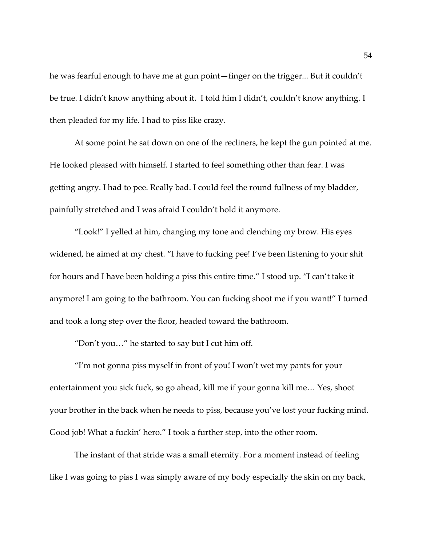he was fearful enough to have me at gun point—finger on the trigger... But it couldn't be true. I didn't know anything about it. I told him I didn't, couldn't know anything. I then pleaded for my life. I had to piss like crazy.

At some point he sat down on one of the recliners, he kept the gun pointed at me. He looked pleased with himself. I started to feel something other than fear. I was getting angry. I had to pee. Really bad. I could feel the round fullness of my bladder, painfully stretched and I was afraid I couldn't hold it anymore.

"Look!" I yelled at him, changing my tone and clenching my brow. His eyes widened, he aimed at my chest. "I have to fucking pee! I've been listening to your shit for hours and I have been holding a piss this entire time." I stood up. "I can't take it anymore! I am going to the bathroom. You can fucking shoot me if you want!" I turned and took a long step over the floor, headed toward the bathroom.

"Don't you…" he started to say but I cut him off.

"I'm not gonna piss myself in front of you! I won't wet my pants for your entertainment you sick fuck, so go ahead, kill me if your gonna kill me… Yes, shoot your brother in the back when he needs to piss, because you've lost your fucking mind. Good job! What a fuckin' hero." I took a further step, into the other room.

The instant of that stride was a small eternity. For a moment instead of feeling like I was going to piss I was simply aware of my body especially the skin on my back,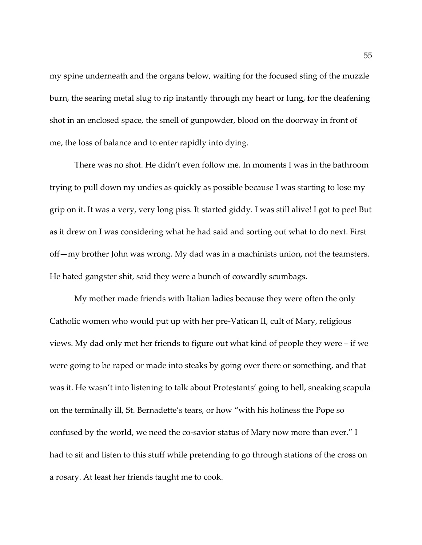my spine underneath and the organs below, waiting for the focused sting of the muzzle burn, the searing metal slug to rip instantly through my heart or lung, for the deafening shot in an enclosed space, the smell of gunpowder, blood on the doorway in front of me, the loss of balance and to enter rapidly into dying.

There was no shot. He didn't even follow me. In moments I was in the bathroom trying to pull down my undies as quickly as possible because I was starting to lose my grip on it. It was a very, very long piss. It started giddy. I was still alive! I got to pee! But as it drew on I was considering what he had said and sorting out what to do next. First off—my brother John was wrong. My dad was in a machinists union, not the teamsters. He hated gangster shit, said they were a bunch of cowardly scumbags.

My mother made friends with Italian ladies because they were often the only Catholic women who would put up with her pre-Vatican II, cult of Mary, religious views. My dad only met her friends to figure out what kind of people they were – if we were going to be raped or made into steaks by going over there or something, and that was it. He wasn't into listening to talk about Protestants' going to hell, sneaking scapula on the terminally ill, St. Bernadette's tears, or how "with his holiness the Pope so confused by the world, we need the co-savior status of Mary now more than ever." I had to sit and listen to this stuff while pretending to go through stations of the cross on a rosary. At least her friends taught me to cook.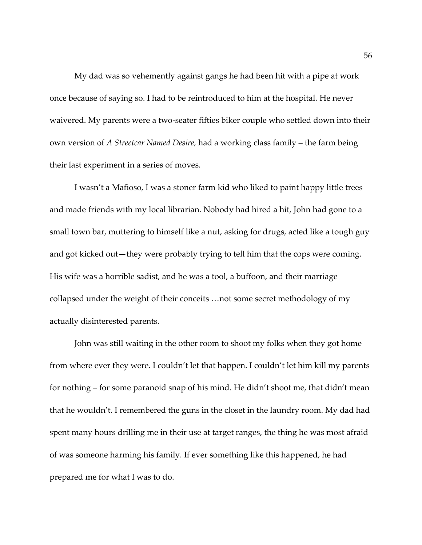My dad was so vehemently against gangs he had been hit with a pipe at work once because of saying so. I had to be reintroduced to him at the hospital. He never waivered. My parents were a two-seater fifties biker couple who settled down into their own version of *A Streetcar Named Desire,* had a working class family – the farm being their last experiment in a series of moves.

I wasn't a Mafioso, I was a stoner farm kid who liked to paint happy little trees and made friends with my local librarian. Nobody had hired a hit, John had gone to a small town bar, muttering to himself like a nut, asking for drugs, acted like a tough guy and got kicked out—they were probably trying to tell him that the cops were coming. His wife was a horrible sadist, and he was a tool, a buffoon, and their marriage collapsed under the weight of their conceits …not some secret methodology of my actually disinterested parents.

John was still waiting in the other room to shoot my folks when they got home from where ever they were. I couldn't let that happen. I couldn't let him kill my parents for nothing – for some paranoid snap of his mind. He didn't shoot me, that didn't mean that he wouldn't. I remembered the guns in the closet in the laundry room. My dad had spent many hours drilling me in their use at target ranges, the thing he was most afraid of was someone harming his family. If ever something like this happened, he had prepared me for what I was to do.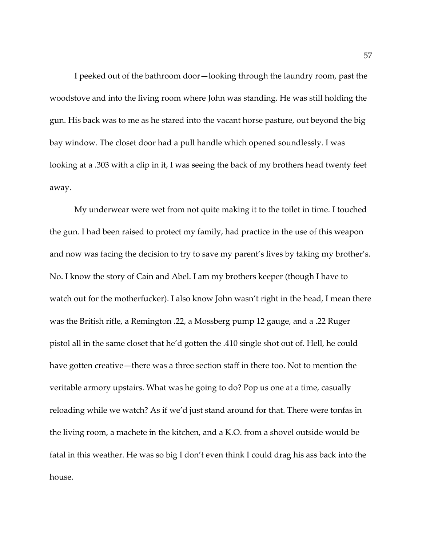I peeked out of the bathroom door—looking through the laundry room, past the woodstove and into the living room where John was standing. He was still holding the gun. His back was to me as he stared into the vacant horse pasture, out beyond the big bay window. The closet door had a pull handle which opened soundlessly. I was looking at a .303 with a clip in it, I was seeing the back of my brothers head twenty feet away.

My underwear were wet from not quite making it to the toilet in time. I touched the gun. I had been raised to protect my family, had practice in the use of this weapon and now was facing the decision to try to save my parent's lives by taking my brother's. No. I know the story of Cain and Abel. I am my brothers keeper (though I have to watch out for the motherfucker). I also know John wasn't right in the head, I mean there was the British rifle, a Remington .22, a Mossberg pump 12 gauge, and a .22 Ruger pistol all in the same closet that he'd gotten the .410 single shot out of. Hell, he could have gotten creative—there was a three section staff in there too. Not to mention the veritable armory upstairs. What was he going to do? Pop us one at a time, casually reloading while we watch? As if we'd just stand around for that. There were tonfas in the living room, a machete in the kitchen, and a K.O. from a shovel outside would be fatal in this weather. He was so big I don't even think I could drag his ass back into the house.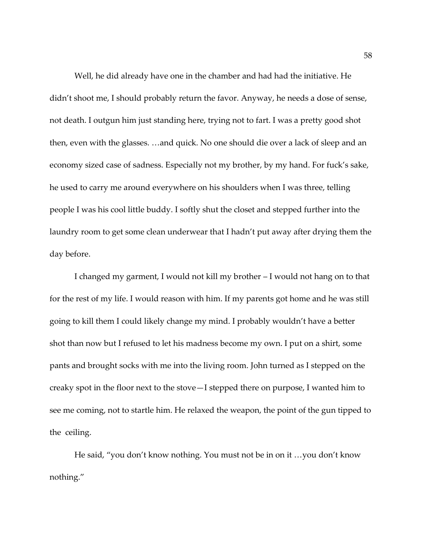Well, he did already have one in the chamber and had had the initiative. He didn't shoot me, I should probably return the favor. Anyway, he needs a dose of sense, not death. I outgun him just standing here, trying not to fart. I was a pretty good shot then, even with the glasses. …and quick. No one should die over a lack of sleep and an economy sized case of sadness. Especially not my brother, by my hand. For fuck's sake, he used to carry me around everywhere on his shoulders when I was three, telling people I was his cool little buddy. I softly shut the closet and stepped further into the laundry room to get some clean underwear that I hadn't put away after drying them the day before.

I changed my garment, I would not kill my brother – I would not hang on to that for the rest of my life. I would reason with him. If my parents got home and he was still going to kill them I could likely change my mind. I probably wouldn't have a better shot than now but I refused to let his madness become my own. I put on a shirt, some pants and brought socks with me into the living room. John turned as I stepped on the creaky spot in the floor next to the stove—I stepped there on purpose, I wanted him to see me coming, not to startle him. He relaxed the weapon, the point of the gun tipped to the ceiling.

He said, "you don't know nothing. You must not be in on it …you don't know nothing."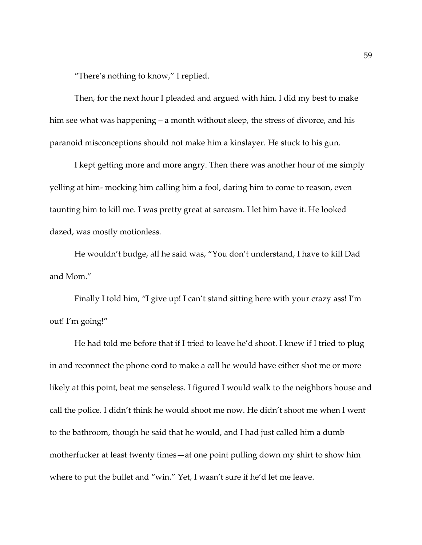"There's nothing to know," I replied.

Then, for the next hour I pleaded and argued with him. I did my best to make him see what was happening – a month without sleep, the stress of divorce, and his paranoid misconceptions should not make him a kinslayer. He stuck to his gun.

I kept getting more and more angry. Then there was another hour of me simply yelling at him- mocking him calling him a fool, daring him to come to reason, even taunting him to kill me. I was pretty great at sarcasm. I let him have it. He looked dazed, was mostly motionless.

He wouldn't budge, all he said was, "You don't understand, I have to kill Dad and Mom."

Finally I told him, "I give up! I can't stand sitting here with your crazy ass! I'm out! I'm going!"

He had told me before that if I tried to leave he'd shoot. I knew if I tried to plug in and reconnect the phone cord to make a call he would have either shot me or more likely at this point, beat me senseless. I figured I would walk to the neighbors house and call the police. I didn't think he would shoot me now. He didn't shoot me when I went to the bathroom, though he said that he would, and I had just called him a dumb motherfucker at least twenty times—at one point pulling down my shirt to show him where to put the bullet and "win." Yet, I wasn't sure if he'd let me leave.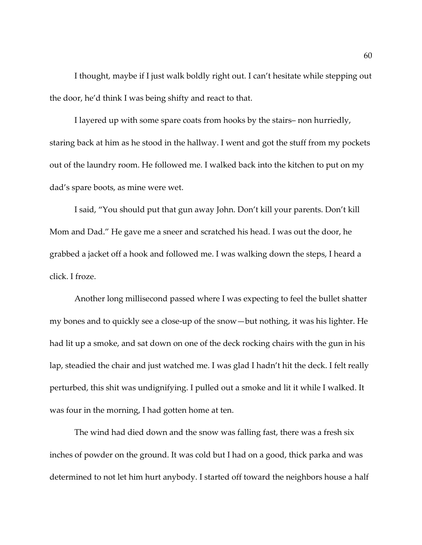I thought, maybe if I just walk boldly right out. I can't hesitate while stepping out the door, he'd think I was being shifty and react to that.

I layered up with some spare coats from hooks by the stairs– non hurriedly, staring back at him as he stood in the hallway. I went and got the stuff from my pockets out of the laundry room. He followed me. I walked back into the kitchen to put on my dad's spare boots, as mine were wet.

I said, "You should put that gun away John. Don't kill your parents. Don't kill Mom and Dad." He gave me a sneer and scratched his head. I was out the door, he grabbed a jacket off a hook and followed me. I was walking down the steps, I heard a click. I froze.

Another long millisecond passed where I was expecting to feel the bullet shatter my bones and to quickly see a close-up of the snow—but nothing, it was his lighter. He had lit up a smoke, and sat down on one of the deck rocking chairs with the gun in his lap, steadied the chair and just watched me. I was glad I hadn't hit the deck. I felt really perturbed, this shit was undignifying. I pulled out a smoke and lit it while I walked. It was four in the morning, I had gotten home at ten.

The wind had died down and the snow was falling fast, there was a fresh six inches of powder on the ground. It was cold but I had on a good, thick parka and was determined to not let him hurt anybody. I started off toward the neighbors house a half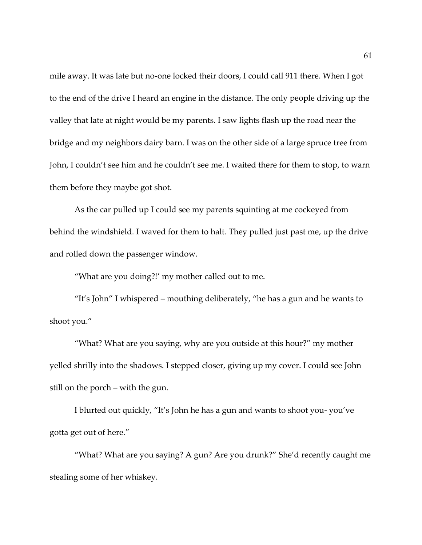mile away. It was late but no-one locked their doors, I could call 911 there. When I got to the end of the drive I heard an engine in the distance. The only people driving up the valley that late at night would be my parents. I saw lights flash up the road near the bridge and my neighbors dairy barn. I was on the other side of a large spruce tree from John, I couldn't see him and he couldn't see me. I waited there for them to stop, to warn them before they maybe got shot.

As the car pulled up I could see my parents squinting at me cockeyed from behind the windshield. I waved for them to halt. They pulled just past me, up the drive and rolled down the passenger window.

"What are you doing?!' my mother called out to me.

"It's John" I whispered – mouthing deliberately, "he has a gun and he wants to shoot you."

"What? What are you saying, why are you outside at this hour?" my mother yelled shrilly into the shadows. I stepped closer, giving up my cover. I could see John still on the porch – with the gun.

I blurted out quickly, "It's John he has a gun and wants to shoot you- you've gotta get out of here."

"What? What are you saying? A gun? Are you drunk?" She'd recently caught me stealing some of her whiskey.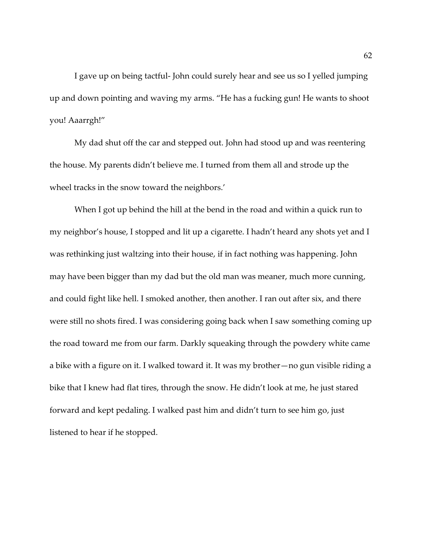I gave up on being tactful- John could surely hear and see us so I yelled jumping up and down pointing and waving my arms. "He has a fucking gun! He wants to shoot you! Aaarrgh!"

My dad shut off the car and stepped out. John had stood up and was reentering the house. My parents didn't believe me. I turned from them all and strode up the wheel tracks in the snow toward the neighbors.'

When I got up behind the hill at the bend in the road and within a quick run to my neighbor's house, I stopped and lit up a cigarette. I hadn't heard any shots yet and I was rethinking just waltzing into their house, if in fact nothing was happening. John may have been bigger than my dad but the old man was meaner, much more cunning, and could fight like hell. I smoked another, then another. I ran out after six, and there were still no shots fired. I was considering going back when I saw something coming up the road toward me from our farm. Darkly squeaking through the powdery white came a bike with a figure on it. I walked toward it. It was my brother—no gun visible riding a bike that I knew had flat tires, through the snow. He didn't look at me, he just stared forward and kept pedaling. I walked past him and didn't turn to see him go, just listened to hear if he stopped.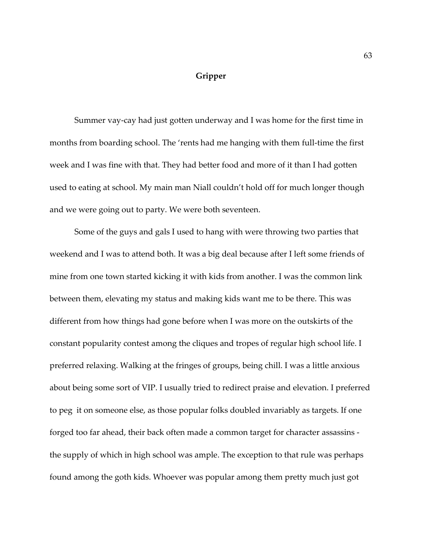## **Gripper**

Summer vay-cay had just gotten underway and I was home for the first time in months from boarding school. The 'rents had me hanging with them full-time the first week and I was fine with that. They had better food and more of it than I had gotten used to eating at school. My main man Niall couldn't hold off for much longer though and we were going out to party. We were both seventeen.

Some of the guys and gals I used to hang with were throwing two parties that weekend and I was to attend both. It was a big deal because after I left some friends of mine from one town started kicking it with kids from another. I was the common link between them, elevating my status and making kids want me to be there. This was different from how things had gone before when I was more on the outskirts of the constant popularity contest among the cliques and tropes of regular high school life. I preferred relaxing. Walking at the fringes of groups, being chill. I was a little anxious about being some sort of VIP. I usually tried to redirect praise and elevation. I preferred to peg it on someone else, as those popular folks doubled invariably as targets. If one forged too far ahead, their back often made a common target for character assassins the supply of which in high school was ample. The exception to that rule was perhaps found among the goth kids. Whoever was popular among them pretty much just got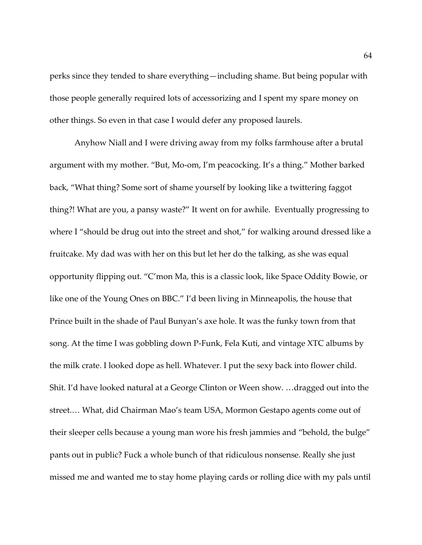perks since they tended to share everything—including shame. But being popular with those people generally required lots of accessorizing and I spent my spare money on other things. So even in that case I would defer any proposed laurels.

Anyhow Niall and I were driving away from my folks farmhouse after a brutal argument with my mother. "But, Mo-om, I'm peacocking. It's a thing." Mother barked back, "What thing? Some sort of shame yourself by looking like a twittering faggot thing?! What are you, a pansy waste?" It went on for awhile. Eventually progressing to where I "should be drug out into the street and shot," for walking around dressed like a fruitcake. My dad was with her on this but let her do the talking, as she was equal opportunity flipping out. "C'mon Ma, this is a classic look, like Space Oddity Bowie, or like one of the Young Ones on BBC." I'd been living in Minneapolis, the house that Prince built in the shade of Paul Bunyan's axe hole. It was the funky town from that song. At the time I was gobbling down P-Funk, Fela Kuti, and vintage XTC albums by the milk crate. I looked dope as hell. Whatever. I put the sexy back into flower child. Shit. I'd have looked natural at a George Clinton or Ween show. …dragged out into the street.… What, did Chairman Mao's team USA, Mormon Gestapo agents come out of their sleeper cells because a young man wore his fresh jammies and "behold, the bulge" pants out in public? Fuck a whole bunch of that ridiculous nonsense. Really she just missed me and wanted me to stay home playing cards or rolling dice with my pals until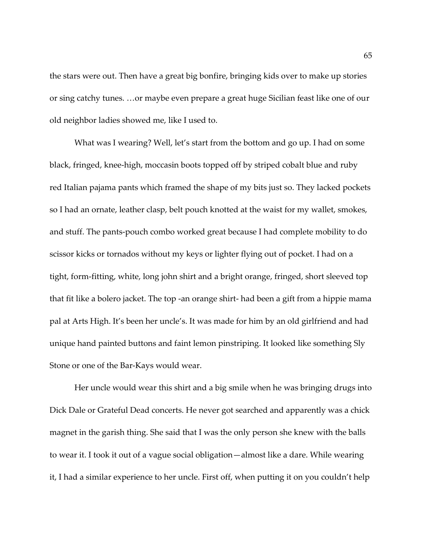the stars were out. Then have a great big bonfire, bringing kids over to make up stories or sing catchy tunes. …or maybe even prepare a great huge Sicilian feast like one of our old neighbor ladies showed me, like I used to.

What was I wearing? Well, let's start from the bottom and go up. I had on some black, fringed, knee-high, moccasin boots topped off by striped cobalt blue and ruby red Italian pajama pants which framed the shape of my bits just so. They lacked pockets so I had an ornate, leather clasp, belt pouch knotted at the waist for my wallet, smokes, and stuff. The pants-pouch combo worked great because I had complete mobility to do scissor kicks or tornados without my keys or lighter flying out of pocket. I had on a tight, form-fitting, white, long john shirt and a bright orange, fringed, short sleeved top that fit like a bolero jacket. The top -an orange shirt- had been a gift from a hippie mama pal at Arts High. It's been her uncle's. It was made for him by an old girlfriend and had unique hand painted buttons and faint lemon pinstriping. It looked like something Sly Stone or one of the Bar-Kays would wear.

Her uncle would wear this shirt and a big smile when he was bringing drugs into Dick Dale or Grateful Dead concerts. He never got searched and apparently was a chick magnet in the garish thing. She said that I was the only person she knew with the balls to wear it. I took it out of a vague social obligation—almost like a dare. While wearing it, I had a similar experience to her uncle. First off, when putting it on you couldn't help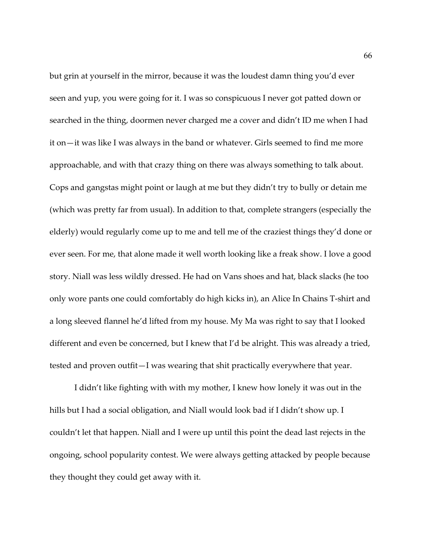but grin at yourself in the mirror, because it was the loudest damn thing you'd ever seen and yup, you were going for it. I was so conspicuous I never got patted down or searched in the thing, doormen never charged me a cover and didn't ID me when I had it on—it was like I was always in the band or whatever. Girls seemed to find me more approachable, and with that crazy thing on there was always something to talk about. Cops and gangstas might point or laugh at me but they didn't try to bully or detain me (which was pretty far from usual). In addition to that, complete strangers (especially the elderly) would regularly come up to me and tell me of the craziest things they'd done or ever seen. For me, that alone made it well worth looking like a freak show. I love a good story. Niall was less wildly dressed. He had on Vans shoes and hat, black slacks (he too only wore pants one could comfortably do high kicks in), an Alice In Chains T-shirt and a long sleeved flannel he'd lifted from my house. My Ma was right to say that I looked different and even be concerned, but I knew that I'd be alright. This was already a tried, tested and proven outfit—I was wearing that shit practically everywhere that year.

I didn't like fighting with with my mother, I knew how lonely it was out in the hills but I had a social obligation, and Niall would look bad if I didn't show up. I couldn't let that happen. Niall and I were up until this point the dead last rejects in the ongoing, school popularity contest. We were always getting attacked by people because they thought they could get away with it.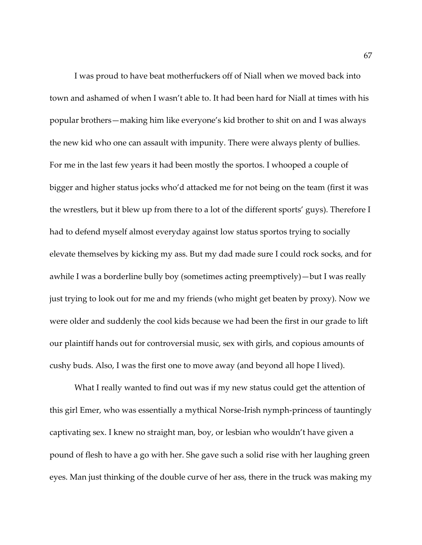I was proud to have beat motherfuckers off of Niall when we moved back into town and ashamed of when I wasn't able to. It had been hard for Niall at times with his popular brothers—making him like everyone's kid brother to shit on and I was always the new kid who one can assault with impunity. There were always plenty of bullies. For me in the last few years it had been mostly the sportos. I whooped a couple of bigger and higher status jocks who'd attacked me for not being on the team (first it was the wrestlers, but it blew up from there to a lot of the different sports' guys). Therefore I had to defend myself almost everyday against low status sportos trying to socially elevate themselves by kicking my ass. But my dad made sure I could rock socks, and for awhile I was a borderline bully boy (sometimes acting preemptively)—but I was really just trying to look out for me and my friends (who might get beaten by proxy). Now we were older and suddenly the cool kids because we had been the first in our grade to lift our plaintiff hands out for controversial music, sex with girls, and copious amounts of cushy buds. Also, I was the first one to move away (and beyond all hope I lived).

What I really wanted to find out was if my new status could get the attention of this girl Emer, who was essentially a mythical Norse-Irish nymph-princess of tauntingly captivating sex. I knew no straight man, boy, or lesbian who wouldn't have given a pound of flesh to have a go with her. She gave such a solid rise with her laughing green eyes. Man just thinking of the double curve of her ass, there in the truck was making my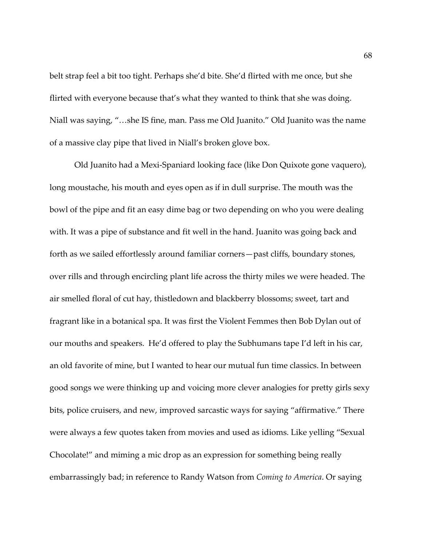belt strap feel a bit too tight. Perhaps she'd bite. She'd flirted with me once, but she flirted with everyone because that's what they wanted to think that she was doing. Niall was saying, "…she IS fine, man. Pass me Old Juanito." Old Juanito was the name of a massive clay pipe that lived in Niall's broken glove box.

Old Juanito had a Mexi-Spaniard looking face (like Don Quixote gone vaquero), long moustache, his mouth and eyes open as if in dull surprise. The mouth was the bowl of the pipe and fit an easy dime bag or two depending on who you were dealing with. It was a pipe of substance and fit well in the hand. Juanito was going back and forth as we sailed effortlessly around familiar corners—past cliffs, boundary stones, over rills and through encircling plant life across the thirty miles we were headed. The air smelled floral of cut hay, thistledown and blackberry blossoms; sweet, tart and fragrant like in a botanical spa. It was first the Violent Femmes then Bob Dylan out of our mouths and speakers. He'd offered to play the Subhumans tape I'd left in his car, an old favorite of mine, but I wanted to hear our mutual fun time classics. In between good songs we were thinking up and voicing more clever analogies for pretty girls sexy bits, police cruisers, and new, improved sarcastic ways for saying "affirmative." There were always a few quotes taken from movies and used as idioms. Like yelling "Sexual Chocolate!" and miming a mic drop as an expression for something being really embarrassingly bad; in reference to Randy Watson from *Coming to America*. Or saying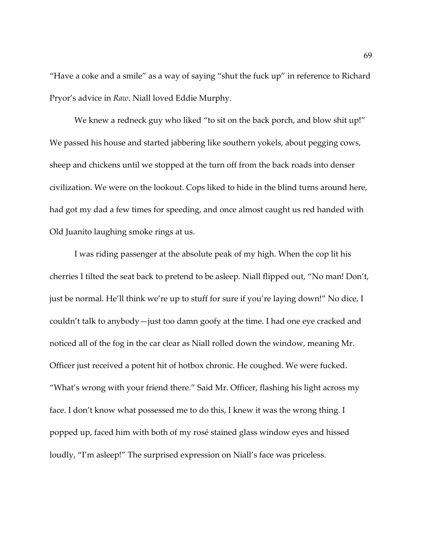"Have a coke and a smile" as a way of saying "shut the fuck up" in reference to Richard Pryor's advice in *Raw*. Niall loved Eddie Murphy.

We knew a redneck guy who liked "to sit on the back porch, and blow shit up!" We passed his house and started jabbering like southern yokels, about pegging cows, sheep and chickens until we stopped at the turn off from the back roads into denser civilization. We were on the lookout. Cops liked to hide in the blind turns around here, had got my dad a few times for speeding, and once almost caught us red handed with Old Juanito laughing smoke rings at us.

I was riding passenger at the absolute peak of my high. When the cop lit his cherries I tilted the seat back to pretend to be asleep. Niall flipped out, "No man! Don't, just be normal. He'll think we're up to stuff for sure if you're laying down!" No dice, I couldn't talk to anybody—just too damn goofy at the time. I had one eye cracked and noticed all of the fog in the car clear as Niall rolled down the window, meaning Mr. Officer just received a potent hit of hotbox chronic. He coughed. We were fucked. "What's wrong with your friend there." Said Mr. Officer, flashing his light across my face. I don't know what possessed me to do this, I knew it was the wrong thing. I popped up, faced him with both of my rosé stained glass window eyes and hissed loudly, "I'm asleep!" The surprised expression on Niall's face was priceless.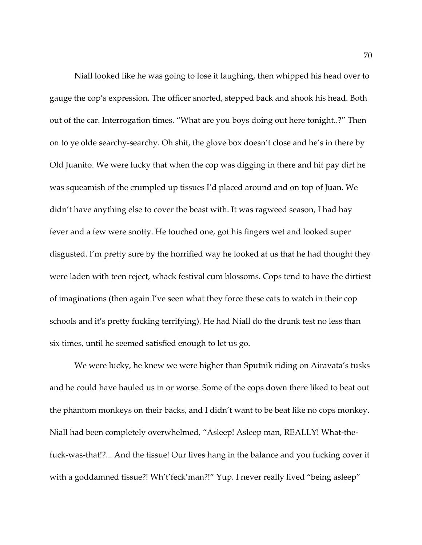Niall looked like he was going to lose it laughing, then whipped his head over to gauge the cop's expression. The officer snorted, stepped back and shook his head. Both out of the car. Interrogation times. "What are you boys doing out here tonight..?" Then on to ye olde searchy-searchy. Oh shit, the glove box doesn't close and he's in there by Old Juanito. We were lucky that when the cop was digging in there and hit pay dirt he was squeamish of the crumpled up tissues I'd placed around and on top of Juan. We didn't have anything else to cover the beast with. It was ragweed season, I had hay fever and a few were snotty. He touched one, got his fingers wet and looked super disgusted. I'm pretty sure by the horrified way he looked at us that he had thought they were laden with teen reject, whack festival cum blossoms. Cops tend to have the dirtiest of imaginations (then again I've seen what they force these cats to watch in their cop schools and it's pretty fucking terrifying). He had Niall do the drunk test no less than six times, until he seemed satisfied enough to let us go.

We were lucky, he knew we were higher than Sputnik riding on Airavata's tusks and he could have hauled us in or worse. Some of the cops down there liked to beat out the phantom monkeys on their backs, and I didn't want to be beat like no cops monkey. Niall had been completely overwhelmed, "Asleep! Asleep man, REALLY! What-thefuck-was-that!?... And the tissue! Our lives hang in the balance and you fucking cover it with a goddamned tissue?! Wh't'feck'man?!" Yup. I never really lived "being asleep"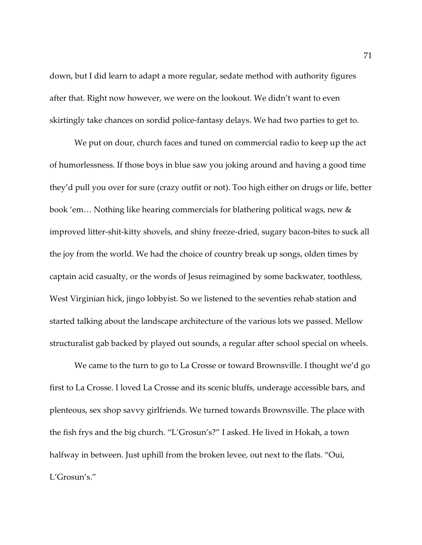down, but I did learn to adapt a more regular, sedate method with authority figures after that. Right now however, we were on the lookout. We didn't want to even skirtingly take chances on sordid police-fantasy delays. We had two parties to get to.

We put on dour, church faces and tuned on commercial radio to keep up the act of humorlessness. If those boys in blue saw you joking around and having a good time they'd pull you over for sure (crazy outfit or not). Too high either on drugs or life, better book 'em… Nothing like hearing commercials for blathering political wags, new & improved litter-shit-kitty shovels, and shiny freeze-dried, sugary bacon-bites to suck all the joy from the world. We had the choice of country break up songs, olden times by captain acid casualty, or the words of Jesus reimagined by some backwater, toothless, West Virginian hick, jingo lobbyist. So we listened to the seventies rehab station and started talking about the landscape architecture of the various lots we passed. Mellow structuralist gab backed by played out sounds, a regular after school special on wheels.

We came to the turn to go to La Crosse or toward Brownsville. I thought we'd go first to La Crosse. I loved La Crosse and its scenic bluffs, underage accessible bars, and plenteous, sex shop savvy girlfriends. We turned towards Brownsville. The place with the fish frys and the big church. "L'Grosun's?" I asked. He lived in Hokah, a town halfway in between. Just uphill from the broken levee, out next to the flats. "Oui, L'Grosun's."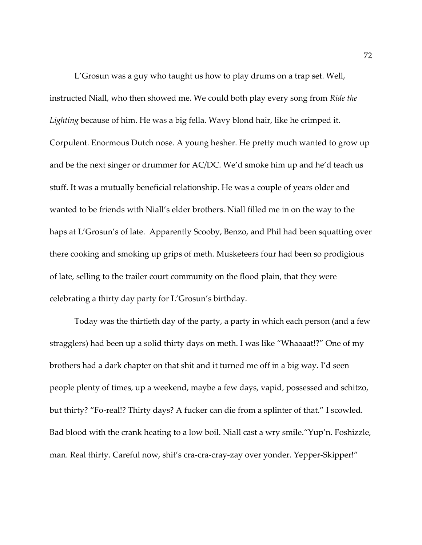L'Grosun was a guy who taught us how to play drums on a trap set. Well, instructed Niall, who then showed me. We could both play every song from *Ride the Lighting* because of him. He was a big fella. Wavy blond hair, like he crimped it. Corpulent. Enormous Dutch nose. A young hesher. He pretty much wanted to grow up and be the next singer or drummer for AC/DC. We'd smoke him up and he'd teach us stuff. It was a mutually beneficial relationship. He was a couple of years older and wanted to be friends with Niall's elder brothers. Niall filled me in on the way to the haps at L'Grosun's of late. Apparently Scooby, Benzo, and Phil had been squatting over there cooking and smoking up grips of meth. Musketeers four had been so prodigious of late, selling to the trailer court community on the flood plain, that they were celebrating a thirty day party for L'Grosun's birthday.

Today was the thirtieth day of the party, a party in which each person (and a few stragglers) had been up a solid thirty days on meth. I was like "Whaaaat!?" One of my brothers had a dark chapter on that shit and it turned me off in a big way. I'd seen people plenty of times, up a weekend, maybe a few days, vapid, possessed and schitzo, but thirty? "Fo-real!? Thirty days? A fucker can die from a splinter of that." I scowled. Bad blood with the crank heating to a low boil. Niall cast a wry smile."Yup'n. Foshizzle, man. Real thirty. Careful now, shit's cra-cra-cray-zay over yonder. Yepper-Skipper!"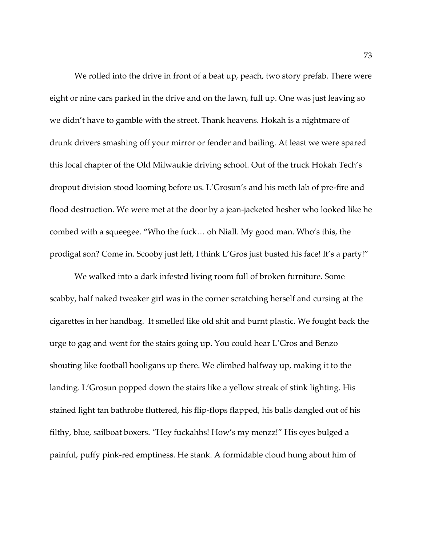We rolled into the drive in front of a beat up, peach, two story prefab. There were eight or nine cars parked in the drive and on the lawn, full up. One was just leaving so we didn't have to gamble with the street. Thank heavens. Hokah is a nightmare of drunk drivers smashing off your mirror or fender and bailing. At least we were spared this local chapter of the Old Milwaukie driving school. Out of the truck Hokah Tech's dropout division stood looming before us. L'Grosun's and his meth lab of pre-fire and flood destruction. We were met at the door by a jean-jacketed hesher who looked like he combed with a squeegee. "Who the fuck… oh Niall. My good man. Who's this, the prodigal son? Come in. Scooby just left, I think L'Gros just busted his face! It's a party!"

We walked into a dark infested living room full of broken furniture. Some scabby, half naked tweaker girl was in the corner scratching herself and cursing at the cigarettes in her handbag. It smelled like old shit and burnt plastic. We fought back the urge to gag and went for the stairs going up. You could hear L'Gros and Benzo shouting like football hooligans up there. We climbed halfway up, making it to the landing. L'Grosun popped down the stairs like a yellow streak of stink lighting. His stained light tan bathrobe fluttered, his flip-flops flapped, his balls dangled out of his filthy, blue, sailboat boxers. "Hey fuckahhs! How's my menzz!" His eyes bulged a painful, puffy pink-red emptiness. He stank. A formidable cloud hung about him of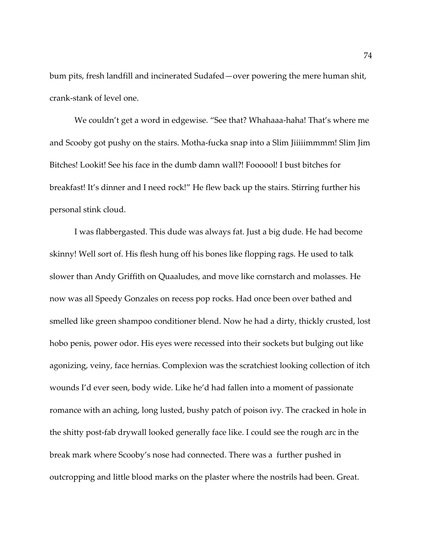bum pits, fresh landfill and incinerated Sudafed—over powering the mere human shit, crank-stank of level one.

We couldn't get a word in edgewise. "See that? Whahaaa-haha! That's where me and Scooby got pushy on the stairs. Motha-fucka snap into a Slim Jiiiiimmmm! Slim Jim Bitches! Lookit! See his face in the dumb damn wall?! Foooool! I bust bitches for breakfast! It's dinner and I need rock!" He flew back up the stairs. Stirring further his personal stink cloud.

I was flabbergasted. This dude was always fat. Just a big dude. He had become skinny! Well sort of. His flesh hung off his bones like flopping rags. He used to talk slower than Andy Griffith on Quaaludes, and move like cornstarch and molasses. He now was all Speedy Gonzales on recess pop rocks. Had once been over bathed and smelled like green shampoo conditioner blend. Now he had a dirty, thickly crusted, lost hobo penis, power odor. His eyes were recessed into their sockets but bulging out like agonizing, veiny, face hernias. Complexion was the scratchiest looking collection of itch wounds I'd ever seen, body wide. Like he'd had fallen into a moment of passionate romance with an aching, long lusted, bushy patch of poison ivy. The cracked in hole in the shitty post-fab drywall looked generally face like. I could see the rough arc in the break mark where Scooby's nose had connected. There was a further pushed in outcropping and little blood marks on the plaster where the nostrils had been. Great.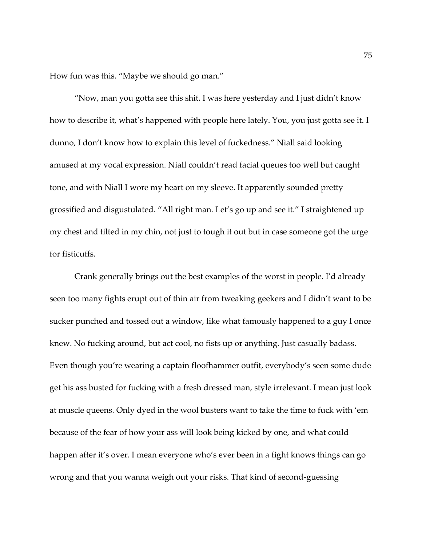How fun was this. "Maybe we should go man."

"Now, man you gotta see this shit. I was here yesterday and I just didn't know how to describe it, what's happened with people here lately. You, you just gotta see it. I dunno, I don't know how to explain this level of fuckedness." Niall said looking amused at my vocal expression. Niall couldn't read facial queues too well but caught tone, and with Niall I wore my heart on my sleeve. It apparently sounded pretty grossified and disgustulated. "All right man. Let's go up and see it." I straightened up my chest and tilted in my chin, not just to tough it out but in case someone got the urge for fisticuffs.

Crank generally brings out the best examples of the worst in people. I'd already seen too many fights erupt out of thin air from tweaking geekers and I didn't want to be sucker punched and tossed out a window, like what famously happened to a guy I once knew. No fucking around, but act cool, no fists up or anything. Just casually badass. Even though you're wearing a captain floofhammer outfit, everybody's seen some dude get his ass busted for fucking with a fresh dressed man, style irrelevant. I mean just look at muscle queens. Only dyed in the wool busters want to take the time to fuck with 'em because of the fear of how your ass will look being kicked by one, and what could happen after it's over. I mean everyone who's ever been in a fight knows things can go wrong and that you wanna weigh out your risks. That kind of second-guessing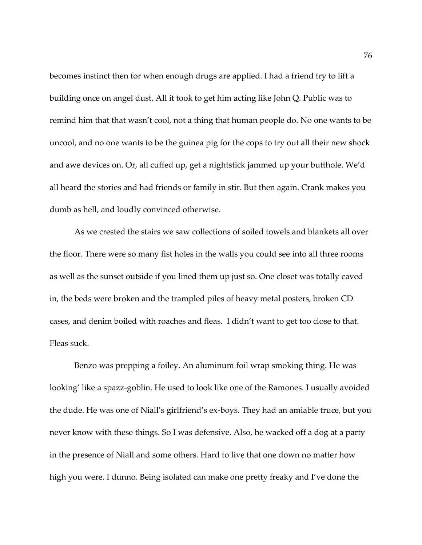becomes instinct then for when enough drugs are applied. I had a friend try to lift a building once on angel dust. All it took to get him acting like John Q. Public was to remind him that that wasn't cool, not a thing that human people do. No one wants to be uncool, and no one wants to be the guinea pig for the cops to try out all their new shock and awe devices on. Or, all cuffed up, get a nightstick jammed up your butthole. We'd all heard the stories and had friends or family in stir. But then again. Crank makes you dumb as hell, and loudly convinced otherwise.

As we crested the stairs we saw collections of soiled towels and blankets all over the floor. There were so many fist holes in the walls you could see into all three rooms as well as the sunset outside if you lined them up just so. One closet was totally caved in, the beds were broken and the trampled piles of heavy metal posters, broken CD cases, and denim boiled with roaches and fleas. I didn't want to get too close to that. Fleas suck.

Benzo was prepping a foiley. An aluminum foil wrap smoking thing. He was looking' like a spazz-goblin. He used to look like one of the Ramones. I usually avoided the dude. He was one of Niall's girlfriend's ex-boys. They had an amiable truce, but you never know with these things. So I was defensive. Also, he wacked off a dog at a party in the presence of Niall and some others. Hard to live that one down no matter how high you were. I dunno. Being isolated can make one pretty freaky and I've done the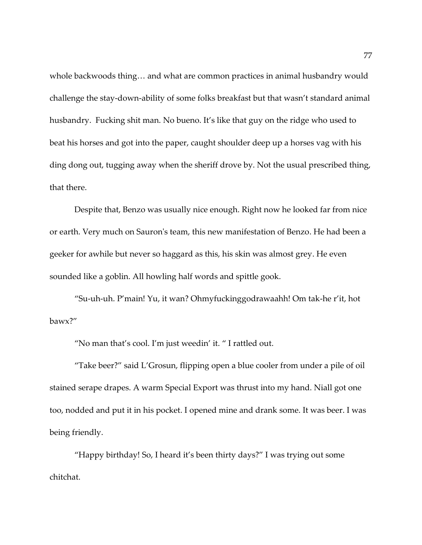whole backwoods thing… and what are common practices in animal husbandry would challenge the stay-down-ability of some folks breakfast but that wasn't standard animal husbandry. Fucking shit man. No bueno. It's like that guy on the ridge who used to beat his horses and got into the paper, caught shoulder deep up a horses vag with his ding dong out, tugging away when the sheriff drove by. Not the usual prescribed thing, that there.

Despite that, Benzo was usually nice enough. Right now he looked far from nice or earth. Very much on Sauron's team, this new manifestation of Benzo. He had been a geeker for awhile but never so haggard as this, his skin was almost grey. He even sounded like a goblin. All howling half words and spittle gook.

"Su-uh-uh. P'main! Yu, it wan? Ohmyfuckinggodrawaahh! Om tak-he r'it, hot bawx?"

"No man that's cool. I'm just weedin' it. " I rattled out.

"Take beer?" said L'Grosun, flipping open a blue cooler from under a pile of oil stained serape drapes. A warm Special Export was thrust into my hand. Niall got one too, nodded and put it in his pocket. I opened mine and drank some. It was beer. I was being friendly.

"Happy birthday! So, I heard it's been thirty days?" I was trying out some chitchat.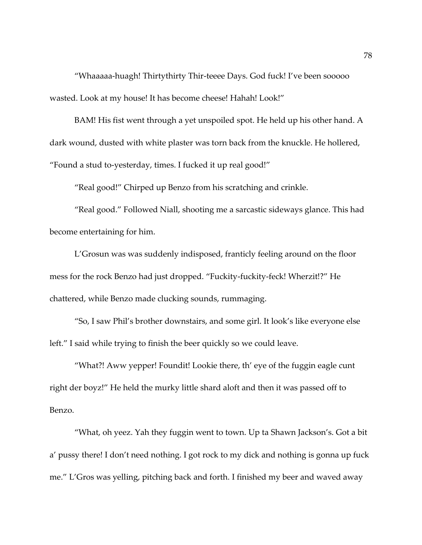"Whaaaaa-huagh! Thirtythirty Thir-teeee Days. God fuck! I've been sooooo wasted. Look at my house! It has become cheese! Hahah! Look!"

BAM! His fist went through a yet unspoiled spot. He held up his other hand. A dark wound, dusted with white plaster was torn back from the knuckle. He hollered, "Found a stud to-yesterday, times. I fucked it up real good!"

"Real good!" Chirped up Benzo from his scratching and crinkle.

"Real good." Followed Niall, shooting me a sarcastic sideways glance. This had become entertaining for him.

L'Grosun was was suddenly indisposed, franticly feeling around on the floor mess for the rock Benzo had just dropped. "Fuckity-fuckity-feck! Wherzit!?" He chattered, while Benzo made clucking sounds, rummaging.

"So, I saw Phil's brother downstairs, and some girl. It look's like everyone else left." I said while trying to finish the beer quickly so we could leave.

"What?! Aww yepper! Foundit! Lookie there, th' eye of the fuggin eagle cunt right der boyz!" He held the murky little shard aloft and then it was passed off to Benzo.

"What, oh yeez. Yah they fuggin went to town. Up ta Shawn Jackson's. Got a bit a' pussy there! I don't need nothing. I got rock to my dick and nothing is gonna up fuck me." L'Gros was yelling, pitching back and forth. I finished my beer and waved away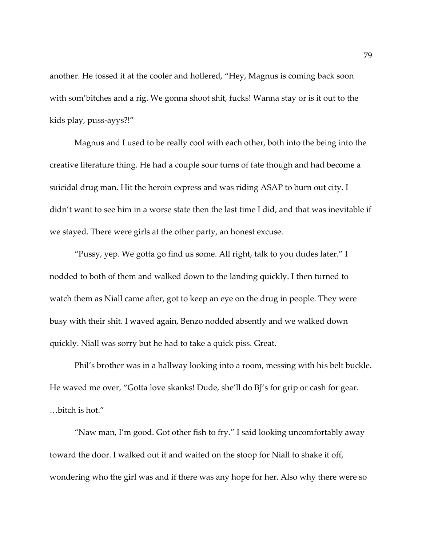another. He tossed it at the cooler and hollered, "Hey, Magnus is coming back soon with som'bitches and a rig. We gonna shoot shit, fucks! Wanna stay or is it out to the kids play, puss-ayys?!"

Magnus and I used to be really cool with each other, both into the being into the creative literature thing. He had a couple sour turns of fate though and had become a suicidal drug man. Hit the heroin express and was riding ASAP to burn out city. I didn't want to see him in a worse state then the last time I did, and that was inevitable if we stayed. There were girls at the other party, an honest excuse.

"Pussy, yep. We gotta go find us some. All right, talk to you dudes later." I nodded to both of them and walked down to the landing quickly. I then turned to watch them as Niall came after, got to keep an eye on the drug in people. They were busy with their shit. I waved again, Benzo nodded absently and we walked down quickly. Niall was sorry but he had to take a quick piss. Great.

Phil's brother was in a hallway looking into a room, messing with his belt buckle. He waved me over, "Gotta love skanks! Dude, she'll do BJ's for grip or cash for gear. …bitch is hot."

"Naw man, I'm good. Got other fish to fry." I said looking uncomfortably away toward the door. I walked out it and waited on the stoop for Niall to shake it off, wondering who the girl was and if there was any hope for her. Also why there were so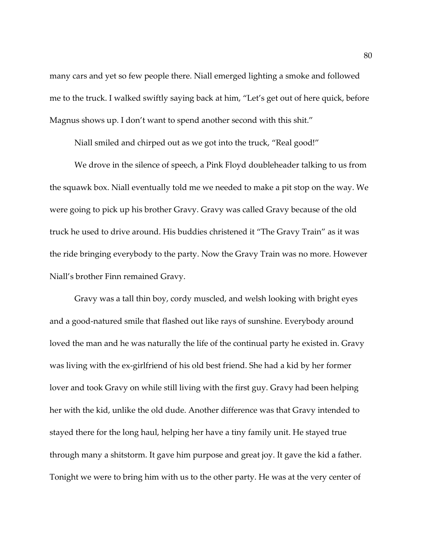many cars and yet so few people there. Niall emerged lighting a smoke and followed me to the truck. I walked swiftly saying back at him, "Let's get out of here quick, before Magnus shows up. I don't want to spend another second with this shit."

Niall smiled and chirped out as we got into the truck, "Real good!"

We drove in the silence of speech, a Pink Floyd doubleheader talking to us from the squawk box. Niall eventually told me we needed to make a pit stop on the way. We were going to pick up his brother Gravy. Gravy was called Gravy because of the old truck he used to drive around. His buddies christened it "The Gravy Train" as it was the ride bringing everybody to the party. Now the Gravy Train was no more. However Niall's brother Finn remained Gravy.

Gravy was a tall thin boy, cordy muscled, and welsh looking with bright eyes and a good-natured smile that flashed out like rays of sunshine. Everybody around loved the man and he was naturally the life of the continual party he existed in. Gravy was living with the ex-girlfriend of his old best friend. She had a kid by her former lover and took Gravy on while still living with the first guy. Gravy had been helping her with the kid, unlike the old dude. Another difference was that Gravy intended to stayed there for the long haul, helping her have a tiny family unit. He stayed true through many a shitstorm. It gave him purpose and great joy. It gave the kid a father. Tonight we were to bring him with us to the other party. He was at the very center of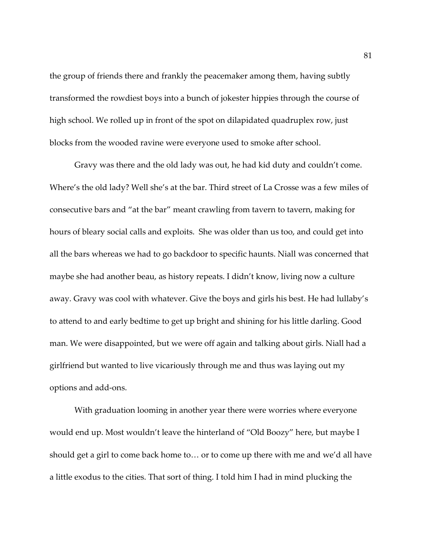the group of friends there and frankly the peacemaker among them, having subtly transformed the rowdiest boys into a bunch of jokester hippies through the course of high school. We rolled up in front of the spot on dilapidated quadruplex row, just blocks from the wooded ravine were everyone used to smoke after school.

Gravy was there and the old lady was out, he had kid duty and couldn't come. Where's the old lady? Well she's at the bar. Third street of La Crosse was a few miles of consecutive bars and "at the bar" meant crawling from tavern to tavern, making for hours of bleary social calls and exploits. She was older than us too, and could get into all the bars whereas we had to go backdoor to specific haunts. Niall was concerned that maybe she had another beau, as history repeats. I didn't know, living now a culture away. Gravy was cool with whatever. Give the boys and girls his best. He had lullaby's to attend to and early bedtime to get up bright and shining for his little darling. Good man. We were disappointed, but we were off again and talking about girls. Niall had a girlfriend but wanted to live vicariously through me and thus was laying out my options and add-ons.

With graduation looming in another year there were worries where everyone would end up. Most wouldn't leave the hinterland of "Old Boozy" here, but maybe I should get a girl to come back home to… or to come up there with me and we'd all have a little exodus to the cities. That sort of thing. I told him I had in mind plucking the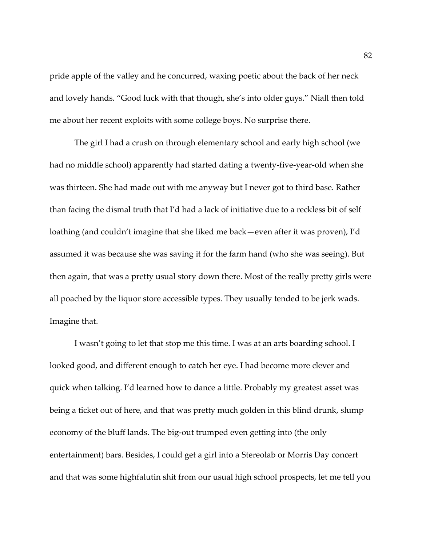pride apple of the valley and he concurred, waxing poetic about the back of her neck and lovely hands. "Good luck with that though, she's into older guys." Niall then told me about her recent exploits with some college boys. No surprise there.

The girl I had a crush on through elementary school and early high school (we had no middle school) apparently had started dating a twenty-five-year-old when she was thirteen. She had made out with me anyway but I never got to third base. Rather than facing the dismal truth that I'd had a lack of initiative due to a reckless bit of self loathing (and couldn't imagine that she liked me back—even after it was proven), I'd assumed it was because she was saving it for the farm hand (who she was seeing). But then again, that was a pretty usual story down there. Most of the really pretty girls were all poached by the liquor store accessible types. They usually tended to be jerk wads. Imagine that.

I wasn't going to let that stop me this time. I was at an arts boarding school. I looked good, and different enough to catch her eye. I had become more clever and quick when talking. I'd learned how to dance a little. Probably my greatest asset was being a ticket out of here, and that was pretty much golden in this blind drunk, slump economy of the bluff lands. The big-out trumped even getting into (the only entertainment) bars. Besides, I could get a girl into a Stereolab or Morris Day concert and that was some highfalutin shit from our usual high school prospects, let me tell you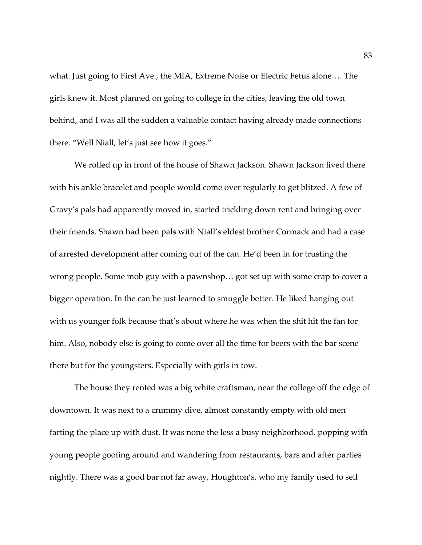what. Just going to First Ave., the MIA, Extreme Noise or Electric Fetus alone…. The girls knew it. Most planned on going to college in the cities, leaving the old town behind, and I was all the sudden a valuable contact having already made connections there. "Well Niall, let's just see how it goes."

We rolled up in front of the house of Shawn Jackson. Shawn Jackson lived there with his ankle bracelet and people would come over regularly to get blitzed. A few of Gravy's pals had apparently moved in, started trickling down rent and bringing over their friends. Shawn had been pals with Niall's eldest brother Cormack and had a case of arrested development after coming out of the can. He'd been in for trusting the wrong people. Some mob guy with a pawnshop… got set up with some crap to cover a bigger operation. In the can he just learned to smuggle better. He liked hanging out with us younger folk because that's about where he was when the shit hit the fan for him. Also, nobody else is going to come over all the time for beers with the bar scene there but for the youngsters. Especially with girls in tow.

The house they rented was a big white craftsman, near the college off the edge of downtown. It was next to a crummy dive, almost constantly empty with old men farting the place up with dust. It was none the less a busy neighborhood, popping with young people goofing around and wandering from restaurants, bars and after parties nightly. There was a good bar not far away, Houghton's, who my family used to sell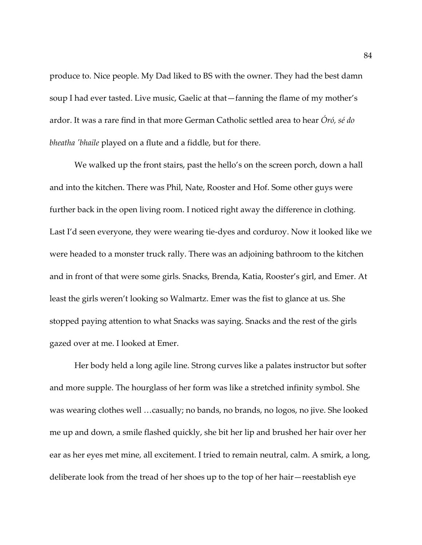produce to. Nice people. My Dad liked to BS with the owner. They had the best damn soup I had ever tasted. Live music, Gaelic at that—fanning the flame of my mother's ardor. It was a rare find in that more German Catholic settled area to hear *Óró, sé do bheatha 'bhaile* played on a flute and a fiddle, but for there.

We walked up the front stairs, past the hello's on the screen porch, down a hall and into the kitchen. There was Phil, Nate, Rooster and Hof. Some other guys were further back in the open living room. I noticed right away the difference in clothing. Last I'd seen everyone, they were wearing tie-dyes and corduroy. Now it looked like we were headed to a monster truck rally. There was an adjoining bathroom to the kitchen and in front of that were some girls. Snacks, Brenda, Katia, Rooster's girl, and Emer. At least the girls weren't looking so Walmartz. Emer was the fist to glance at us. She stopped paying attention to what Snacks was saying. Snacks and the rest of the girls gazed over at me. I looked at Emer.

Her body held a long agile line. Strong curves like a palates instructor but softer and more supple. The hourglass of her form was like a stretched infinity symbol. She was wearing clothes well …casually; no bands, no brands, no logos, no jive. She looked me up and down, a smile flashed quickly, she bit her lip and brushed her hair over her ear as her eyes met mine, all excitement. I tried to remain neutral, calm. A smirk, a long, deliberate look from the tread of her shoes up to the top of her hair—reestablish eye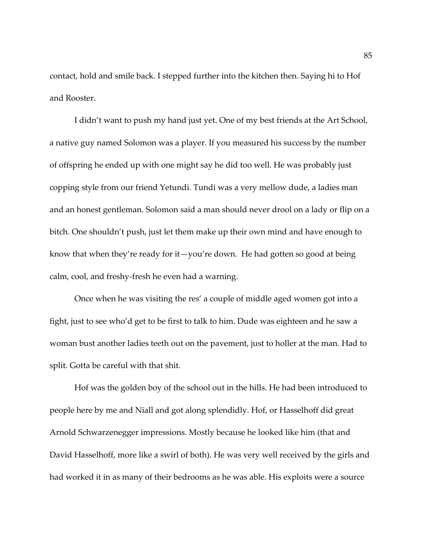contact, hold and smile back. I stepped further into the kitchen then. Saying hi to Hof and Rooster.

I didn't want to push my hand just yet. One of my best friends at the Art School, a native guy named Solomon was a player. If you measured his success by the number of offspring he ended up with one might say he did too well. He was probably just copping style from our friend Yetundi. Tundi was a very mellow dude, a ladies man and an honest gentleman. Solomon said a man should never drool on a lady or flip on a bitch. One shouldn't push, just let them make up their own mind and have enough to know that when they're ready for it—you're down. He had gotten so good at being calm, cool, and freshy-fresh he even had a warning.

Once when he was visiting the res' a couple of middle aged women got into a fight, just to see who'd get to be first to talk to him. Dude was eighteen and he saw a woman bust another ladies teeth out on the pavement, just to holler at the man. Had to split. Gotta be careful with that shit.

Hof was the golden boy of the school out in the hills. He had been introduced to people here by me and Niall and got along splendidly. Hof, or Hasselhoff did great Arnold Schwarzenegger impressions. Mostly because he looked like him (that and David Hasselhoff, more like a swirl of both). He was very well received by the girls and had worked it in as many of their bedrooms as he was able. His exploits were a source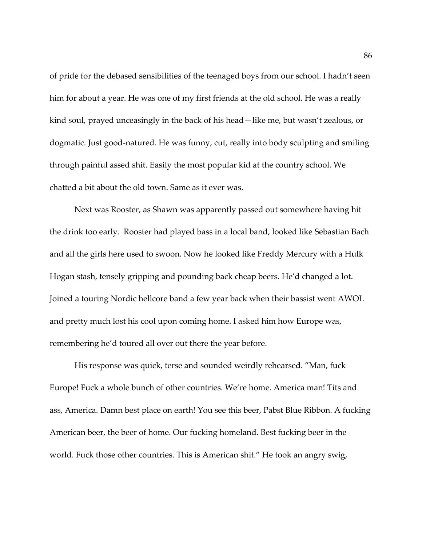of pride for the debased sensibilities of the teenaged boys from our school. I hadn't seen him for about a year. He was one of my first friends at the old school. He was a really kind soul, prayed unceasingly in the back of his head—like me, but wasn't zealous, or dogmatic. Just good-natured. He was funny, cut, really into body sculpting and smiling through painful assed shit. Easily the most popular kid at the country school. We chatted a bit about the old town. Same as it ever was.

Next was Rooster, as Shawn was apparently passed out somewhere having hit the drink too early. Rooster had played bass in a local band, looked like Sebastian Bach and all the girls here used to swoon. Now he looked like Freddy Mercury with a Hulk Hogan stash, tensely gripping and pounding back cheap beers. He'd changed a lot. Joined a touring Nordic hellcore band a few year back when their bassist went AWOL and pretty much lost his cool upon coming home. I asked him how Europe was, remembering he'd toured all over out there the year before.

His response was quick, terse and sounded weirdly rehearsed. "Man, fuck Europe! Fuck a whole bunch of other countries. We're home. America man! Tits and ass, America. Damn best place on earth! You see this beer, Pabst Blue Ribbon. A fucking American beer, the beer of home. Our fucking homeland. Best fucking beer in the world. Fuck those other countries. This is American shit." He took an angry swig,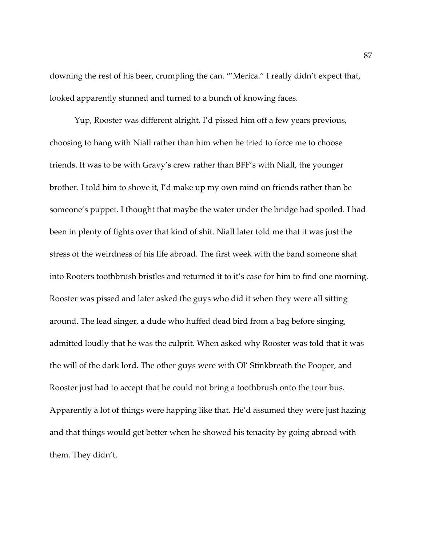downing the rest of his beer, crumpling the can. "'Merica." I really didn't expect that, looked apparently stunned and turned to a bunch of knowing faces.

Yup, Rooster was different alright. I'd pissed him off a few years previous, choosing to hang with Niall rather than him when he tried to force me to choose friends. It was to be with Gravy's crew rather than BFF's with Niall, the younger brother. I told him to shove it, I'd make up my own mind on friends rather than be someone's puppet. I thought that maybe the water under the bridge had spoiled. I had been in plenty of fights over that kind of shit. Niall later told me that it was just the stress of the weirdness of his life abroad. The first week with the band someone shat into Rooters toothbrush bristles and returned it to it's case for him to find one morning. Rooster was pissed and later asked the guys who did it when they were all sitting around. The lead singer, a dude who huffed dead bird from a bag before singing, admitted loudly that he was the culprit. When asked why Rooster was told that it was the will of the dark lord. The other guys were with Ol' Stinkbreath the Pooper, and Rooster just had to accept that he could not bring a toothbrush onto the tour bus. Apparently a lot of things were happing like that. He'd assumed they were just hazing and that things would get better when he showed his tenacity by going abroad with them. They didn't.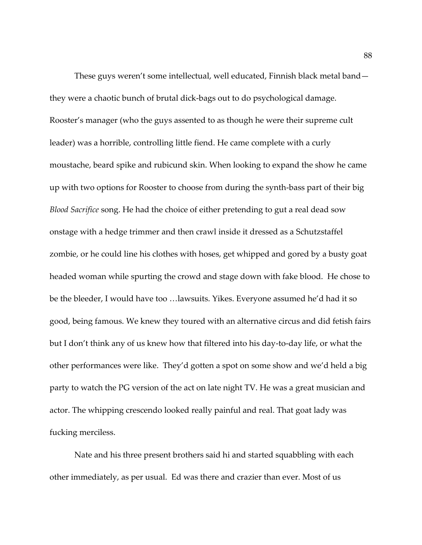These guys weren't some intellectual, well educated, Finnish black metal band they were a chaotic bunch of brutal dick-bags out to do psychological damage. Rooster's manager (who the guys assented to as though he were their supreme cult leader) was a horrible, controlling little fiend. He came complete with a curly moustache, beard spike and rubicund skin. When looking to expand the show he came up with two options for Rooster to choose from during the synth-bass part of their big *Blood Sacrifice* song. He had the choice of either pretending to gut a real dead sow onstage with a hedge trimmer and then crawl inside it dressed as a Schutzstaffel zombie, or he could line his clothes with hoses, get whipped and gored by a busty goat headed woman while spurting the crowd and stage down with fake blood. He chose to be the bleeder, I would have too …lawsuits. Yikes. Everyone assumed he'd had it so good, being famous. We knew they toured with an alternative circus and did fetish fairs but I don't think any of us knew how that filtered into his day-to-day life, or what the other performances were like. They'd gotten a spot on some show and we'd held a big party to watch the PG version of the act on late night TV. He was a great musician and actor. The whipping crescendo looked really painful and real. That goat lady was fucking merciless.

Nate and his three present brothers said hi and started squabbling with each other immediately, as per usual. Ed was there and crazier than ever. Most of us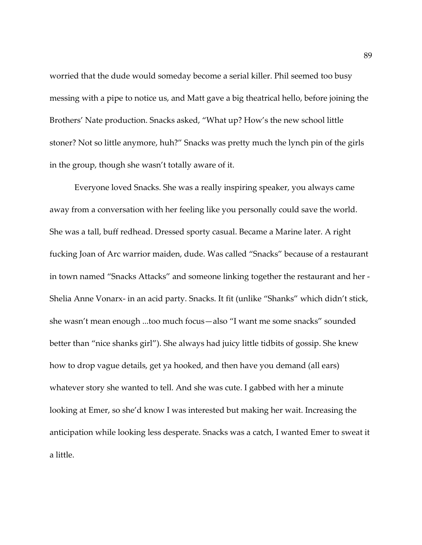worried that the dude would someday become a serial killer. Phil seemed too busy messing with a pipe to notice us, and Matt gave a big theatrical hello, before joining the Brothers' Nate production. Snacks asked, "What up? How's the new school little stoner? Not so little anymore, huh?" Snacks was pretty much the lynch pin of the girls in the group, though she wasn't totally aware of it.

Everyone loved Snacks. She was a really inspiring speaker, you always came away from a conversation with her feeling like you personally could save the world. She was a tall, buff redhead. Dressed sporty casual. Became a Marine later. A right fucking Joan of Arc warrior maiden, dude. Was called "Snacks" because of a restaurant in town named "Snacks Attacks" and someone linking together the restaurant and her - Shelia Anne Vonarx- in an acid party. Snacks. It fit (unlike "Shanks" which didn't stick, she wasn't mean enough ...too much focus—also "I want me some snacks" sounded better than "nice shanks girl"). She always had juicy little tidbits of gossip. She knew how to drop vague details, get ya hooked, and then have you demand (all ears) whatever story she wanted to tell. And she was cute. I gabbed with her a minute looking at Emer, so she'd know I was interested but making her wait. Increasing the anticipation while looking less desperate. Snacks was a catch, I wanted Emer to sweat it a little.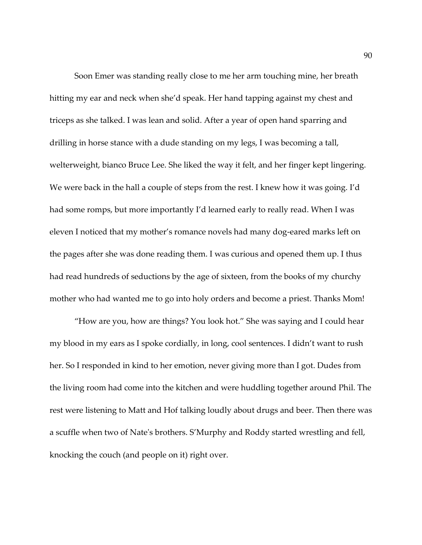Soon Emer was standing really close to me her arm touching mine, her breath hitting my ear and neck when she'd speak. Her hand tapping against my chest and triceps as she talked. I was lean and solid. After a year of open hand sparring and drilling in horse stance with a dude standing on my legs, I was becoming a tall, welterweight, bianco Bruce Lee. She liked the way it felt, and her finger kept lingering. We were back in the hall a couple of steps from the rest. I knew how it was going. I'd had some romps, but more importantly I'd learned early to really read. When I was eleven I noticed that my mother's romance novels had many dog-eared marks left on the pages after she was done reading them. I was curious and opened them up. I thus had read hundreds of seductions by the age of sixteen, from the books of my churchy mother who had wanted me to go into holy orders and become a priest. Thanks Mom!

"How are you, how are things? You look hot." She was saying and I could hear my blood in my ears as I spoke cordially, in long, cool sentences. I didn't want to rush her. So I responded in kind to her emotion, never giving more than I got. Dudes from the living room had come into the kitchen and were huddling together around Phil. The rest were listening to Matt and Hof talking loudly about drugs and beer. Then there was a scuffle when two of Nate's brothers. S'Murphy and Roddy started wrestling and fell, knocking the couch (and people on it) right over.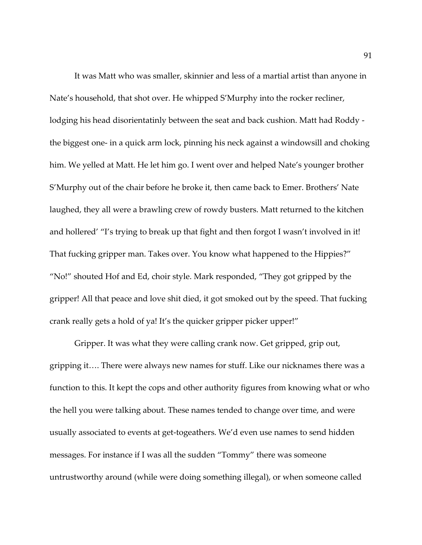It was Matt who was smaller, skinnier and less of a martial artist than anyone in Nate's household, that shot over. He whipped S'Murphy into the rocker recliner, lodging his head disorientatinly between the seat and back cushion. Matt had Roddy the biggest one- in a quick arm lock, pinning his neck against a windowsill and choking him. We yelled at Matt. He let him go. I went over and helped Nate's younger brother S'Murphy out of the chair before he broke it, then came back to Emer. Brothers' Nate laughed, they all were a brawling crew of rowdy busters. Matt returned to the kitchen and hollered' "I's trying to break up that fight and then forgot I wasn't involved in it! That fucking gripper man. Takes over. You know what happened to the Hippies?" "No!" shouted Hof and Ed, choir style. Mark responded, "They got gripped by the gripper! All that peace and love shit died, it got smoked out by the speed. That fucking crank really gets a hold of ya! It's the quicker gripper picker upper!"

Gripper. It was what they were calling crank now. Get gripped, grip out, gripping it…. There were always new names for stuff. Like our nicknames there was a function to this. It kept the cops and other authority figures from knowing what or who the hell you were talking about. These names tended to change over time, and were usually associated to events at get-togeathers. We'd even use names to send hidden messages. For instance if I was all the sudden "Tommy" there was someone untrustworthy around (while were doing something illegal), or when someone called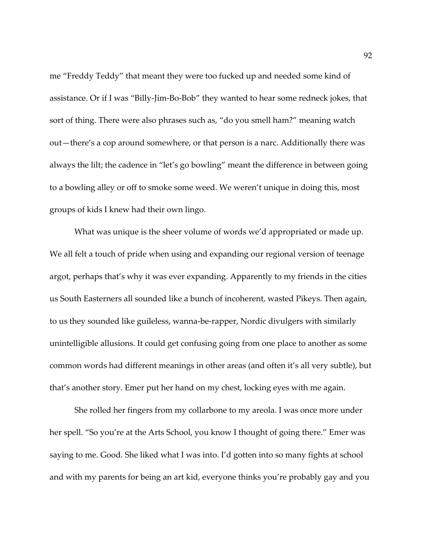me "Freddy Teddy" that meant they were too fucked up and needed some kind of assistance. Or if I was "Billy-Jim-Bo-Bob" they wanted to hear some redneck jokes, that sort of thing. There were also phrases such as, "do you smell ham?" meaning watch out—there's a cop around somewhere, or that person is a narc. Additionally there was always the lilt; the cadence in "let's go bowling" meant the difference in between going to a bowling alley or off to smoke some weed. We weren't unique in doing this, most groups of kids I knew had their own lingo.

What was unique is the sheer volume of words we'd appropriated or made up. We all felt a touch of pride when using and expanding our regional version of teenage argot, perhaps that's why it was ever expanding. Apparently to my friends in the cities us South Easterners all sounded like a bunch of incoherent, wasted Pikeys. Then again, to us they sounded like guileless, wanna-be-rapper, Nordic divulgers with similarly unintelligible allusions. It could get confusing going from one place to another as some common words had different meanings in other areas (and often it's all very subtle), but that's another story. Emer put her hand on my chest, locking eyes with me again.

She rolled her fingers from my collarbone to my areola. I was once more under her spell. "So you're at the Arts School, you know I thought of going there." Emer was saying to me. Good. She liked what I was into. I'd gotten into so many fights at school and with my parents for being an art kid, everyone thinks you're probably gay and you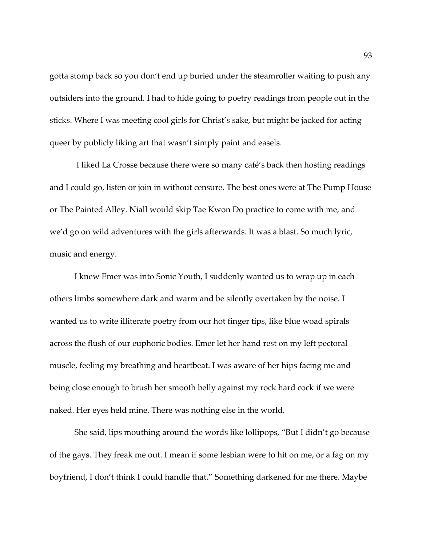gotta stomp back so you don't end up buried under the steamroller waiting to push any outsiders into the ground. I had to hide going to poetry readings from people out in the sticks. Where I was meeting cool girls for Christ's sake, but might be jacked for acting queer by publicly liking art that wasn't simply paint and easels.

I liked La Crosse because there were so many café's back then hosting readings and I could go, listen or join in without censure. The best ones were at The Pump House or The Painted Alley. Niall would skip Tae Kwon Do practice to come with me, and we'd go on wild adventures with the girls afterwards. It was a blast. So much lyric, music and energy.

I knew Emer was into Sonic Youth, I suddenly wanted us to wrap up in each others limbs somewhere dark and warm and be silently overtaken by the noise. I wanted us to write illiterate poetry from our hot finger tips, like blue woad spirals across the flush of our euphoric bodies. Emer let her hand rest on my left pectoral muscle, feeling my breathing and heartbeat. I was aware of her hips facing me and being close enough to brush her smooth belly against my rock hard cock if we were naked. Her eyes held mine. There was nothing else in the world.

She said, lips mouthing around the words like lollipops, "But I didn't go because of the gays. They freak me out. I mean if some lesbian were to hit on me, or a fag on my boyfriend, I don't think I could handle that." Something darkened for me there. Maybe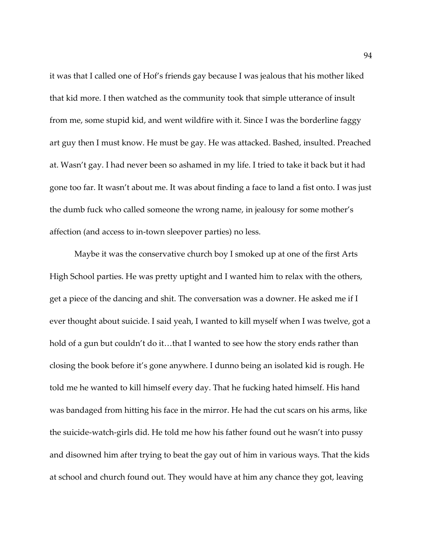it was that I called one of Hof's friends gay because I was jealous that his mother liked that kid more. I then watched as the community took that simple utterance of insult from me, some stupid kid, and went wildfire with it. Since I was the borderline faggy art guy then I must know. He must be gay. He was attacked. Bashed, insulted. Preached at. Wasn't gay. I had never been so ashamed in my life. I tried to take it back but it had gone too far. It wasn't about me. It was about finding a face to land a fist onto. I was just the dumb fuck who called someone the wrong name, in jealousy for some mother's affection (and access to in-town sleepover parties) no less.

Maybe it was the conservative church boy I smoked up at one of the first Arts High School parties. He was pretty uptight and I wanted him to relax with the others, get a piece of the dancing and shit. The conversation was a downer. He asked me if I ever thought about suicide. I said yeah, I wanted to kill myself when I was twelve, got a hold of a gun but couldn't do it…that I wanted to see how the story ends rather than closing the book before it's gone anywhere. I dunno being an isolated kid is rough. He told me he wanted to kill himself every day. That he fucking hated himself. His hand was bandaged from hitting his face in the mirror. He had the cut scars on his arms, like the suicide-watch-girls did. He told me how his father found out he wasn't into pussy and disowned him after trying to beat the gay out of him in various ways. That the kids at school and church found out. They would have at him any chance they got, leaving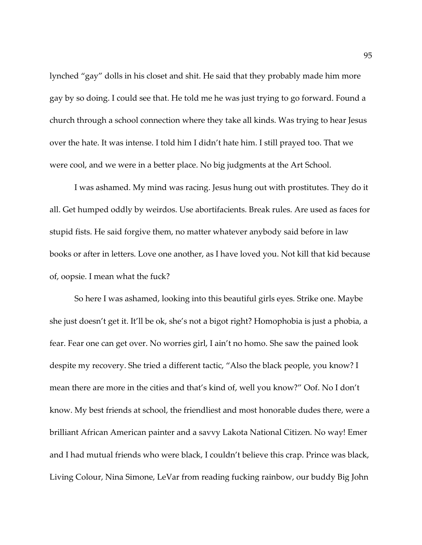lynched "gay" dolls in his closet and shit. He said that they probably made him more gay by so doing. I could see that. He told me he was just trying to go forward. Found a church through a school connection where they take all kinds. Was trying to hear Jesus over the hate. It was intense. I told him I didn't hate him. I still prayed too. That we were cool, and we were in a better place. No big judgments at the Art School.

I was ashamed. My mind was racing. Jesus hung out with prostitutes. They do it all. Get humped oddly by weirdos. Use abortifacients. Break rules. Are used as faces for stupid fists. He said forgive them, no matter whatever anybody said before in law books or after in letters. Love one another, as I have loved you. Not kill that kid because of, oopsie. I mean what the fuck?

So here I was ashamed, looking into this beautiful girls eyes. Strike one. Maybe she just doesn't get it. It'll be ok, she's not a bigot right? Homophobia is just a phobia, a fear. Fear one can get over. No worries girl, I ain't no homo. She saw the pained look despite my recovery. She tried a different tactic, "Also the black people, you know? I mean there are more in the cities and that's kind of, well you know?" Oof. No I don't know. My best friends at school, the friendliest and most honorable dudes there, were a brilliant African American painter and a savvy Lakota National Citizen. No way! Emer and I had mutual friends who were black, I couldn't believe this crap. Prince was black, Living Colour, Nina Simone, LeVar from reading fucking rainbow, our buddy Big John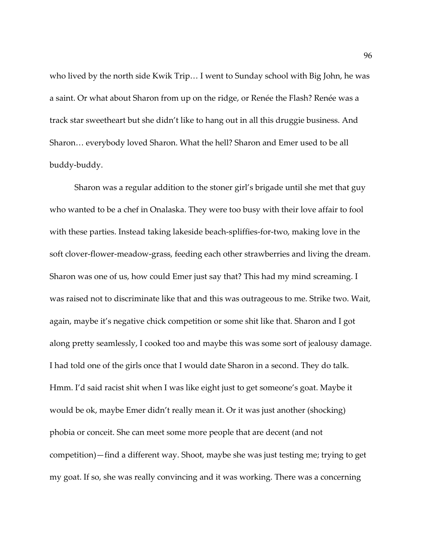who lived by the north side Kwik Trip… I went to Sunday school with Big John, he was a saint. Or what about Sharon from up on the ridge, or Renée the Flash? Renée was a track star sweetheart but she didn't like to hang out in all this druggie business. And Sharon… everybody loved Sharon. What the hell? Sharon and Emer used to be all buddy-buddy.

Sharon was a regular addition to the stoner girl's brigade until she met that guy who wanted to be a chef in Onalaska. They were too busy with their love affair to fool with these parties. Instead taking lakeside beach-spliffies-for-two, making love in the soft clover-flower-meadow-grass, feeding each other strawberries and living the dream. Sharon was one of us, how could Emer just say that? This had my mind screaming. I was raised not to discriminate like that and this was outrageous to me. Strike two. Wait, again, maybe it's negative chick competition or some shit like that. Sharon and I got along pretty seamlessly, I cooked too and maybe this was some sort of jealousy damage. I had told one of the girls once that I would date Sharon in a second. They do talk. Hmm. I'd said racist shit when I was like eight just to get someone's goat. Maybe it would be ok, maybe Emer didn't really mean it. Or it was just another (shocking) phobia or conceit. She can meet some more people that are decent (and not competition)—find a different way. Shoot, maybe she was just testing me; trying to get my goat. If so, she was really convincing and it was working. There was a concerning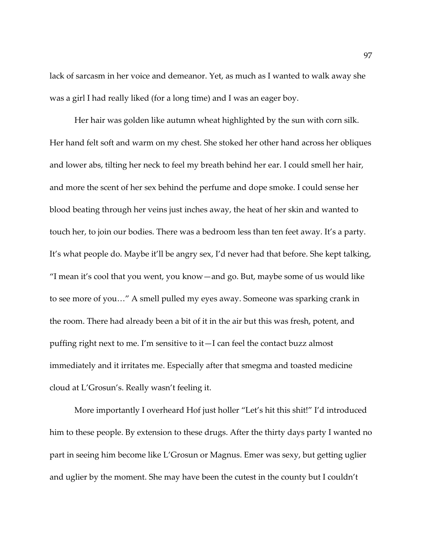lack of sarcasm in her voice and demeanor. Yet, as much as I wanted to walk away she was a girl I had really liked (for a long time) and I was an eager boy.

Her hair was golden like autumn wheat highlighted by the sun with corn silk. Her hand felt soft and warm on my chest. She stoked her other hand across her obliques and lower abs, tilting her neck to feel my breath behind her ear. I could smell her hair, and more the scent of her sex behind the perfume and dope smoke. I could sense her blood beating through her veins just inches away, the heat of her skin and wanted to touch her, to join our bodies. There was a bedroom less than ten feet away. It's a party. It's what people do. Maybe it'll be angry sex, I'd never had that before. She kept talking, "I mean it's cool that you went, you know—and go. But, maybe some of us would like to see more of you…" A smell pulled my eyes away. Someone was sparking crank in the room. There had already been a bit of it in the air but this was fresh, potent, and puffing right next to me. I'm sensitive to it—I can feel the contact buzz almost immediately and it irritates me. Especially after that smegma and toasted medicine cloud at L'Grosun's. Really wasn't feeling it.

More importantly I overheard Hof just holler "Let's hit this shit!" I'd introduced him to these people. By extension to these drugs. After the thirty days party I wanted no part in seeing him become like L'Grosun or Magnus. Emer was sexy, but getting uglier and uglier by the moment. She may have been the cutest in the county but I couldn't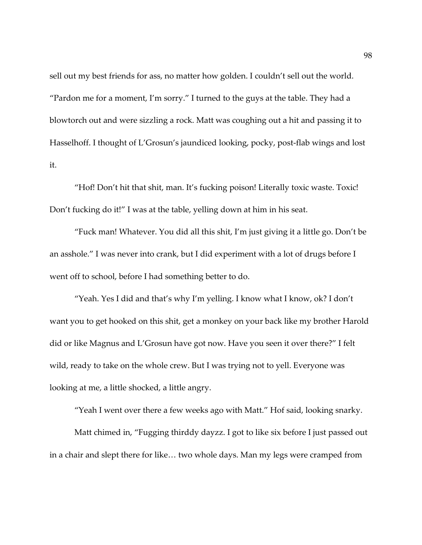sell out my best friends for ass, no matter how golden. I couldn't sell out the world. "Pardon me for a moment, I'm sorry." I turned to the guys at the table. They had a blowtorch out and were sizzling a rock. Matt was coughing out a hit and passing it to Hasselhoff. I thought of L'Grosun's jaundiced looking, pocky, post-flab wings and lost it.

"Hof! Don't hit that shit, man. It's fucking poison! Literally toxic waste. Toxic! Don't fucking do it!" I was at the table, yelling down at him in his seat.

"Fuck man! Whatever. You did all this shit, I'm just giving it a little go. Don't be an asshole." I was never into crank, but I did experiment with a lot of drugs before I went off to school, before I had something better to do.

"Yeah. Yes I did and that's why I'm yelling. I know what I know, ok? I don't want you to get hooked on this shit, get a monkey on your back like my brother Harold did or like Magnus and L'Grosun have got now. Have you seen it over there?" I felt wild, ready to take on the whole crew. But I was trying not to yell. Everyone was looking at me, a little shocked, a little angry.

"Yeah I went over there a few weeks ago with Matt." Hof said, looking snarky.

Matt chimed in, "Fugging thirddy dayzz. I got to like six before I just passed out in a chair and slept there for like… two whole days. Man my legs were cramped from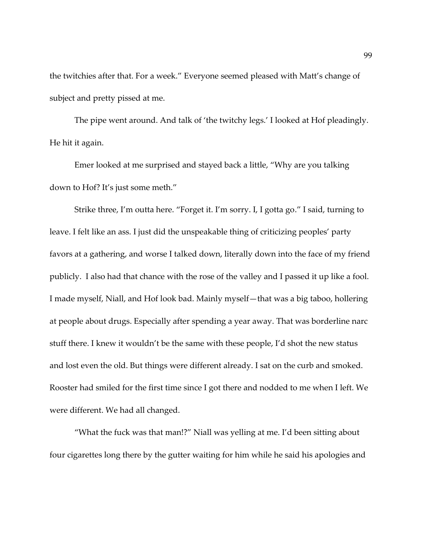the twitchies after that. For a week." Everyone seemed pleased with Matt's change of subject and pretty pissed at me.

The pipe went around. And talk of 'the twitchy legs.' I looked at Hof pleadingly. He hit it again.

Emer looked at me surprised and stayed back a little, "Why are you talking down to Hof? It's just some meth."

Strike three, I'm outta here. "Forget it. I'm sorry. I, I gotta go." I said, turning to leave. I felt like an ass. I just did the unspeakable thing of criticizing peoples' party favors at a gathering, and worse I talked down, literally down into the face of my friend publicly. I also had that chance with the rose of the valley and I passed it up like a fool. I made myself, Niall, and Hof look bad. Mainly myself—that was a big taboo, hollering at people about drugs. Especially after spending a year away. That was borderline narc stuff there. I knew it wouldn't be the same with these people, I'd shot the new status and lost even the old. But things were different already. I sat on the curb and smoked. Rooster had smiled for the first time since I got there and nodded to me when I left. We were different. We had all changed.

"What the fuck was that man!?" Niall was yelling at me. I'd been sitting about four cigarettes long there by the gutter waiting for him while he said his apologies and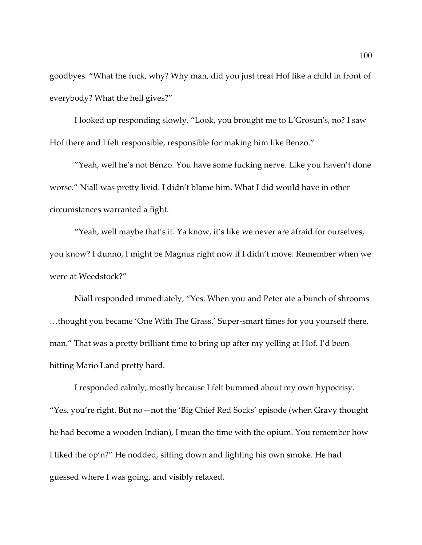goodbyes. "What the fuck, why? Why man, did you just treat Hof like a child in front of everybody? What the hell gives?"

I looked up responding slowly, "Look, you brought me to L'Grosun's, no? I saw Hof there and I felt responsible, responsible for making him like Benzo."

"Yeah, well he's not Benzo. You have some fucking nerve. Like you haven't done worse." Niall was pretty livid. I didn't blame him. What I did would have in other circumstances warranted a fight.

"Yeah, well maybe that's it. Ya know, it's like we never are afraid for ourselves, you know? I dunno, I might be Magnus right now if I didn't move. Remember when we were at Weedstock?"

Niall responded immediately, "Yes. When you and Peter ate a bunch of shrooms …thought you became 'One With The Grass.' Super-smart times for you yourself there, man." That was a pretty brilliant time to bring up after my yelling at Hof. I'd been hitting Mario Land pretty hard.

I responded calmly, mostly because I felt bummed about my own hypocrisy. "Yes, you're right. But no—not the 'Big Chief Red Socks' episode (when Gravy thought he had become a wooden Indian), I mean the time with the opium. You remember how I liked the op'n?" He nodded, sitting down and lighting his own smoke. He had guessed where I was going, and visibly relaxed.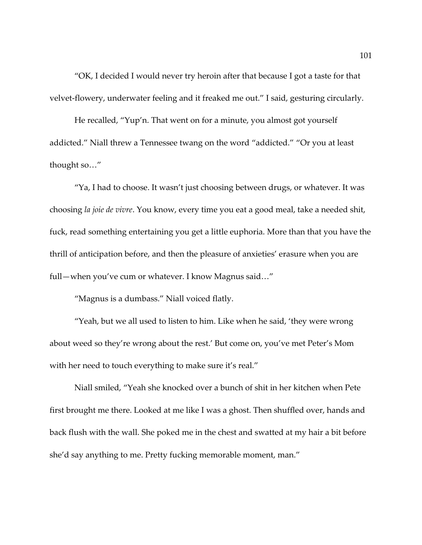"OK, I decided I would never try heroin after that because I got a taste for that velvet-flowery, underwater feeling and it freaked me out." I said, gesturing circularly.

He recalled, "Yup'n. That went on for a minute, you almost got yourself addicted." Niall threw a Tennessee twang on the word "addicted." "Or you at least thought so…"

"Ya, I had to choose. It wasn't just choosing between drugs, or whatever. It was choosing *la joie de vivre*. You know, every time you eat a good meal, take a needed shit, fuck, read something entertaining you get a little euphoria. More than that you have the thrill of anticipation before, and then the pleasure of anxieties' erasure when you are full—when you've cum or whatever. I know Magnus said…"

"Magnus is a dumbass." Niall voiced flatly.

"Yeah, but we all used to listen to him. Like when he said, 'they were wrong about weed so they're wrong about the rest.' But come on, you've met Peter's Mom with her need to touch everything to make sure it's real."

Niall smiled, "Yeah she knocked over a bunch of shit in her kitchen when Pete first brought me there. Looked at me like I was a ghost. Then shuffled over, hands and back flush with the wall. She poked me in the chest and swatted at my hair a bit before she'd say anything to me. Pretty fucking memorable moment, man."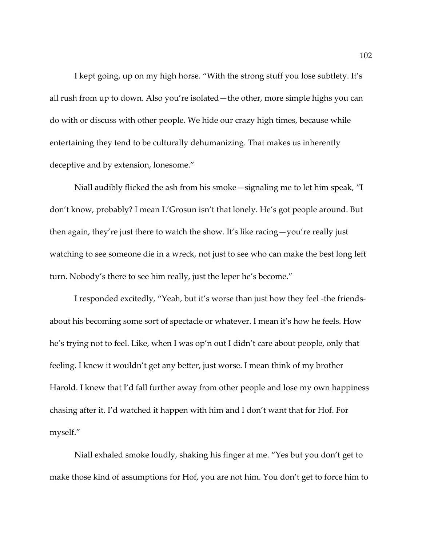I kept going, up on my high horse. "With the strong stuff you lose subtlety. It's all rush from up to down. Also you're isolated—the other, more simple highs you can do with or discuss with other people. We hide our crazy high times, because while entertaining they tend to be culturally dehumanizing. That makes us inherently deceptive and by extension, lonesome."

Niall audibly flicked the ash from his smoke—signaling me to let him speak, "I don't know, probably? I mean L'Grosun isn't that lonely. He's got people around. But then again, they're just there to watch the show. It's like racing—you're really just watching to see someone die in a wreck, not just to see who can make the best long left turn. Nobody's there to see him really, just the leper he's become."

I responded excitedly, "Yeah, but it's worse than just how they feel -the friendsabout his becoming some sort of spectacle or whatever. I mean it's how he feels. How he's trying not to feel. Like, when I was op'n out I didn't care about people, only that feeling. I knew it wouldn't get any better, just worse. I mean think of my brother Harold. I knew that I'd fall further away from other people and lose my own happiness chasing after it. I'd watched it happen with him and I don't want that for Hof. For myself."

Niall exhaled smoke loudly, shaking his finger at me. "Yes but you don't get to make those kind of assumptions for Hof, you are not him. You don't get to force him to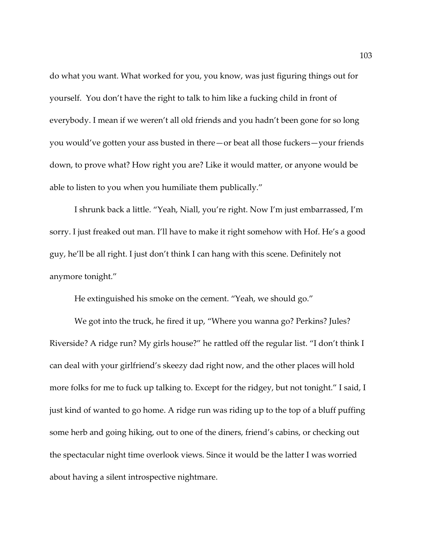do what you want. What worked for you, you know, was just figuring things out for yourself. You don't have the right to talk to him like a fucking child in front of everybody. I mean if we weren't all old friends and you hadn't been gone for so long you would've gotten your ass busted in there—or beat all those fuckers—your friends down, to prove what? How right you are? Like it would matter, or anyone would be able to listen to you when you humiliate them publically."

I shrunk back a little. "Yeah, Niall, you're right. Now I'm just embarrassed, I'm sorry. I just freaked out man. I'll have to make it right somehow with Hof. He's a good guy, he'll be all right. I just don't think I can hang with this scene. Definitely not anymore tonight."

He extinguished his smoke on the cement. "Yeah, we should go."

We got into the truck, he fired it up, "Where you wanna go? Perkins? Jules? Riverside? A ridge run? My girls house?" he rattled off the regular list. "I don't think I can deal with your girlfriend's skeezy dad right now, and the other places will hold more folks for me to fuck up talking to. Except for the ridgey, but not tonight." I said, I just kind of wanted to go home. A ridge run was riding up to the top of a bluff puffing some herb and going hiking, out to one of the diners, friend's cabins, or checking out the spectacular night time overlook views. Since it would be the latter I was worried about having a silent introspective nightmare.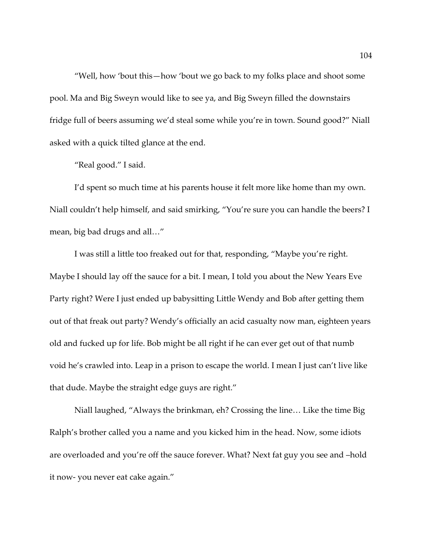"Well, how 'bout this—how 'bout we go back to my folks place and shoot some pool. Ma and Big Sweyn would like to see ya, and Big Sweyn filled the downstairs fridge full of beers assuming we'd steal some while you're in town. Sound good?" Niall asked with a quick tilted glance at the end.

"Real good." I said.

I'd spent so much time at his parents house it felt more like home than my own. Niall couldn't help himself, and said smirking, "You're sure you can handle the beers? I mean, big bad drugs and all…"

I was still a little too freaked out for that, responding, "Maybe you're right. Maybe I should lay off the sauce for a bit. I mean, I told you about the New Years Eve Party right? Were I just ended up babysitting Little Wendy and Bob after getting them out of that freak out party? Wendy's officially an acid casualty now man, eighteen years old and fucked up for life. Bob might be all right if he can ever get out of that numb void he's crawled into. Leap in a prison to escape the world. I mean I just can't live like that dude. Maybe the straight edge guys are right."

Niall laughed, "Always the brinkman, eh? Crossing the line… Like the time Big Ralph's brother called you a name and you kicked him in the head. Now, some idiots are overloaded and you're off the sauce forever. What? Next fat guy you see and –hold it now- you never eat cake again."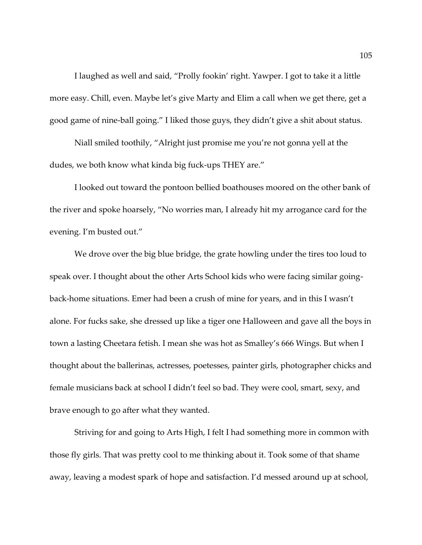I laughed as well and said, "Prolly fookin' right. Yawper. I got to take it a little more easy. Chill, even. Maybe let's give Marty and Elim a call when we get there, get a good game of nine-ball going." I liked those guys, they didn't give a shit about status.

Niall smiled toothily, "Alright just promise me you're not gonna yell at the dudes, we both know what kinda big fuck-ups THEY are."

I looked out toward the pontoon bellied boathouses moored on the other bank of the river and spoke hoarsely, "No worries man, I already hit my arrogance card for the evening. I'm busted out."

We drove over the big blue bridge, the grate howling under the tires too loud to speak over. I thought about the other Arts School kids who were facing similar goingback-home situations. Emer had been a crush of mine for years, and in this I wasn't alone. For fucks sake, she dressed up like a tiger one Halloween and gave all the boys in town a lasting Cheetara fetish. I mean she was hot as Smalley's 666 Wings. But when I thought about the ballerinas, actresses, poetesses, painter girls, photographer chicks and female musicians back at school I didn't feel so bad. They were cool, smart, sexy, and brave enough to go after what they wanted.

Striving for and going to Arts High, I felt I had something more in common with those fly girls. That was pretty cool to me thinking about it. Took some of that shame away, leaving a modest spark of hope and satisfaction. I'd messed around up at school,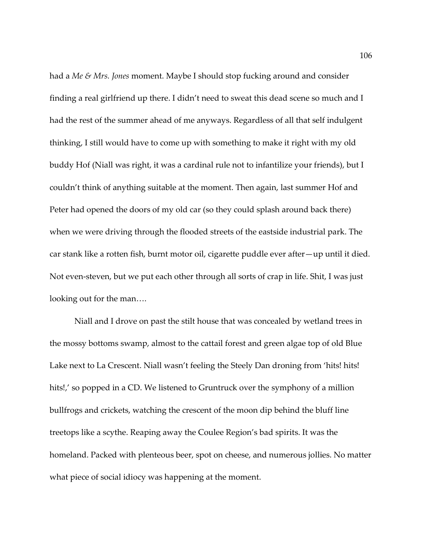had a *Me & Mrs. Jones* moment. Maybe I should stop fucking around and consider finding a real girlfriend up there. I didn't need to sweat this dead scene so much and I had the rest of the summer ahead of me anyways. Regardless of all that self indulgent thinking, I still would have to come up with something to make it right with my old buddy Hof (Niall was right, it was a cardinal rule not to infantilize your friends), but I couldn't think of anything suitable at the moment. Then again, last summer Hof and Peter had opened the doors of my old car (so they could splash around back there) when we were driving through the flooded streets of the eastside industrial park. The car stank like a rotten fish, burnt motor oil, cigarette puddle ever after—up until it died. Not even-steven, but we put each other through all sorts of crap in life. Shit, I was just looking out for the man….

Niall and I drove on past the stilt house that was concealed by wetland trees in the mossy bottoms swamp, almost to the cattail forest and green algae top of old Blue Lake next to La Crescent. Niall wasn't feeling the Steely Dan droning from 'hits! hits! hits!,' so popped in a CD. We listened to Gruntruck over the symphony of a million bullfrogs and crickets, watching the crescent of the moon dip behind the bluff line treetops like a scythe. Reaping away the Coulee Region's bad spirits. It was the homeland. Packed with plenteous beer, spot on cheese, and numerous jollies. No matter what piece of social idiocy was happening at the moment.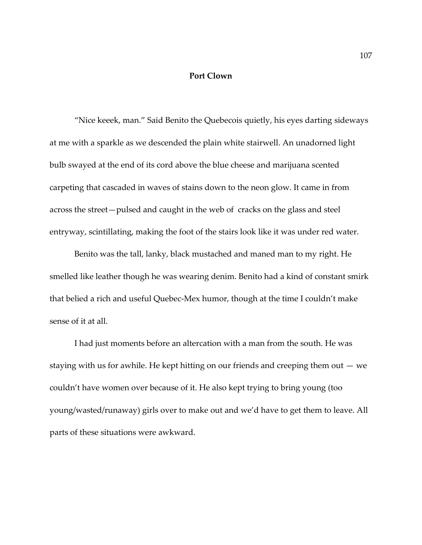## **Port Clown**

"Nice keeek, man." Said Benito the Quebecois quietly, his eyes darting sideways at me with a sparkle as we descended the plain white stairwell. An unadorned light bulb swayed at the end of its cord above the blue cheese and marijuana scented carpeting that cascaded in waves of stains down to the neon glow. It came in from across the street—pulsed and caught in the web of cracks on the glass and steel entryway, scintillating, making the foot of the stairs look like it was under red water.

Benito was the tall, lanky, black mustached and maned man to my right. He smelled like leather though he was wearing denim. Benito had a kind of constant smirk that belied a rich and useful Quebec-Mex humor, though at the time I couldn't make sense of it at all.

I had just moments before an altercation with a man from the south. He was staying with us for awhile. He kept hitting on our friends and creeping them out — we couldn't have women over because of it. He also kept trying to bring young (too young/wasted/runaway) girls over to make out and we'd have to get them to leave. All parts of these situations were awkward.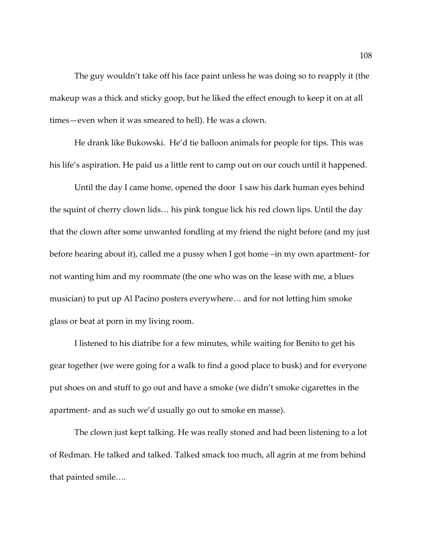The guy wouldn't take off his face paint unless he was doing so to reapply it (the makeup was a thick and sticky goop, but he liked the effect enough to keep it on at all times—even when it was smeared to hell). He was a clown.

He drank like Bukowski. He'd tie balloon animals for people for tips. This was his life's aspiration. He paid us a little rent to camp out on our couch until it happened.

Until the day I came home, opened the door I saw his dark human eyes behind the squint of cherry clown lids… his pink tongue lick his red clown lips. Until the day that the clown after some unwanted fondling at my friend the night before (and my just before hearing about it), called me a pussy when I got home –in my own apartment- for not wanting him and my roommate (the one who was on the lease with me, a blues musician) to put up Al Pacino posters everywhere… and for not letting him smoke glass or beat at porn in my living room.

I listened to his diatribe for a few minutes, while waiting for Benito to get his gear together (we were going for a walk to find a good place to busk) and for everyone put shoes on and stuff to go out and have a smoke (we didn't smoke cigarettes in the apartment- and as such we'd usually go out to smoke en masse).

The clown just kept talking. He was really stoned and had been listening to a lot of Redman. He talked and talked. Talked smack too much, all agrin at me from behind that painted smile….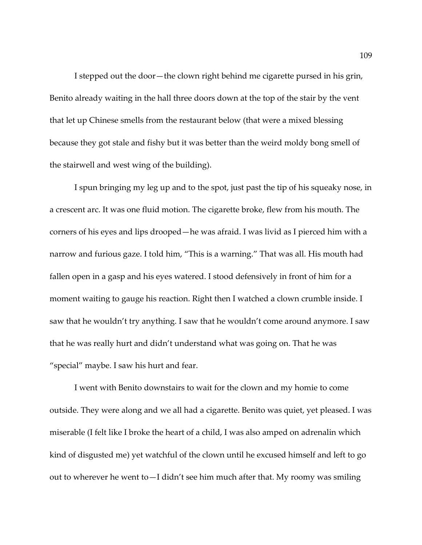I stepped out the door—the clown right behind me cigarette pursed in his grin, Benito already waiting in the hall three doors down at the top of the stair by the vent that let up Chinese smells from the restaurant below (that were a mixed blessing because they got stale and fishy but it was better than the weird moldy bong smell of the stairwell and west wing of the building).

I spun bringing my leg up and to the spot, just past the tip of his squeaky nose, in a crescent arc. It was one fluid motion. The cigarette broke, flew from his mouth. The corners of his eyes and lips drooped—he was afraid. I was livid as I pierced him with a narrow and furious gaze. I told him, "This is a warning." That was all. His mouth had fallen open in a gasp and his eyes watered. I stood defensively in front of him for a moment waiting to gauge his reaction. Right then I watched a clown crumble inside. I saw that he wouldn't try anything. I saw that he wouldn't come around anymore. I saw that he was really hurt and didn't understand what was going on. That he was "special" maybe. I saw his hurt and fear.

I went with Benito downstairs to wait for the clown and my homie to come outside. They were along and we all had a cigarette. Benito was quiet, yet pleased. I was miserable (I felt like I broke the heart of a child, I was also amped on adrenalin which kind of disgusted me) yet watchful of the clown until he excused himself and left to go out to wherever he went to—I didn't see him much after that. My roomy was smiling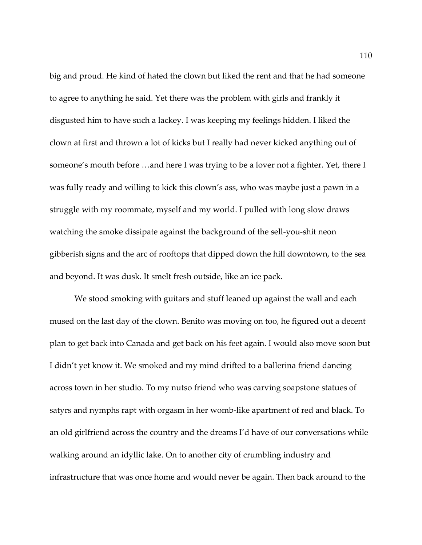big and proud. He kind of hated the clown but liked the rent and that he had someone to agree to anything he said. Yet there was the problem with girls and frankly it disgusted him to have such a lackey. I was keeping my feelings hidden. I liked the clown at first and thrown a lot of kicks but I really had never kicked anything out of someone's mouth before …and here I was trying to be a lover not a fighter. Yet, there I was fully ready and willing to kick this clown's ass, who was maybe just a pawn in a struggle with my roommate, myself and my world. I pulled with long slow draws watching the smoke dissipate against the background of the sell-you-shit neon gibberish signs and the arc of rooftops that dipped down the hill downtown, to the sea and beyond. It was dusk. It smelt fresh outside, like an ice pack.

We stood smoking with guitars and stuff leaned up against the wall and each mused on the last day of the clown. Benito was moving on too, he figured out a decent plan to get back into Canada and get back on his feet again. I would also move soon but I didn't yet know it. We smoked and my mind drifted to a ballerina friend dancing across town in her studio. To my nutso friend who was carving soapstone statues of satyrs and nymphs rapt with orgasm in her womb-like apartment of red and black. To an old girlfriend across the country and the dreams I'd have of our conversations while walking around an idyllic lake. On to another city of crumbling industry and infrastructure that was once home and would never be again. Then back around to the